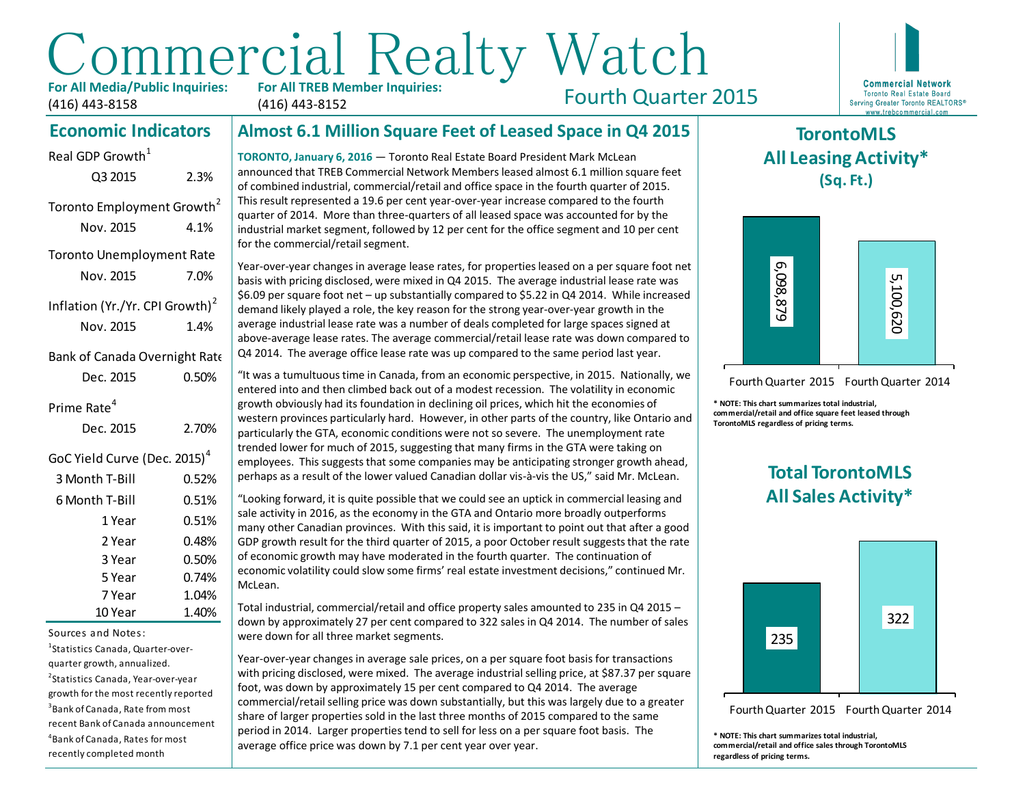# Commercial Realty Watch **For All TREB Member Inquiries:**

**For All Media/Public Inquiries:** (416) 443-8158

Q3 2015 2.3%

Toronto Employment Growth<sup>2</sup> Nov. 2015 4.1%

Toronto Unemployment Rate Nov. 2015 7.0%

Inflation (Yr./Yr. CPI Growth)<sup>2</sup> Nov. 2015 1.4%

Bank of Canada Overnight Rate Dec. 2015 0.50%

Real GDP Growth $<sup>1</sup>$ </sup>

(416) 443-8152

Fourth Quarter 2015



## **TorontoMLS All Leasing Activity\* (Sq. Ft.)**



Fourth Quarter 2015 Fourth Quarter 2014

**\* NOTE: This chart summarizes total industrial, commercial/retail and office square feet leased through TorontoMLS regardless of pricing terms.**

## **Total TorontoMLS All Sales Activity\***



Fourth Quarter 2015 Fourth Quarter 2014

**\* NOTE: This chart summarizes total industrial, commercial/retail and office sales through TorontoMLS regardless of pricing terms.**

#### **Almost 6.1 Million Square Feet of Leased Space in Q4 2015 Economic Indicators**

**TORONTO, January 6, 2016** — Toronto Real Estate Board President Mark McLean announced that TREB Commercial Network Members leased almost 6.1 million square feet of combined industrial, commercial/retail and office space in the fourth quarter of 2015. This result represented a 19.6 per cent year-over-year increase compared to the fourth quarter of 2014. More than three-quarters of all leased space was accounted for by the industrial market segment, followed by 12 per cent for the office segment and 10 per cent for the commercial/retail segment.

Year-over-year changes in average lease rates, for properties leased on a per square foot net basis with pricing disclosed, were mixed in Q4 2015. The average industrial lease rate was \$6.09 per square foot net – up substantially compared to \$5.22 in Q4 2014. While increased demand likely played a role, the key reason for the strong year-over-year growth in the average industrial lease rate was a number of deals completed for large spaces signed at above-average lease rates. The average commercial/retail lease rate was down compared to Q4 2014. The average office lease rate was up compared to the same period last year.

"It was a tumultuous time in Canada, from an economic perspective, in 2015. Nationally, we entered into and then climbed back out of a modest recession. The volatility in economic growth obviously had its foundation in declining oil prices, which hit the economies of western provinces particularly hard. However, in other parts of the country, like Ontario and particularly the GTA, economic conditions were not so severe. The unemployment rate trended lower for much of 2015, suggesting that many firms in the GTA were taking on employees. This suggests that some companies may be anticipating stronger growth ahead, perhaps as a result of the lower valued Canadian dollar vis-à-vis the US," said Mr. McLean. Nov. 2015 7.09% Vestern complete complete the area rates, for properties leads on a per space in the complete month of the strength of the strength of the strength of the strength of the strength of the strength of the st

"Looking forward, it is quite possible that we could see an uptick in commercial leasing and sale activity in 2016, as the economy in the GTA and Ontario more broadly outperforms many other Canadian provinces. With this said, it is important to point out that after a good GDP growth result for the third quarter of 2015, a poor October result suggests that the rate of economic growth may have moderated in the fourth quarter. The continuation of economic volatility could slow some firms' real estate investment decisions," continued Mr. McLean.

Total industrial, commercial/retail and office property sales amounted to 235 in Q4 2015 – down by approximately 27 per cent compared to 322 sales in Q4 2014. The number of sales were down for all three market segments.

Year-over-year changes in average sale prices, on a per square foot basis for transactions with pricing disclosed, were mixed. The average industrial selling price, at \$87.37 per square foot, was down by approximately 15 per cent compared to Q4 2014. The average commercial/retail selling price was down substantially, but this was largely due to a greater share of larger properties sold in the last three months of 2015 compared to the same period in 2014. Larger properties tend to sell for less on a per square foot basis. The average office price was down by 7.1 per cent year over year.

## Prime Rate<sup>4</sup>

| Dec. 2015                                | 2.70% |
|------------------------------------------|-------|
| GoC Yield Curve (Dec. 2015) <sup>4</sup> |       |
| 3 Month T-Bill                           | 0.52% |
| 6 Month T-Bill                           | 0.51% |
| 1 Year                                   | 0.51% |
| 2 Year                                   | 0.48% |
| 3 Year                                   | 0.50% |
| 5 Year                                   | 0.74% |
| 7 Year                                   | 1.04% |
| 10 Year                                  | 1.40% |

Sources and Notes:

1 Statistics Canada, Quarter-overquarter growth, annualized. 2 Statistics Canada, Year-over-year growth for the most recently reported 3 Bank of Canada, Rate from most recent Bank of Canada announcement 4 Bank of Canada, Rates for most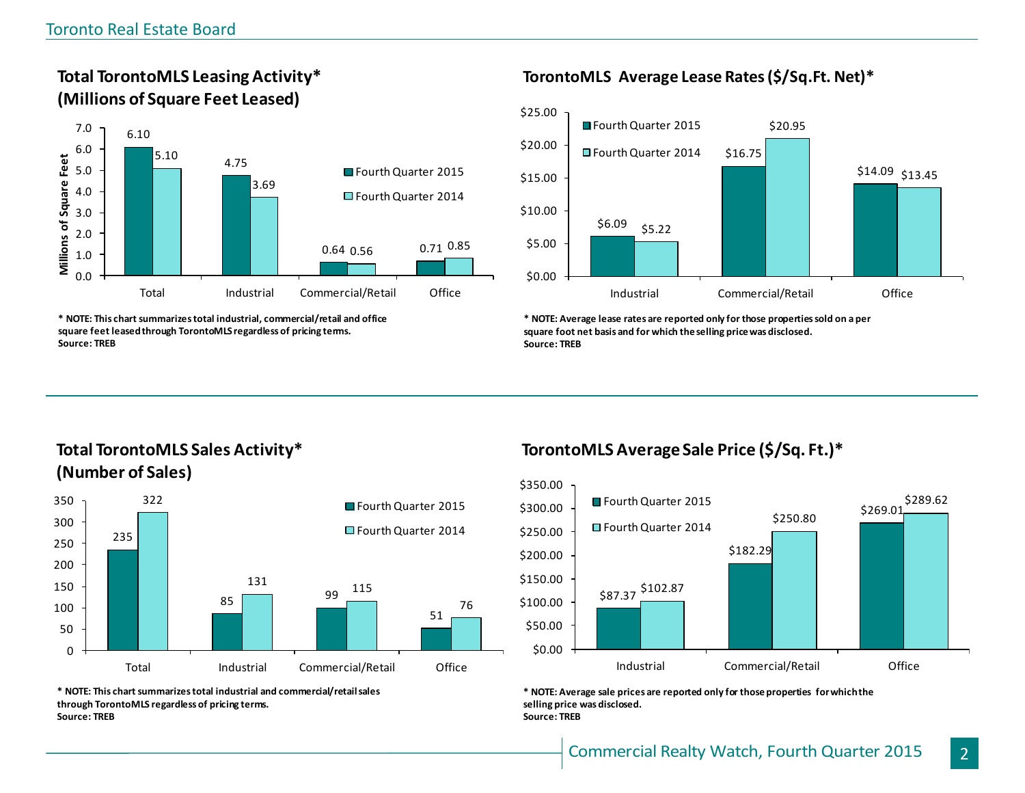## **Total TorontoMLS Leasing Activity\* (Millions of Square Feet Leased)**



**\* NOTE: This chart summarizes total industrial, commercial/retail and office square feet leased through TorontoMLS regardless of pricing terms. Source: TREB**

## **TorontoMLS Average Lease Rates (\$/Sq.Ft. Net)\***



**\* NOTE: Average lease rates are reported only for those properties sold on a per square foot net basis and for which the selling price was disclosed. Source: TREB**

## **Total TorontoMLS Sales Activity\* (Number of Sales)**



**\* NOTE: This chart summarizes total industrial and commercial/retail sales through TorontoMLS regardless of pricing terms. Source: TREB**

## **TorontoMLS Average Sale Price (\$/Sq. Ft.)\***



**\* NOTE: Average sale prices are reported only for those properties for which the selling price was disclosed. Source: TREB**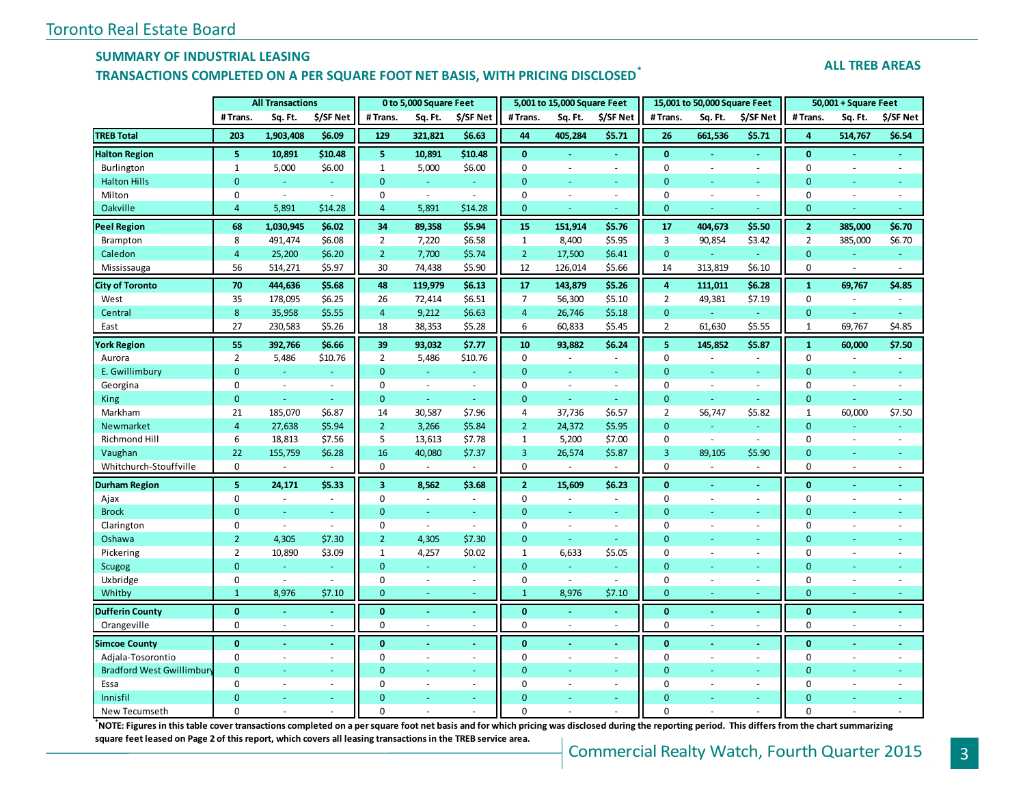#### **SUMMARY OF INDUSTRIAL LEASING**

## **TRANSACTIONS COMPLETED ON A PER SQUARE FOOT NET BASIS, WITH PRICING DISCLOSED\***

#### **ALL TREB AREAS**

|                                  |                | <b>All Transactions</b> |                |                | 0 to 5,000 Square Feet |                          |                | 5,001 to 15,000 Square Feet |                     |                  | 15,001 to 50,000 Square Feet |                          |                  | 50,001 + Square Feet     |           |
|----------------------------------|----------------|-------------------------|----------------|----------------|------------------------|--------------------------|----------------|-----------------------------|---------------------|------------------|------------------------------|--------------------------|------------------|--------------------------|-----------|
|                                  | # Trans.       | Sq. Ft.                 | \$/SF Net      | # Trans.       | Sq. Ft.                | \$/SF Net                | #Trans.        | Sq. Ft.                     | \$/SF Net           | # Trans.         | Sq. Ft.                      | \$/SF Net                | # Trans.         | Sq. Ft.                  | \$/SF Net |
| <b>TREB Total</b>                | 203            | 1,903,408               | \$6.09         | 129            | 321,821                | \$6.63                   | 44             | 405,284                     | \$5.71              | 26               | 661,536                      | \$5.71                   | $\overline{a}$   | 514,767                  | \$6.54    |
| <b>Halton Region</b>             | 5              | 10,891                  | \$10.48        | 5              | 10,891                 | \$10.48                  | $\mathbf{0}$   | ÷.                          | ä,                  | $\mathbf{0}$     | $\omega$                     | ä,                       | $\mathbf{0}$     | $\blacksquare$           |           |
| Burlington                       | $\mathbf{1}$   | 5,000                   | \$6.00         | $\mathbf{1}$   | 5,000                  | \$6.00                   | $\mathbf 0$    | $\sim$                      | $\sim$              | $\mathbf 0$      | $\sim$                       | $\sim$                   | $\mathbf 0$      | $\sim$                   | $\sim$    |
| <b>Halton Hills</b>              | $\overline{0}$ | ÷                       |                | $\mathbf 0$    | Ξ                      | $\sim$                   | $\Omega$       |                             | ä,                  | $\mathbf{0}$     | ÷                            | $\omega$                 | $\mathbf{0}$     | ÷                        |           |
| Milton                           | $\pmb{0}$      | $\blacksquare$          | $\sim$         | 0              | $\blacksquare$         | $\blacksquare$           | $\mathbf 0$    | $\blacksquare$              | $\sim$              | $\mathbf 0$      | $\overline{\phantom{a}}$     | $\overline{\phantom{a}}$ | $\mathbf 0$      | $\overline{\phantom{a}}$ | $\sim$    |
| Oakville                         | 4              | 5,891                   | \$14.28        | $\overline{4}$ | 5,891                  | \$14.28                  | 0              |                             |                     | $\mathbf{0}$     |                              | Ξ                        | $\mathbf{0}$     | ÷                        |           |
| <b>Peel Region</b>               | 68             | 1,030,945               | \$6.02\$       | 34             | 89,358                 | \$5.94                   | 15             | 151,914                     | \$5.76              | 17               | 404,673                      | \$5.50                   | $\overline{2}$   | 385,000                  | \$6.70    |
| Brampton                         | 8              | 491,474                 | \$6.08         | $\overline{2}$ | 7,220                  | \$6.58                   | $\mathbf{1}$   | 8,400                       | \$5.95              | 3                | 90,854                       | \$3.42                   | $\overline{2}$   | 385,000                  | \$6.70    |
| Caledon                          | $\overline{4}$ | 25,200                  | \$6.20         | $\overline{2}$ | 7,700                  | \$5.74                   | $\overline{2}$ | 17,500                      | \$6.41              | $\mathbf{0}$     |                              | $\omega$                 | $\mathbf{0}$     | $\blacksquare$           | $\omega$  |
| Mississauga                      | 56             | 514,271                 | \$5.97         | 30             | 74,438                 | \$5.90                   | 12             | 126,014                     | \$5.66              | 14               | 313,819                      | \$6.10                   | $\mathbf 0$      | $\sim$                   | $\sim$    |
| <b>City of Toronto</b>           | 70             | 444,636                 | \$5.68         | 48             | 119,979                | \$6.13                   | 17             | 143,879                     | \$5.26              | 4                | 111,011                      | \$6.28                   | $\mathbf{1}$     | 69,767                   | \$4.85    |
| West                             | 35             | 178,095                 | \$6.25         | 26             | 72,414                 | \$6.51                   | $\overline{7}$ | 56,300                      | \$5.10              | $\overline{2}$   | 49,381                       | \$7.19                   | $\boldsymbol{0}$ | ÷.                       | $\sim$    |
| Central                          | $\bf 8$        | 35,958                  | \$5.55         | $\overline{4}$ | 9,212                  | \$6.63                   | $\overline{4}$ | 26,746                      | \$5.18              | $\mathbf{0}$     | $\omega$                     | $\sim$                   | $\mathbf{0}$     | ٠                        |           |
| East                             | 27             | 230,583                 | \$5.26         | 18             | 38,353                 | \$5.28                   | 6              | 60,833                      | \$5.45              | $\overline{2}$   | 61,630                       | \$5.55                   | $\mathbf{1}$     | 69,767                   | \$4.85    |
| <b>York Region</b>               | 55             | 392,766                 | \$6.66         | 39             | 93,032                 | \$7.77                   | 10             | 93,882                      | \$6.24              | 5                | 145,852                      | \$5.87                   | $\mathbf{1}$     | 60,000                   | \$7.50    |
| Aurora                           | $\overline{2}$ | 5,486                   | \$10.76        | $\overline{2}$ | 5,486                  | \$10.76                  | $\mathbf 0$    | $\sim$                      | $\sim$              | 0                | $\bar{a}$                    | $\sim$                   | $\mathsf 0$      | $\overline{\phantom{a}}$ | $\sim$    |
| E. Gwillimbury                   | $\mathbf{0}$   | ÷                       | $\omega$       | $\mathbf{0}$   | $\omega$               | ٠                        | $\Omega$       | $\sim$                      | ÷                   | $\mathbf{0}$     | ÷.                           | $\sim$                   | $\mathbf{0}$     | ÷                        |           |
| Georgina                         | $\pmb{0}$      | $\sim$                  | $\sim$         | $\pmb{0}$      | $\sim$                 | ÷.                       | $\mathbf 0$    | $\sim$                      | $\sim$              | 0                | $\bar{a}$                    | $\sim$                   | $\mathbf 0$      | $\sim$                   | $\sim$    |
| King                             | $\mathbf{0}$   | ÷                       | ÷              | $\mathbf 0$    | ÷.                     | $\sim$                   | $\mathbf{0}$   | ä,                          | ÷.                  | $\mathbf{0}$     | ÷                            | a.                       | $\mathbf{0}$     | ÷                        | ÷         |
| Markham                          | 21             | 185,070                 | \$6.87         | 14             | 30,587                 | \$7.96                   | 4              | 37,736                      | \$6.57              | $\overline{2}$   | 56,747                       | \$5.82                   | $\mathbf 1$      | 60,000                   | \$7.50    |
| Newmarket                        | $\overline{4}$ | 27,638                  | \$5.94         | $\overline{2}$ | 3,266                  | \$5.84                   | $\overline{2}$ | 24,372                      | \$5.95              | $\mathbf{0}$     | ÷.                           | $\sim$                   | $\mathbf{0}$     | ÷                        |           |
| Richmond Hill                    | 6              | 18,813                  | \$7.56         | 5              | 13,613                 | \$7.78                   | $\mathbf{1}$   | 5,200                       | \$7.00              | $\boldsymbol{0}$ | $\sim$                       | $\sim$                   | $\mathbf 0$      | $\overline{\phantom{a}}$ | $\sim$    |
| Vaughan                          | 22             | 155,759                 | \$6.28         | 16             | 40,080                 | \$7.37                   | $\overline{3}$ | 26,574                      | \$5.87              | $\overline{3}$   | 89,105                       | \$5.90                   | $\mathbf{0}$     | $\sim$                   |           |
| Whitchurch-Stouffville           | $\Omega$       |                         |                | $\Omega$       | ä,                     |                          | $\Omega$       |                             |                     | $\Omega$         |                              | $\sim$                   | $\Omega$         | $\sim$                   | $\sim$    |
| <b>Durham Region</b>             | 5              | 24,171                  | \$5.33         | 3              | 8,562                  | \$3.68                   | $\overline{2}$ | 15,609                      | \$6.23              | $\mathbf{0}$     |                              |                          | $\mathbf{0}$     |                          |           |
| Ajax                             | $\pmb{0}$      | $\sim$                  | $\sim$         | $\pmb{0}$      | $\sim$                 | ÷.                       | $\mathbf 0$    |                             | $\bar{\phantom{a}}$ | 0                | $\bar{a}$                    | $\mathbf{r}$             | $\mathbf 0$      | $\overline{\phantom{a}}$ |           |
| <b>Brock</b>                     | $\mathbf{0}$   |                         | $\omega$       | $\mathbf{0}$   | $\blacksquare$         | $\equiv$                 | $\mathbf{0}$   | $\omega$                    | $\omega$            | $\mathbf{0}$     |                              | $\omega$                 | $\mathbf{0}$     | $\overline{\phantom{a}}$ |           |
| Clarington                       | $\mathbf 0$    | $\sim$                  | $\blacksquare$ | $\pmb{0}$      | $\sim$                 | $\overline{\phantom{a}}$ | $\mathbf 0$    | $\sim$                      | $\omega$            | 0                | $\sim$                       | ÷,                       | $\mathbf 0$      | $\sim$                   |           |
| Oshawa                           | $\overline{2}$ | 4,305                   | \$7.30         | $\overline{2}$ | 4,305                  | \$7.30                   | $\mathbf{0}$   | $\omega$                    | $\omega$            | $\mathbf{0}$     |                              | Ξ                        | $\mathbf{0}$     |                          |           |
| Pickering                        | $\overline{2}$ | 10,890                  | \$3.09         | $1\,$          | 4,257                  | \$0.02                   | $\mathbf{1}$   | 6,633                       | \$5.05              | $\mathbf 0$      | $\sim$                       | $\sim$                   | $\pmb{0}$        | $\sim$                   | $\sim$    |
| <b>Scugog</b>                    | $\mathbf{0}$   | ÷                       | ÷              | $\mathbf{0}$   | ä,                     |                          | $\mathbf 0$    | ÷                           | ÷.                  | $\mathbf{0}$     | ÷.                           | ÷.                       | $\mathbf{0}$     | ÷                        |           |
| Uxbridge                         | $\pmb{0}$      | $\sim$                  | $\sim$         | $\pmb{0}$      | $\blacksquare$         | ÷.                       | 0              | $\sim$                      | $\sim$              | $\boldsymbol{0}$ | $\sim$                       | $\sim$                   | $\pmb{0}$        | $\overline{\phantom{a}}$ | $\sim$    |
| Whitby                           | $\mathbf{1}$   | 8,976                   | \$7.10         | $\mathbf{0}$   | $\omega$               | ÷.                       | $\mathbf{1}$   | 8,976                       | \$7.10              | $\mathbf{0}$     | ÷                            | Ξ                        | $\mathbf{0}$     | ÷                        | ٠         |
| <b>Dufferin County</b>           | $\mathbf{0}$   | $\omega$                | $\omega$       | $\mathbf{0}$   | $\blacksquare$         | $\blacksquare$           | $\mathbf{0}$   | $\omega$                    | $\omega$            | $\bf{0}$         | $\blacksquare$               | $\blacksquare$           | $\mathbf{0}$     | $\blacksquare$           | $\omega$  |
| Orangeville                      | $\mathbf 0$    | $\sim$                  |                | $\mathbf 0$    | $\sim$                 | $\blacksquare$           | $\mathbf 0$    | $\sim$                      | ÷.                  | $\mathbf 0$      | $\bar{a}$                    | ä,                       | $\mathbf 0$      | $\omega$                 | $\sim$    |
| <b>Simcoe County</b>             | $\bf{0}$       |                         |                | $\bf{0}$       | ÷.                     | $\blacksquare$           | $\bf{0}$       |                             | ä,                  | $\bf{0}$         |                              | $\blacksquare$           | $\bf{0}$         | $\sim$                   |           |
| Adjala-Tosorontio                | $\mathbf 0$    | $\sim$                  | $\sim$         | $\mathbf 0$    | $\sim$                 | $\blacksquare$           | $\mathbf 0$    | $\sim$                      | $\omega$            | $\mathbf 0$      | $\sim$                       | $\omega$                 | $\mathbf{0}$     | $\sim$                   | $\sim$    |
| <b>Bradford West Gwillimbury</b> | $\Omega$       |                         | ÷              | $\mathbf{0}$   | ÷                      | $\equiv$                 | $\Omega$       |                             | ÷.                  | $\mathbf{0}$     |                              | $\omega$                 | $\mathbf{0}$     | ٠                        |           |
| Essa                             | $\Omega$       | $\sim$                  | $\sim$         | $\mathbf 0$    | $\sim$                 | ÷,                       | 0              |                             | $\mathcal{L}$       | $\mathbf 0$      | $\sim$                       | L.                       | $\mathbf 0$      | $\overline{\phantom{a}}$ |           |
| Innisfil                         | $\overline{0}$ |                         |                | $\mathbf{0}$   |                        |                          | $\Omega$       |                             |                     | $\overline{0}$   |                              | Ξ                        | $\mathbf{0}$     |                          |           |
| New Tecumseth                    | $\Omega$       |                         |                | $\Omega$       |                        |                          | $\Omega$       |                             |                     | $\Omega$         |                              |                          | $\Omega$         |                          |           |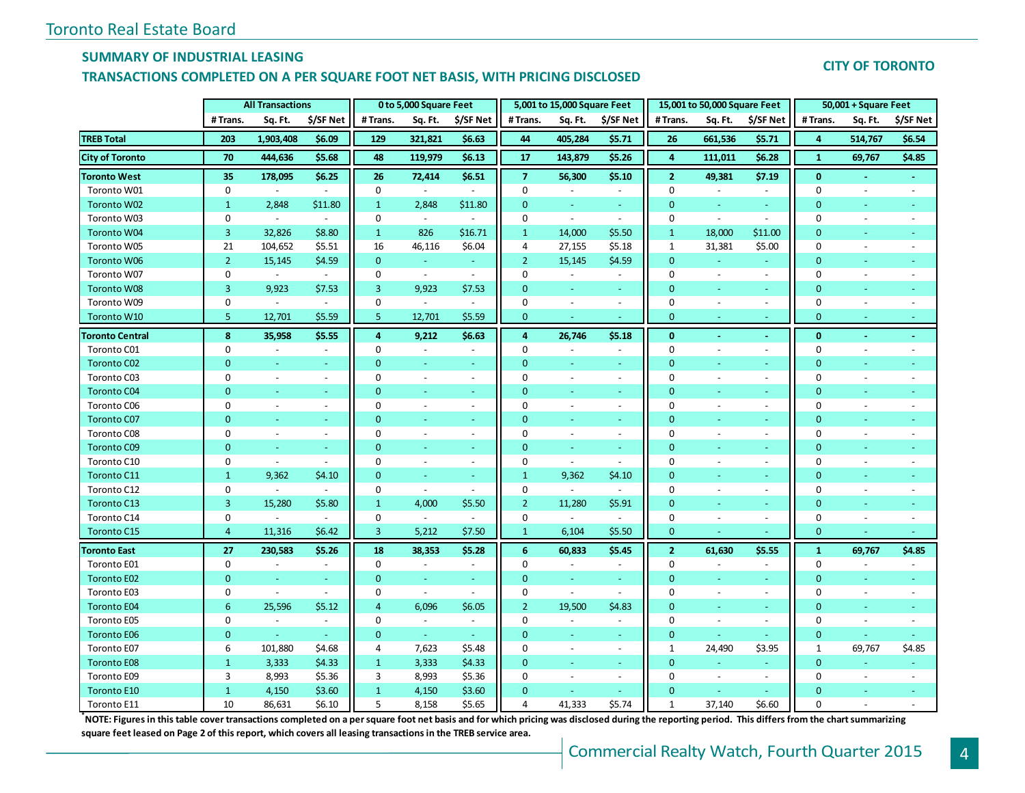### **SUMMARY OF INDUSTRIAL LEASING**

### **TRANSACTIONS COMPLETED ON A PER SQUARE FOOT NET BASIS, WITH PRICING DISCLOSED**

## **CITY OF TORONTO**

|                        |                  | <b>All Transactions</b>  |                          |                | 0 to 5,000 Square Feet |                          |                | 5,001 to 15,000 Square Feet |                          |                | 15,001 to 50,000 Square Feet |                          |                | 50,001 + Square Feet     |                          |
|------------------------|------------------|--------------------------|--------------------------|----------------|------------------------|--------------------------|----------------|-----------------------------|--------------------------|----------------|------------------------------|--------------------------|----------------|--------------------------|--------------------------|
|                        | #Trans.          | Sq. Ft.                  | \$/SF Net                | #Trans.        | Sq. Ft.                | \$/SF Net                | # Trans.       | Sq. Ft.                     | \$/SF Net                | # Trans.       | Sq. Ft.                      | \$/SF Net                | #Trans.        | Sq. Ft.                  | \$/SF Net                |
| <b>TREB Total</b>      | 203              | 1,903,408                | \$6.09                   | 129            | 321,821                | \$6.63                   | 44             | 405,284                     | \$5.71                   | 26             | 661,536                      | \$5.71                   | 4              | 514,767                  | \$6.54                   |
| <b>City of Toronto</b> | 70               | 444,636                  | \$5.68                   | 48             | 119,979                | \$6.13                   | 17             | 143,879                     | \$5.26                   | $\overline{4}$ | 111,011                      | \$6.28                   | $\mathbf{1}$   | 69,767                   | \$4.85                   |
| <b>Toronto West</b>    | 35               | 178,095                  | \$6.25                   | 26             | 72,414                 | \$6.51                   | $\overline{7}$ | 56,300                      | \$5.10                   | $\overline{2}$ | 49,381                       | \$7.19                   | $\mathbf{0}$   |                          |                          |
| Toronto W01            | $\mathbf 0$      |                          | $\blacksquare$           | $\mathbf 0$    |                        |                          | $\mathbf 0$    |                             | $\blacksquare$           | 0              |                              | $\blacksquare$           | $\mathbf 0$    |                          |                          |
| Toronto W02            | $\mathbf{1}$     | 2,848                    | \$11.80                  | $\mathbf{1}$   | 2,848                  | \$11.80                  | $\mathbf{0}$   | $\omega$                    | $\omega$                 | $\overline{0}$ | $\blacksquare$               | $\omega$                 | $\mathbf{0}$   | $\overline{\phantom{a}}$ |                          |
| Toronto W03            | 0                | $\blacksquare$           | $\sim$                   | 0              | $\blacksquare$         |                          | 0              | $\blacksquare$              | $\sim$                   | 0              | $\blacksquare$               | $\sim$                   | 0              | $\sim$                   | $\overline{a}$           |
| <b>Toronto W04</b>     | 3                | 32,826                   | \$8.80                   | $\mathbf{1}$   | 826                    | \$16.71                  | $\mathbf{1}$   | 14,000                      | \$5.50                   | $\mathbf{1}$   | 18,000                       | \$11.00                  | 0              | $\omega$                 |                          |
| Toronto W05            | 21               | 104,652                  | \$5.51                   | 16             | 46,116                 | \$6.04                   | 4              | 27,155                      | \$5.18                   | $\mathbf{1}$   | 31,381                       | \$5.00                   | $\mathbf 0$    | $\sim$                   | $\overline{\phantom{a}}$ |
| Toronto W06            | $\overline{2}$   | 15,145                   | \$4.59                   | $\mathbf 0$    | ÷.                     | $\sim$                   | $\overline{2}$ | 15,145                      | \$4.59                   | $\mathbf{0}$   | $\omega$                     | $\sim$                   | $\mathbf{0}$   |                          |                          |
| Toronto W07            | $\mathbf 0$      | $\sim$                   | $\sim$                   | $\mathbf 0$    | $\mathbf{r}$           | $\sim$                   | $\mathbf 0$    | $\sim$                      | $\overline{\phantom{a}}$ | $\mathbf 0$    | $\sim$                       | $\sim$                   | $\mathbf 0$    | $\overline{\phantom{a}}$ | $\overline{a}$           |
| <b>Toronto W08</b>     | 3                | 9,923                    | \$7.53                   | 3              | 9,923                  | \$7.53                   | $\Omega$       | $\Box$                      | ÷                        | $\overline{0}$ |                              | ÷.                       | $\overline{0}$ |                          |                          |
| Toronto W09            | $\boldsymbol{0}$ | $\blacksquare$           | $\sim$                   | $\mathbf 0$    | $\sim$                 | $\mathbb{Z}^2$           | $\Omega$       | $\blacksquare$              | $\overline{\phantom{a}}$ | $\mathbf{0}$   | $\overline{\phantom{a}}$     | $\blacksquare$           | $\mathbf 0$    | $\sim$                   | $\blacksquare$           |
| Toronto W10            | 5                | 12,701                   | \$5.59                   | 5              | 12,701                 | \$5.59                   | $\mathbf{0}$   | $\blacksquare$              | $\sim$                   | $\mathbf 0$    | $\sim$                       | Ξ                        | $\mathbf{0}$   | $\blacksquare$           | ٠                        |
| <b>Toronto Central</b> | 8                | 35,958                   | \$5.55                   | 4              | 9,212                  | \$6.63                   | 4              | 26,746                      | \$5.18                   | $\bf{0}$       | $\blacksquare$               | $\sim$                   | $\bf{0}$       | $\sim$                   | $\omega$                 |
| Toronto C01            | 0                | $\overline{\phantom{a}}$ | $\overline{\phantom{a}}$ | 0              | $\sim$                 | $\overline{\phantom{a}}$ | 0              | $\sim$                      | $\overline{\phantom{a}}$ | 0              | $\sim$                       | $\sim$                   | $\mathbf 0$    | $\sim$                   | $\blacksquare$           |
| <b>Toronto C02</b>     | $\mathbf{0}$     | Ξ                        | $\sim$                   | $\mathbf{0}$   | $\equiv$               | $\sim$                   | $\mathbf{0}$   | ÷.                          | $\omega$                 | $\overline{0}$ | $\blacksquare$               | $\equiv$                 | $\mathbf{0}$   |                          | ٠                        |
| Toronto C03            | $\mathbf 0$      | $\sim$                   | $\omega$                 | $\mathbf 0$    | $\blacksquare$         | $\sim$                   | $\Omega$       | $\overline{\phantom{a}}$    | $\sim$                   | $\mathbf 0$    | $\sim$                       | $\sim$                   | 0              | $\sim$                   | $\overline{a}$           |
| <b>Toronto C04</b>     | $\mathbf{0}$     |                          | ä,                       | $\mathbf{0}$   | Ξ                      | $\blacksquare$           | $\Omega$       |                             |                          | $\overline{0}$ |                              | $\omega$                 | $\overline{0}$ |                          |                          |
| Toronto C06            | $\mathbf 0$      | $\blacksquare$           | $\sim$                   | $\mathbf 0$    | $\sim$                 | $\sim$                   | $\Omega$       |                             | $\blacksquare$           | $\mathbf 0$    | $\blacksquare$               | $\overline{\phantom{a}}$ | $\mathbf 0$    | $\sim$                   |                          |
| <b>Toronto C07</b>     | $\mathbf{0}$     | $\equiv$                 | $\omega$                 | $\mathbf{0}$   | Ξ                      | ÷                        | $\Omega$       | Ξ                           | $\omega$                 | $\overline{0}$ |                              | $\omega$                 | $\overline{0}$ |                          |                          |
| Toronto C08            | $\mathbf 0$      | $\mathbf{r}$             | $\sim$                   | 0              | $\omega$               | $\blacksquare$           | 0              | $\overline{\phantom{a}}$    | $\overline{\phantom{a}}$ | 0              | $\sim$                       | $\blacksquare$           | 0              | $\sim$                   | ÷,                       |
| <b>Toronto C09</b>     | $\overline{0}$   | L,                       | $\omega$                 | $\mathbf{0}$   | $\omega$               | $\sim$                   | $\mathbf{0}$   | Ξ                           | ÷.                       | $\overline{0}$ | $\sim$                       | $\sim$                   | $\overline{0}$ | $\sim$                   |                          |
| Toronto C10            | $\mathbf 0$      | $\blacksquare$           | $\sim$                   | $\mathbf 0$    | $\blacksquare$         | $\sim$                   | 0              | $\omega$                    | $\sim$                   | $\mathbf 0$    | $\sim$                       | $\blacksquare$           | 0              | $\overline{\phantom{a}}$ |                          |
| Toronto C11            | $\mathbf{1}$     | 9,362                    | \$4.10                   | $\mathbf 0$    | $\equiv$               | $\blacksquare$           | $\mathbf{1}$   | 9,362                       | \$4.10                   | $\mathbf 0$    | $\blacksquare$               | $\equiv$                 | 0              |                          |                          |
| Toronto C12            | $\mathbf 0$      | $\sim$                   | $\sim$                   | 0              | $\sim$                 | $\overline{\phantom{a}}$ | 0              | $\sim$                      | $\sim$                   | 0              | $\sim$                       | $\overline{\phantom{a}}$ | $\mathbf 0$    | $\overline{\phantom{a}}$ | ÷,                       |
| Toronto C13            | $\overline{3}$   | 15,280                   | \$5.80                   | $\mathbf{1}$   | 4,000                  | \$5.50                   | $\overline{2}$ | 11,280                      | \$5.91                   | $\mathbf 0$    | $\equiv$                     | ÷.                       | 0              | $\sim$                   |                          |
| Toronto C14            | $\mathbf 0$      | $\overline{\phantom{a}}$ | $\sim$                   | $\mathbf 0$    | $\sim$                 | $\sim$                   | 0              | $\blacksquare$              | $\sim$                   | $\mathbf 0$    | $\blacksquare$               | $\overline{\phantom{a}}$ | 0              | $\sim$                   | $\overline{\phantom{a}}$ |
| Toronto C15            | $\overline{4}$   | 11,316                   | \$6.42                   | 3              | 5,212                  | \$7.50                   | $\mathbf{1}$   | 6,104                       | \$5.50                   | $\mathbf 0$    |                              |                          | $\mathbf 0$    |                          |                          |
| <b>Toronto East</b>    | 27               | 230,583                  | \$5.26                   | 18             | 38,353                 | \$5.28                   | 6              | 60,833                      | \$5.45                   | $\overline{2}$ | 61,630                       | \$5.55                   | $\mathbf{1}$   | 69,767                   | \$4.85                   |
| Toronto E01            | 0                | $\sim$                   | $\overline{\phantom{a}}$ | 0              | $\sim$                 | $\blacksquare$           | 0              | $\blacksquare$              | $\overline{\phantom{a}}$ | 0              | $\sim$                       | $\overline{\phantom{a}}$ | 0              | $\overline{\phantom{a}}$ | $\blacksquare$           |
| <b>Toronto E02</b>     | $\mathbf{0}$     | ÷,                       | $\omega$                 | $\mathbf{0}$   | $\equiv$               | $\omega$                 | $\mathbf 0$    | ä,                          | $\omega$                 | $\mathbf 0$    |                              | $\equiv$                 | 0              | $\sim$                   |                          |
| Toronto E03            | $\mathbf 0$      | $\overline{a}$           | $\sim$                   | $\mathbf 0$    | $\blacksquare$         | $\sim$                   | 0              | $\equiv$                    | $\sim$                   | $\mathbf 0$    | $\sim$                       | $\overline{\phantom{a}}$ | $\mathbf 0$    | $\overline{\phantom{a}}$ | $\overline{a}$           |
| <b>Toronto E04</b>     | 6                | 25,596                   | \$5.12                   | $\overline{4}$ | 6,096                  | \$6.05                   | $\overline{2}$ | 19,500                      | \$4.83                   | $\mathbf 0$    | $\omega$                     | $\equiv$                 | 0              | $\sim$                   | ٠                        |
| Toronto E05            | $\mathbf 0$      | $\sim$                   | $\overline{\phantom{a}}$ | 0              | $\sim$                 | $\overline{\phantom{a}}$ | $\Omega$       | $\sim$                      | $\blacksquare$           | $\overline{0}$ | $\sim$                       | $\sim$                   | 0              | $\sim$                   | $\overline{\phantom{a}}$ |
| <b>Toronto E06</b>     | $\mathbf{0}$     |                          | ÷.                       | $\mathbf{0}$   |                        |                          | $\Omega$       | Ξ                           | ÷                        | $\overline{0}$ |                              |                          | $\mathbf{0}$   |                          |                          |
| Toronto E07            | 6                | 101,880                  | \$4.68                   | 4              | 7,623                  | \$5.48                   | 0              | $\blacksquare$              | $\overline{\phantom{a}}$ | $\mathbf{1}$   | 24,490                       | \$3.95                   | $\mathbf{1}$   | 69,767                   | \$4.85                   |
| <b>Toronto E08</b>     | $\mathbf{1}$     | 3,333                    | \$4.33                   | $\mathbf{1}$   | 3,333                  | \$4.33                   | $\Omega$       | ÷                           | $\sim$                   | $\mathbf{0}$   | ÷.                           | $\blacksquare$           | $\mathbf{0}$   | $\sim$                   | ÷                        |
| Toronto E09            | 3                | 8,993                    | \$5.36                   | 3              | 8,993                  | \$5.36                   | 0              | $\overline{a}$              | $\overline{\phantom{a}}$ | 0              | $\sim$                       | $\blacksquare$           | $\mathbf 0$    | $\overline{\phantom{a}}$ | $\overline{\phantom{a}}$ |
| Toronto E10            | $\mathbf{1}$     | 4,150                    | \$3.60                   | $\mathbf{1}$   | 4,150                  | \$3.60                   | $\mathbf{0}$   | u,                          | $\omega$                 | $\overline{0}$ |                              | ÷.                       | $\overline{0}$ |                          |                          |
| Toronto E11            | 10               | 86,631                   | \$6.10                   | 5              | 8,158                  | \$5.65                   | 4              | 41,333                      | \$5.74                   | $\mathbf{1}$   | 37,140                       | \$6.60                   | $\Omega$       |                          |                          |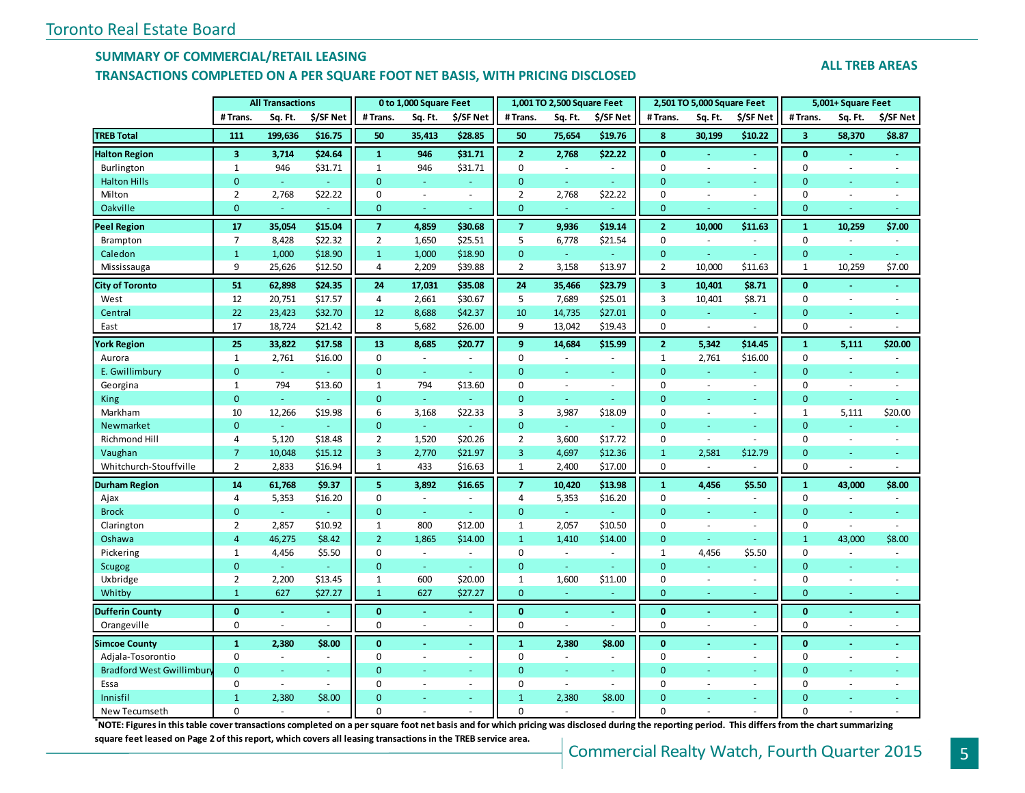### **SUMMARY OF COMMERCIAL/RETAIL LEASING**

### **TRANSACTIONS COMPLETED ON A PER SQUARE FOOT NET BASIS, WITH PRICING DISCLOSED**

#### **ALL TREB AREAS**

|                           |                         | <b>All Transactions</b> |           |                | 0 to 1,000 Square Feet   |                          |                | 1,001 TO 2,500 Square Feet |           |                  | 2,501 TO 5,000 Square Feet |                          |                | 5,001+ Square Feet       |           |
|---------------------------|-------------------------|-------------------------|-----------|----------------|--------------------------|--------------------------|----------------|----------------------------|-----------|------------------|----------------------------|--------------------------|----------------|--------------------------|-----------|
|                           | # Trans.                | Sq. Ft.                 | \$/SF Net | # Trans.       | Sq. Ft.                  | \$/SF Net                | # Trans.       | Sq. Ft.                    | \$/SF Net | # Trans.         | Sq. Ft.                    | \$/SF Net                | #Trans.        | Sq. Ft.                  | \$/SF Net |
| <b>TREB Total</b>         | 111                     | 199,636                 | \$16.75   | 50             | 35,413                   | \$28.85                  | 50             | 75,654                     | \$19.76   | 8                | 30,199                     | \$10.22                  | 3              | 58,370                   | \$8.87    |
| <b>Halton Region</b>      | $\overline{\mathbf{3}}$ | 3,714                   | \$24.64   | $\mathbf{1}$   | 946                      | \$31.71                  | $\overline{2}$ | 2,768                      | \$22.22   | $\mathbf{0}$     | $\sim$                     | $\omega$                 | $\mathbf{0}$   | $\blacksquare$           | $\sim$    |
| Burlington                | $\mathbf{1}$            | 946                     | \$31.71   | $\mathbf{1}$   | 946                      | \$31.71                  | $\mathbf 0$    | $\sim$                     | $\sim$    | $\mathbf{0}$     | $\sim$                     | $\sim$                   | $\mathbf 0$    | ä,                       | $\sim$    |
| <b>Halton Hills</b>       | $\overline{0}$          | G.                      | ÷         | $\mathbf{0}$   | ÷                        | $\sim$                   | $\overline{0}$ | $\omega$                   | a.        | $\Omega$         | ä,                         | $\sim$                   | $\overline{0}$ | Ξ                        |           |
| Milton                    | $\overline{2}$          | 2,768                   | \$22.22   | $\Omega$       | $\overline{\phantom{a}}$ | $\omega$                 | $\overline{2}$ | 2,768                      | \$22.22   | $\mathbf 0$      | ÷,                         | $\sim$                   | $\mathbf 0$    | ÷,                       | $\sim$    |
| Oakville                  | $\overline{0}$          | ä,                      |           | $\mathbf{0}$   | ä,                       | $\sim$                   | $\mathbf 0$    | ٠                          |           | $\mathbf{0}$     | L.                         |                          | $\overline{0}$ | ä,                       |           |
| <b>Peel Region</b>        | 17                      | 35,054                  | \$15.04   | $\overline{7}$ | 4,859                    | \$30.68                  | $\overline{7}$ | 9,936                      | \$19.14   | $\overline{2}$   | 10,000                     | \$11.63                  | $\mathbf{1}$   | 10,259                   | \$7.00    |
| Brampton                  | $\overline{7}$          | 8,428                   | \$22.32   | $\overline{2}$ | 1,650                    | \$25.51                  | 5              | 6,778                      | \$21.54   | $\mathbf{0}$     | ÷,                         | $\blacksquare$           | $\pmb{0}$      | $\overline{\phantom{a}}$ | $\omega$  |
| Caledon                   | $\mathbf{1}$            | 1,000                   | \$18.90   | $\mathbf{1}$   | 1,000                    | \$18.90                  | $\mathbf 0$    | $\omega$                   |           | $\mathbf{0}$     | Ξ                          | $\equiv$                 | $\mathbf{0}$   | Ξ                        | $\omega$  |
| Mississauga               | 9                       | 25,626                  | \$12.50   | 4              | 2,209                    | \$39.88                  | $\overline{2}$ | 3,158                      | \$13.97   | $\overline{2}$   | 10,000                     | \$11.63                  | 1              | 10,259                   | \$7.00    |
| <b>City of Toronto</b>    | 51                      | 62,898                  | \$24.35   | 24             | 17,031                   | \$35.08                  | 24             | 35,466                     | \$23.79   | 3                | 10,401                     | \$8.71                   | $\mathbf{0}$   |                          |           |
| West                      | 12                      | 20,751                  | \$17.57   | 4              | 2,661                    | \$30.67                  | 5              | 7,689                      | \$25.01   | 3                | 10,401                     | \$8.71                   | $\mathbf 0$    | $\bar{a}$                | $\sim$    |
| Central                   | 22                      | 23,423                  | \$32.70   | 12             | 8,688                    | \$42.37                  | 10             | 14,735                     | \$27.01   | $\mathbf{0}$     | ÷,                         | $\omega$                 | $\overline{0}$ | Ξ                        | $\sim$    |
| East                      | 17                      | 18,724                  | \$21.42   | 8              | 5,682                    | \$26.00                  | 9              | 13,042                     | \$19.43   | $\mathbf 0$      | $\sim$                     | $\sim$                   | $\mathbf 0$    | ä,                       | $\sim$    |
| <b>York Region</b>        | 25                      | 33,822                  | \$17.58   | 13             | 8,685                    | \$20.77                  | 9              | 14,684                     | \$15.99   | $\overline{2}$   | 5,342                      | \$14.45                  | $\mathbf{1}$   | 5,111                    | \$20.00   |
| Aurora                    | $\mathbf{1}$            | 2,761                   | \$16.00   | $\mathbf 0$    | $\overline{\phantom{a}}$ | ÷.                       | 0              | $\sim$                     | $\sim$    | $\mathbf{1}$     | 2,761                      | \$16.00                  | $\mathbf 0$    | $\bar{a}$                |           |
| E. Gwillimbury            | $\mathbf{0}$            | $\omega$                |           | $\mathbf{0}$   | $\omega$                 | $\omega$                 | $\overline{0}$ | $\sim$                     | $\sim$    | $\Omega$         | ä,                         | ÷                        | $\overline{0}$ | ٠                        |           |
| Georgina                  | $\mathbf{1}$            | 794                     | \$13.60   | 1              | 794                      | \$13.60                  | $\mathbf 0$    | $\sim$                     | $\sim$    | $\mathbf{0}$     | $\sim$                     | $\overline{\phantom{a}}$ | 0              | ÷,                       |           |
| <b>King</b>               | $\mathbf 0$             | ä,                      |           | $\mathbf{0}$   | ÷.                       | $\sim$                   | $\mathbf 0$    | $\omega$                   | $\sim$    | $\mathbf{0}$     | Ξ                          | $\sim$                   | $\mathbf 0$    | ÷.                       |           |
| Markham                   | 10                      | 12,266                  | \$19.98   | 6              | 3,168                    | \$22.33                  | 3              | 3,987                      | \$18.09   | $\mathbf 0$      | $\sim$                     | $\overline{\phantom{a}}$ | 1              | 5,111                    | \$20.00   |
| Newmarket                 | $\mathbf{0}$            | ÷.                      |           | $\mathbf{0}$   | ÷                        | $\overline{\phantom{a}}$ | $\mathbf 0$    | ÷                          | $\sim$    | $\mathbf{0}$     | ÷.                         | $\sim$                   | $\mathbf{0}$   | Ξ                        |           |
| Richmond Hill             | 4                       | 5,120                   | \$18.48   | $\overline{2}$ | 1,520                    | \$20.26                  | $\overline{2}$ | 3,600                      | \$17.72   | $\mathbf{0}$     | $\sim$                     | $\sim$                   | $\mathbf 0$    | $\blacksquare$           | ÷         |
| Vaughan                   | $\overline{7}$          | 10,048                  | \$15.12   | 3              | 2,770                    | \$21.97                  | 3              | 4,697                      | \$12.36   | $\mathbf{1}$     | 2,581                      | \$12.79                  | 0              | Ξ                        |           |
| Whitchurch-Stouffville    | $\overline{2}$          | 2,833                   | \$16.94   | $\mathbf{1}$   | 433                      | \$16.63                  | $\mathbf{1}$   | 2,400                      | \$17.00   | $\mathbf 0$      |                            |                          | $\mathbf 0$    | ÷,                       | $\sim$    |
| <b>Durham Region</b>      | 14                      | 61,768                  | \$9.37    | 5              | 3,892                    | \$16.65                  | $\overline{7}$ | 10,420                     | \$13.98   | $\mathbf{1}$     | 4,456                      | \$5.50                   | $\mathbf{1}$   | 43,000                   | \$8.00    |
| Ajax                      | $\overline{4}$          | 5,353                   | \$16.20   | $\mathbf 0$    | $\sim$                   | $\bar{a}$                | $\overline{4}$ | 5,353                      | \$16.20   | $\Omega$         | ÷,                         |                          | $\mathbf 0$    | ÷,                       |           |
| <b>Brock</b>              | $\mathbf{0}$            | $\omega$                | ÷         | $\mathbf{0}$   | $\omega$                 | ÷                        | $\mathbf 0$    | $\omega$                   | ÷         | $\Omega$         | $\equiv$                   | ÷                        | $\overline{0}$ | $\equiv$                 | ÷         |
| Clarington                | $\overline{2}$          | 2,857                   | \$10.92   | $\mathbf{1}$   | 800                      | \$12.00                  | $\mathbf{1}$   | 2,057                      | \$10.50   | $\Omega$         | ÷,                         | $\sim$                   | $\mathbf 0$    | $\bar{a}$                | $\sim$    |
| Oshawa                    | 4                       | 46,275                  | \$8.42    | $\overline{2}$ | 1,865                    | \$14.00                  | $\mathbf{1}$   | 1,410                      | \$14.00   | $\mathbf{0}$     | ä,                         |                          | $\mathbf{1}$   | 43,000                   | \$8.00    |
| Pickering                 | $\mathbf{1}$            | 4,456                   | \$5.50    | $\mathbf 0$    | $\sim$                   | $\sim$                   | $\mathbf 0$    | $\sim$                     | $\sim$    | $\mathbf{1}$     | 4,456                      | \$5.50                   | 0              | $\sim$                   | $\sim$    |
| <b>Scugog</b>             | $\mathbf{0}$            | ä,                      |           | $\mathbf{0}$   | $\omega$                 | $\sim$                   | $\mathbf{0}$   | $\omega$                   |           | $\mathbf{0}$     | Ξ                          |                          | $\overline{0}$ | Ξ                        |           |
| Uxbridge                  | $\overline{2}$          | 2,200                   | \$13.45   | $\mathbf{1}$   | 600                      | \$20.00                  | $\mathbf{1}$   | 1,600                      | \$11.00   | $\mathbf 0$      | $\sim$                     | $\sim$                   | $\mathbf 0$    | $\sim$                   | $\sim$    |
| Whitby                    | $\mathbf{1}$            | 627                     | \$27.27   | $\mathbf{1}$   | 627                      | \$27.27                  | $\mathbf 0$    | ٠                          |           | $\mathbf{0}$     | u,                         |                          | $\overline{0}$ | $\equiv$                 | $\sim$    |
| <b>Dufferin County</b>    | $\bf{0}$                | $\sim$                  | $\sim$    | $\bf{0}$       |                          | $\sim$                   | $\bf{0}$       | ä,                         | $\sim$    | $\bf{0}$         | ä,                         |                          | $\bf{0}$       | $\sim$                   | $\sim$    |
| Orangeville               | $\pmb{0}$               | $\sim$                  | $\sim$    | $\mathbf 0$    | $\sim$                   | $\sim$                   | $\pmb{0}$      | ÷.                         | $\sim$    | $\boldsymbol{0}$ | $\sim$                     | $\sim$                   | $\mathbf 0$    | $\sim$                   | $\sim$    |
| <b>Simcoe County</b>      | $\mathbf{1}$            | 2,380                   | \$8.00    | $\mathbf{0}$   | ٠                        | $\sim$                   | $\mathbf{1}$   | 2,380                      | \$8.00    | $\mathbf{0}$     | ä,                         | $\sim$                   | $\mathbf{0}$   | ä,                       | $\sim$    |
| Adjala-Tosorontio         | $\mathbf 0$             | $\omega$                | $\sim$    | $\Omega$       | L.                       | $\sim$                   | $\mathbf 0$    | ÷,                         |           | $\Omega$         | ÷,                         | $\sim$                   | 0              | $\sim$                   |           |
| Bradford West Gwillimbury | $\mathbf{0}$            | ÷.                      | $\sim$    | $\mathbf{0}$   | ÷.                       | ÷                        | $\mathbf{0}$   | ÷                          | $\sim$    | $\Omega$         | ä,                         | $\sim$                   | $\overline{0}$ | Ξ                        |           |
| Essa                      | $\Omega$                | $\omega$                | $\sim$    | $\mathbf 0$    | $\overline{\phantom{a}}$ | $\sim$                   | $\mathbf 0$    | $\omega$                   | $\sim$    | $\Omega$         | $\sim$                     | $\sim$                   | $\Omega$       | $\bar{a}$                | $\sim$    |
| Innisfil                  | $\overline{1}$          | 2,380                   | \$8.00    | $\Omega$       |                          | $\sim$                   | $\mathbf{1}$   | 2,380                      | \$8.00    | $\Omega$         |                            |                          | $\overline{0}$ |                          |           |
| New Tecumseth             | $\Omega$                | $\sim$                  | $\sim$    | $\Omega$       |                          |                          | $\Omega$       | L.                         |           | $\Omega$         |                            |                          | $\Omega$       |                          |           |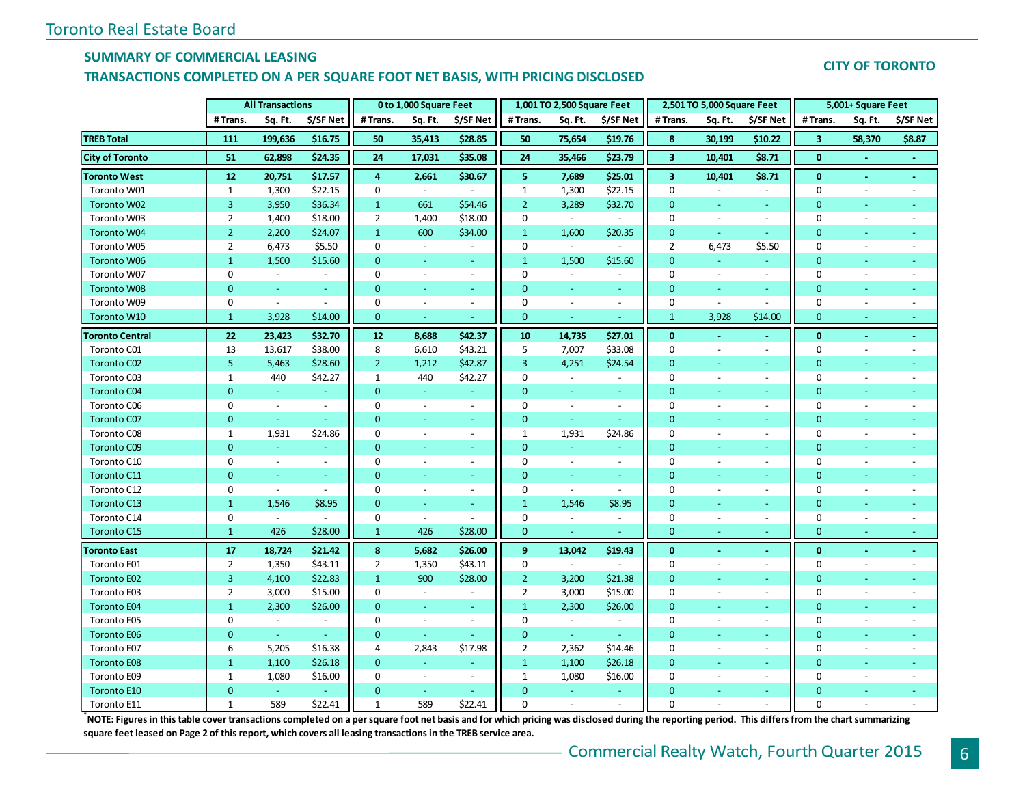### **SUMMARY OF COMMERCIAL LEASING**

### **TRANSACTIONS COMPLETED ON A PER SQUARE FOOT NET BASIS, WITH PRICING DISCLOSED**

## **CITY OF TORONTO**

|                        |                | <b>All Transactions</b> |                |                | 0 to 1,000 Square Feet   |                          |                | 1,001 TO 2,500 Square Feet |                          |                         | 2,501 TO 5,000 Square Feet |                          |                | 5,001+ Square Feet       |                |
|------------------------|----------------|-------------------------|----------------|----------------|--------------------------|--------------------------|----------------|----------------------------|--------------------------|-------------------------|----------------------------|--------------------------|----------------|--------------------------|----------------|
|                        | # Trans.       | Sq. Ft.                 | \$/SF Net      | #Trans.        | Sq. Ft.                  | \$/SF Net                | # Trans.       | Sq. Ft.                    | \$/SF Net                | #Trans.                 | Sq. Ft.                    | \$/SF Net                | # Trans.       | Sq. Ft.                  | \$/SF Net      |
| <b>TREB Total</b>      | 111            | 199,636                 | \$16.75        | 50             | 35,413                   | \$28.85                  | 50             | 75,654                     | \$19.76                  | 8                       | 30,199                     | \$10.22                  | 3              | 58,370                   | \$8.87         |
| <b>City of Toronto</b> | 51             | 62,898                  | \$24.35        | 24             | 17,031                   | \$35.08                  | 24             | 35,466                     | \$23.79                  | $\overline{\mathbf{3}}$ | 10,401                     | \$8.71                   | $\bf{0}$       |                          |                |
| <b>Toronto West</b>    | 12             | 20,751                  | \$17.57        | 4              | 2,661                    | \$30.67                  | 5              | 7,689                      | \$25.01                  | 3                       | 10,401                     | \$8.71                   | $\mathbf{0}$   |                          |                |
| Toronto W01            | $\mathbf{1}$   | 1,300                   | \$22.15        | 0              | $\overline{\phantom{a}}$ |                          | $\mathbf{1}$   | 1,300                      | \$22.15                  | $\mathbf 0$             |                            |                          | $\mathbf 0$    |                          |                |
| Toronto W02            | 3              | 3,950                   | \$36.34        | $\mathbf{1}$   | 661                      | \$54.46                  | $\overline{2}$ | 3,289                      | \$32.70                  | $\overline{0}$          | $\sim$                     | $\equiv$                 | $\overline{0}$ | $\equiv$                 |                |
| Toronto W03            | $\overline{2}$ | 1,400                   | \$18.00        | $\overline{2}$ | 1,400                    | \$18.00                  | 0              | $\omega$                   | $\sim$                   | $\mathbf 0$             | $\overline{\phantom{a}}$   | $\blacksquare$           | 0              | $\sim$                   |                |
| <b>Toronto W04</b>     | $\overline{2}$ | 2,200                   | \$24.07        | $\mathbf{1}$   | 600                      | \$34.00                  | $\mathbf{1}$   | 1,600                      | \$20.35                  | $\mathbf 0$             | $\omega$                   | $\blacksquare$           | $\mathbf{0}$   |                          |                |
| Toronto W05            | $\overline{2}$ | 6,473                   | \$5.50         | 0              | $\blacksquare$           | $\overline{\phantom{a}}$ | 0              | $\sim$                     | $\sim$                   | $\overline{2}$          | 6,473                      | \$5.50                   | $\mathbf 0$    | $\sim$                   |                |
| <b>Toronto W06</b>     | $\mathbf{1}$   | 1,500                   | \$15.60        | 0              | $\blacksquare$           | $\blacksquare$           | $\mathbf{1}$   | 1,500                      | \$15.60                  | $\mathbf{0}$            | $\sim$                     | $\blacksquare$           | $\mathbf{0}$   | u,                       |                |
| Toronto W07            | 0              | $\sim$                  | $\sim$         | 0              | $\sim$                   | $\sim$                   | 0              | $\sim$                     | $\overline{\phantom{a}}$ | 0                       | $\sim$                     | $\sim$                   | 0              | $\overline{\phantom{a}}$ |                |
| <b>Toronto W08</b>     | $\Omega$       | $\omega$                | Ξ              | $\mathbf{0}$   |                          | $\blacksquare$           | $\Omega$       | Ξ                          | ÷.                       | $\overline{0}$          |                            | $\equiv$                 | $\overline{0}$ |                          |                |
| Toronto W09            | $\mathbf 0$    | $\blacksquare$          | $\sim$         | 0              | $\blacksquare$           | $\blacksquare$           | 0              | $\sim$                     | $\blacksquare$           | $\pmb{0}$               | $\blacksquare$             | $\sim$                   | $\mathbf 0$    | $\overline{\phantom{a}}$ | $\blacksquare$ |
| Toronto W10            | $\mathbf{1}$   | 3,928                   | \$14.00        | $\mathbf{0}$   | $\blacksquare$           | $\blacksquare$           | $\mathbf{0}$   | $\sim$                     | $\blacksquare$           | $\mathbf{1}$            | 3,928                      | \$14.00                  | $\mathbf{0}$   | $\sim$                   |                |
| <b>Toronto Central</b> | 22             | 23,423                  | \$32.70        | 12             | 8,688                    | \$42.37                  | 10             | 14,735                     | \$27.01                  | $\mathbf{0}$            | $\blacksquare$             | $\blacksquare$           | $\bf{0}$       | $\blacksquare$           | $\blacksquare$ |
| Toronto C01            | 13             | 13,617                  | \$38.00        | 8              | 6,610                    | \$43.21                  | 5              | 7,007                      | \$33.08                  | $\bf{0}$                | $\overline{\phantom{a}}$   | $\overline{a}$           | 0              | $\sim$                   | $\overline{a}$ |
| Toronto C02            | 5              | 5,463                   | \$28.60        | $\overline{2}$ | 1,212                    | \$42.87                  | 3              | 4,251                      | \$24.54                  | $\overline{0}$          | ٠                          | $\equiv$                 | $\mathbf 0$    | $\blacksquare$           |                |
| Toronto C03            | $\mathbf{1}$   | 440                     | \$42.27        | $\mathbf{1}$   | 440                      | \$42.27                  | 0              | $\sim$                     | $\omega$                 | 0                       | $\sim$                     | $\blacksquare$           | $\mathbf 0$    | $\overline{\phantom{a}}$ |                |
| Toronto C04            | $\mathbf{0}$   | i.                      |                | 0              | ÷                        | $\blacksquare$           | $\mathbf{0}$   | Ξ                          | ÷.                       | $\mathbf{0}$            |                            |                          | $\mathbf{0}$   |                          |                |
| Toronto C06            | 0              | $\omega$                | $\sim$         | 0              | $\sim$                   | $\overline{\phantom{a}}$ | 0              | $\sim$                     | $\blacksquare$           | 0                       |                            | $\overline{\phantom{a}}$ | $\Omega$       |                          |                |
| Toronto C07            | $\mathbf{0}$   | $\omega$                | Ξ              | $\mathbf 0$    | $\sim$                   | ÷.                       | $\mathbf{0}$   | $\omega$                   | $\omega$                 | $\overline{0}$          |                            | $\blacksquare$           | $\overline{0}$ |                          |                |
| Toronto C08            | $\mathbf{1}$   | 1,931                   | \$24.86        | 0              | $\overline{\phantom{a}}$ | $\overline{\phantom{a}}$ | $\mathbf{1}$   | 1,931                      | \$24.86                  | $\bf{0}$                | $\overline{\phantom{a}}$   | $\blacksquare$           | 0              | $\omega$                 |                |
| <b>Toronto C09</b>     | $\mathbf{0}$   | $\omega$                | Ξ              | $\mathbf{0}$   | $\omega$                 | ÷.                       | $\mathbf{0}$   | $\omega$                   | Ξ                        | $\overline{0}$          | ÷,                         | $\equiv$                 | $\overline{0}$ | ÷.                       |                |
| Toronto C10            | $\mathbf 0$    | $\blacksquare$          | $\omega$       | 0              | $\sim$                   | $\overline{\phantom{a}}$ | 0              | $\omega$                   | $\blacksquare$           | 0                       | $\overline{\phantom{a}}$   | $\blacksquare$           | $\mathbf 0$    | $\sim$                   |                |
| Toronto C11            | $\mathbf{0}$   | $\omega$                | $\equiv$       | 0              |                          | $\blacksquare$           | $\mathbf{0}$   | $\Box$                     | $\Box$                   | $\mathbf 0$             |                            | $\blacksquare$           | $\mathbf{0}$   |                          |                |
| Toronto C12            | 0              | $\omega$                | $\blacksquare$ | 0              | $\sim$                   | $\blacksquare$           | 0              | $\omega$                   | $\overline{\phantom{a}}$ | 0                       | $\overline{a}$             | $\blacksquare$           | $\mathbf 0$    | $\overline{\phantom{a}}$ |                |
| Toronto C13            | $\mathbf{1}$   | 1,546                   | \$8.95         | $\mathbf 0$    |                          | $\blacksquare$           | $\mathbf{1}$   | 1,546                      | \$8.95                   | $\overline{0}$          | ä,                         | $\equiv$                 | $\mathbf{0}$   | $\equiv$                 |                |
| Toronto C14            | 0              | $\omega$                | $\blacksquare$ | 0              | $\blacksquare$           | $\overline{\phantom{a}}$ | $\mathbf 0$    | $\sim$                     | $\blacksquare$           | $\pmb{0}$               | $\blacksquare$             | $\blacksquare$           | $\mathbf 0$    | $\sim$                   |                |
| Toronto C15            | $\mathbf{1}$   | 426                     | \$28.00        | $\mathbf{1}$   | 426                      | \$28.00                  | $\mathbf{0}$   |                            |                          | $\overline{0}$          |                            |                          | $\mathbf{0}$   |                          |                |
| <b>Toronto East</b>    | 17             | 18,724                  | \$21.42        | 8              | 5,682                    | \$26.00                  | 9              | 13,042                     | \$19.43                  | $\mathbf{0}$            | $\blacksquare$             | $\blacksquare$           | $\bf{0}$       | $\sim$                   | $\blacksquare$ |
| Toronto E01            | $\overline{2}$ | 1,350                   | \$43.11        | $\overline{2}$ | 1,350                    | \$43.11                  | 0              | $\sim$                     | $\sim$                   | $\bf{0}$                | $\sim$                     | $\blacksquare$           | $\mathbf 0$    | $\sim$                   | $\blacksquare$ |
| Toronto E02            | 3              | 4,100                   | \$22.83        | $\mathbf{1}$   | 900                      | \$28.00                  | $\overline{2}$ | 3,200                      | \$21.38                  | $\mathbf 0$             | ä,                         | $\blacksquare$           | $\mathbf{0}$   |                          |                |
| Toronto E03            | 2              | 3,000                   | \$15.00        | 0              | $\blacksquare$           | $\blacksquare$           | 2              | 3,000                      | \$15.00                  | 0                       | $\blacksquare$             | $\overline{\phantom{a}}$ | 0              | $\sim$                   |                |
| <b>Toronto E04</b>     | $\mathbf{1}$   | 2,300                   | \$26.00        | $\mathbf{0}$   | $\sim$                   | $\equiv$                 | $\mathbf{1}$   | 2,300                      | \$26.00                  | $\overline{0}$          |                            | $\sim$                   | $\mathbf 0$    |                          |                |
| Toronto E05            | $\mathbf 0$    | $\omega$                | $\blacksquare$ | 0              | $\blacksquare$           | $\blacksquare$           | 0              | $\blacksquare$             | $\blacksquare$           | 0                       | $\overline{\phantom{a}}$   | $\blacksquare$           | $\mathbf 0$    | ÷,                       |                |
| <b>Toronto E06</b>     | $\mathbf{0}$   | $\omega$                | Ξ              | 0              |                          |                          | $\mathbf 0$    | $\omega_{\rm c}$           | Ξ                        | $\mathbf{0}$            |                            |                          | $\mathbf{0}$   |                          |                |
| Toronto E07            | 6              | 5,205                   | \$16.38        | 4              | 2,843                    | \$17.98                  | $\overline{2}$ | 2,362                      | \$14.46                  | $\mathbf 0$             | $\sim$                     | $\overline{\phantom{a}}$ | $\mathbf 0$    | $\sim$                   | $\blacksquare$ |
| <b>Toronto E08</b>     | $\mathbf{1}$   | 1,100                   | \$26.18        | $\mathbf{0}$   | i.                       | ٠                        | $\mathbf{1}$   | 1,100                      | \$26.18                  | $\mathbf{0}$            | ÷.                         | $\omega$                 | $\overline{0}$ | ÷.                       |                |
| Toronto E09            | $\mathbf{1}$   | 1,080                   | \$16.00        | 0              | $\sim$                   | $\overline{\phantom{a}}$ | $\mathbf{1}$   | 1,080                      | \$16.00                  | 0                       | $\overline{\phantom{a}}$   | $\blacksquare$           | 0              | $\sim$                   |                |
| Toronto E10            | $\mathbf{0}$   | $\omega$                | $\equiv$       | $\mathbf{0}$   | $\blacksquare$           |                          | $\Omega$       |                            | $\blacksquare$           | $\overline{0}$          |                            | $\sim$                   | $\mathbf{0}$   |                          |                |
| Toronto E11            | $\mathbf{1}$   | 589                     | \$22.41        | $\mathbf{1}$   | 589                      | \$22.41                  | $\Omega$       | $\overline{a}$             | $\overline{\phantom{a}}$ | $\Omega$                | $\overline{a}$             | $\sim$                   | $\Omega$       | $\overline{a}$           |                |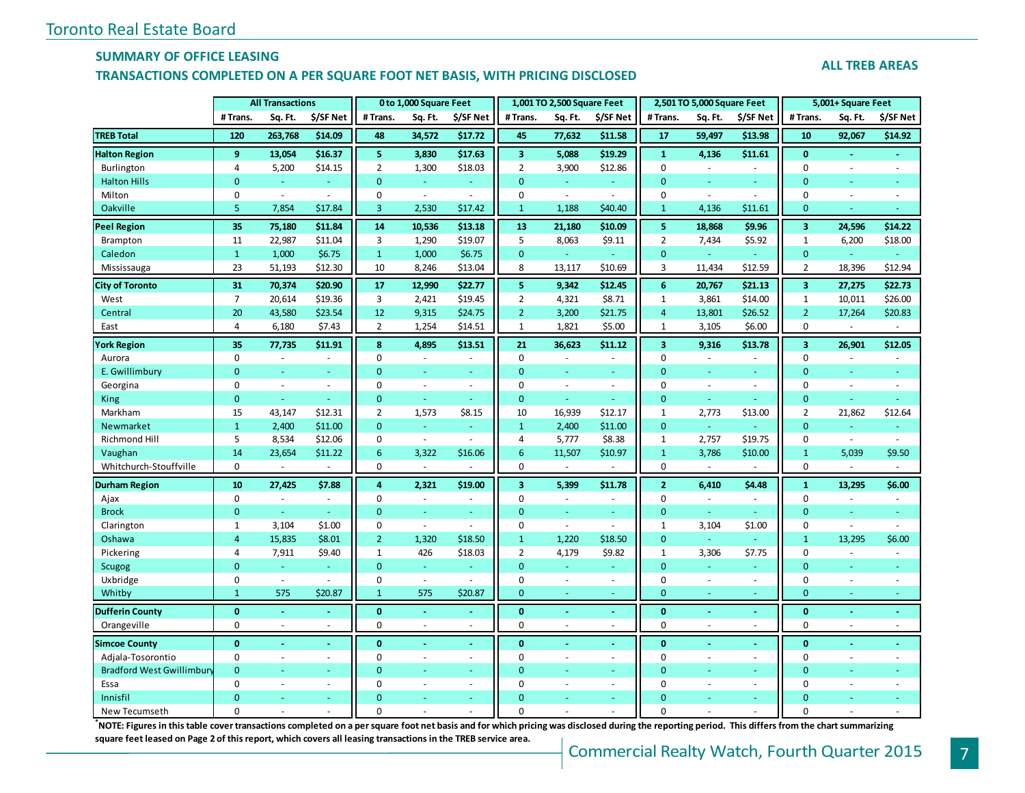### **SUMMARY OF OFFICE LEASING**

#### **TRANSACTIONS COMPLETED ON A PER SQUARE FOOT NET BASIS, WITH PRICING DISCLOSED**

#### **ALL TREB AREAS**

|                                  |                | <b>All Transactions</b> |           |                 | 0 to 1,000 Square Feet      |                          |                         | 1,001 TO 2,500 Square Feet |                          |                         | 2,501 TO 5,000 Square Feet |                |                         | 5,001+ Square Feet |                |
|----------------------------------|----------------|-------------------------|-----------|-----------------|-----------------------------|--------------------------|-------------------------|----------------------------|--------------------------|-------------------------|----------------------------|----------------|-------------------------|--------------------|----------------|
|                                  | # Trans.       | Sq. Ft.                 | \$/SF Net | #Trans.         | Sq. Ft.                     | \$/SF Net                | # Trans.                | Sq. Ft.                    | \$/SF Net                | # Trans.                | Sq. Ft.                    | \$/SF Net      | # Trans.                | Sq. Ft.            | \$/SF Net      |
| <b>TREB Total</b>                | 120            | 263,768                 | \$14.09   | 48              | 34,572                      | \$17.72                  | 45                      | 77,632                     | \$11.58                  | 17                      | 59,497                     | \$13.98        | 10                      | 92,067             | \$14.92        |
| <b>Halton Region</b>             | 9              | 13,054                  | \$16.37   | 5               | 3,830                       | \$17.63                  | $\overline{\mathbf{3}}$ | 5,088                      | \$19.29                  | $\mathbf{1}$            | 4,136                      | \$11.61        | $\mathbf{0}$            | $\blacksquare$     |                |
| Burlington                       | 4              | 5,200                   | \$14.15   | $\overline{2}$  | 1,300                       | \$18.03                  | $\overline{2}$          | 3,900                      | \$12.86                  | $\mathbf 0$             | $\sim$                     | ÷.             | $\mathbf 0$             | $\sim$             | $\sim$         |
| <b>Halton Hills</b>              | $\overline{0}$ | Ξ                       |           | $\overline{0}$  | ÷.                          | $\blacksquare$           | $\mathbf{0}$            | Ξ                          |                          | $\mathbf{0}$            | ÷,                         |                | $\mathbf 0$             | $\blacksquare$     |                |
| Milton                           | 0              | $\bar{\phantom{a}}$     | $\sim$    | $\mathbf 0$     | $\mathcal{L}_{\mathcal{A}}$ | $\omega$                 | $\mathbf 0$             | $\blacksquare$             | $\sim$                   | $\mathbf 0$             | $\sim$                     | ÷.             | 0                       | $\sim$             | $\sim$         |
| Oakville                         | 5              | 7,854                   | \$17.84   | 3               | 2,530                       | \$17.42                  | $\mathbf{1}$            | 1,188                      | \$40.40                  | $\mathbf{1}$            | 4,136                      | \$11.61        | $\mathbf{0}$            | Ξ                  |                |
| <b>Peel Region</b>               | 35             | 75,180                  | \$11.84   | 14              | 10,536                      | \$13.18                  | 13                      | 21,180                     | \$10.09                  | 5                       | 18,868                     | \$9.96         | $\overline{\mathbf{3}}$ | 24,596             | \$14.22        |
| Brampton                         | 11             | 22,987                  | \$11.04   | 3               | 1,290                       | \$19.07                  | 5                       | 8,063                      | \$9.11                   | $\overline{2}$          | 7,434                      | \$5.92         | $\mathbf{1}$            | 6,200              | \$18.00        |
| Caledon                          | $\mathbf{1}$   | 1,000                   | \$6.75    | $\mathbf{1}$    | 1,000                       | \$6.75                   | $\mathbf{0}$            | $\omega$                   |                          | $\mathbf{0}$            | ÷,                         | $\omega$       | $\mathbf{0}$            |                    |                |
| Mississauga                      | 23             | 51,193                  | \$12.30   | 10              | 8,246                       | \$13.04                  | 8                       | 13,117                     | \$10.69                  | 3                       | 11,434                     | \$12.59        | $\overline{2}$          | 18,396             | \$12.94        |
| <b>City of Toronto</b>           | 31             | 70,374                  | \$20.90   | 17              | 12,990                      | \$22.77                  | 5                       | 9,342                      | \$12.45                  | 6                       | 20,767                     | \$21.13        | $\overline{\mathbf{3}}$ | 27,275             | \$22.73        |
| West                             | $\overline{7}$ | 20,614                  | \$19.36   | 3               | 2,421                       | \$19.45                  | $\overline{2}$          | 4,321                      | \$8.71                   | $\mathbf{1}$            | 3,861                      | \$14.00        | $\mathbf{1}$            | 10,011             | \$26.00        |
| Central                          | 20             | 43,580                  | \$23.54   | 12              | 9,315                       | \$24.75                  | $\overline{2}$          | 3,200                      | \$21.75                  | $\overline{4}$          | 13,801                     | \$26.52        | $\overline{2}$          | 17,264             | \$20.83        |
| East                             | 4              | 6,180                   | \$7.43    | $\overline{2}$  | 1,254                       | \$14.51                  | $\mathbf 1$             | 1,821                      | \$5.00                   | $\mathbf{1}$            | 3,105                      | \$6.00         | 0                       | $\sim$             | $\sim$         |
| <b>York Region</b>               | 35             | 77,735                  | \$11.91   | 8               | 4,895                       | \$13.51                  | 21                      | 36,623                     | \$11.12                  | $\overline{\mathbf{3}}$ | 9,316                      | \$13.78        | $\overline{\mathbf{3}}$ | 26,901             | \$12.05        |
| Aurora                           | $\mathbf 0$    | $\sim$                  | $\sim$    | $\mathbf 0$     | $\bar{a}$                   |                          | $\mathbf 0$             | $\sim$                     | $\sim$                   | $\Omega$                | $\sim$                     | $\sim$         | 0                       | $\bar{a}$          | $\sim$         |
| E. Gwillimbury                   | $\overline{0}$ | ÷,                      |           | $\Omega$        | u,                          | $\sim$                   | $\mathbf{0}$            | ÷.                         |                          | $\Omega$                | ÷,                         | ÷              | $\mathbf{0}$            | ÷,                 |                |
| Georgina                         | 0              | $\sim$                  | $\sim$    | $\mathbf 0$     | $\bar{a}$                   | $\blacksquare$           | $\mathbf 0$             | $\sim$                     | $\blacksquare$           | $\mathbf 0$             | $\sim$                     | $\sim$         | $\mathbf 0$             | $\sim$             | ÷.             |
| King                             | $\mathbf 0$    | ÷                       | $\sim$    | $\mathbf{0}$    | ä,                          | $\sim$                   | $\mathbf{0}$            | ÷.                         | a.                       | $\mathbf{0}$            | ÷                          | $\omega$       | $\mathbf 0$             | ä,                 | $\sim$         |
| Markham                          | 15             | 43,147                  | \$12.31   | $\overline{2}$  | 1,573                       | \$8.15                   | 10                      | 16,939                     | \$12.17                  | $\mathbf{1}$            | 2,773                      | \$13.00        | $\overline{2}$          | 21,862             | \$12.64        |
| Newmarket                        | $\mathbf{1}$   | 2,400                   | \$11.00   | $\mathbf{0}$    | Ξ                           |                          | $\mathbf{1}$            | 2,400                      | \$11.00                  | $\mathbf{0}$            | G.                         |                | $\mathbf{0}$            | Ξ                  |                |
| Richmond Hill                    | 5              | 8,534                   | \$12.06   | $\Omega$        | $\omega$                    | $\sim$                   | $\overline{4}$          | 5,777                      | \$8.38                   | $\mathbf{1}$            | 2,757                      | \$19.75        | 0                       | $\omega$           | ÷.             |
| Vaughan                          | 14             | 23,654                  | \$11.22   | $6\phantom{1}6$ | 3,322                       | \$16.06                  | 6                       | 11,507                     | \$10.97                  | $\mathbf{1}$            | 3,786                      | \$10.00        | $\mathbf{1}$            | 5,039              | \$9.50         |
| Whitchurch-Stouffville           | $\Omega$       | ä,                      |           | $\Omega$        |                             |                          | $\Omega$                |                            |                          | $\Omega$                |                            |                | $\Omega$                |                    |                |
| Durham Region                    | 10             | 27,425                  | \$7.88    | $\overline{4}$  | 2,321                       | \$19.00                  | $\overline{\mathbf{3}}$ | 5,399                      | \$11.78                  | $\overline{2}$          | 6,410                      | \$4.48         | $\mathbf{1}$            | 13,295             | \$6.00         |
| Ajax                             | 0              | L.                      | $\sim$    | $\mathbf 0$     | L.                          |                          | $\mathbf 0$             | $\sim$                     | $\sim$                   | $\mathbf 0$             | $\sim$                     | $\sim$         | 0                       |                    | $\sim$         |
| <b>Brock</b>                     | $\mathbf{0}$   | $\equiv$                |           | $\mathbf{0}$    | $\equiv$                    | $\omega$                 | $\mathbf{0}$            | $\equiv$                   | $\sim$                   | $\mathbf{0}$            | Ξ                          | $\omega$       | $\mathbf{0}$            | Ξ                  | $\sim$         |
| Clarington                       | 1              | 3,104                   | \$1.00    | $\mathbf 0$     | $\bar{z}$                   | $\sim$                   | $\mathbf 0$             | $\sim$                     | $\sim$                   | $\mathbf{1}$            | 3,104                      | \$1.00         | 0                       | ä,                 | $\sim$         |
| Oshawa                           | $\overline{4}$ | 15,835                  | \$8.01    | $\overline{2}$  | 1,320                       | \$18.50                  | $\mathbf{1}$            | 1,220                      | \$18.50                  | $\mathbf{0}$            | Ξ                          | ÷,             | $\mathbf{1}$            | 13,295             | \$6.00         |
| Pickering                        | 4              | 7,911                   | \$9.40    | 1               | 426                         | \$18.03                  | $\mathbf 2$             | 4,179                      | \$9.82                   | $\mathbf{1}$            | 3,306                      | \$7.75         | 0                       | $\sim$             | $\sim$         |
| <b>Scugog</b>                    | $\overline{0}$ | ÷                       |           | $\overline{0}$  | ÷.                          |                          | $\mathbf{0}$            | u,                         |                          | $\mathbf{0}$            | ä,                         | ÷              | $\mathbf 0$             | u,                 |                |
| Uxbridge                         | 0              | $\omega$                | $\sim$    | $\Omega$        | $\omega$                    | $\sim$                   | $\mathbf 0$             | $\sim$                     | $\sim$                   | $\pmb{0}$               | $\sim$                     | $\sim$         | 0                       | $\sim$             | ÷.             |
| Whitby                           | $\mathbf{1}$   | 575                     | \$20.87   | $\mathbf{1}$    | 575                         | \$20.87                  | $\mathbf{0}$            | ÷.                         | $\sim$                   | $\mathbf{0}$            | ÷                          | ٠              | $\overline{0}$          | $\omega$           | $\sim$         |
| <b>Dufferin County</b>           | $\bf{0}$       | $\omega$                | $\omega$  | $\bf{0}$        | $\blacksquare$              | $\sim$                   | $\mathbf{0}$            | $\omega$                   | $\sim$                   | $\mathbf{0}$            | $\blacksquare$             | $\blacksquare$ | $\mathbf{0}$            | $\sim$             | $\sim$         |
| Orangeville                      | $\mathbf 0$    | $\mathcal{L}$           | $\sim$    | $\mathbf 0$     | ÷,                          | $\overline{\phantom{a}}$ | $\mathbf 0$             | ä,                         | $\sim$                   | $\mathbf 0$             | ä,                         | $\sim$         | 0                       | $\sim$             | $\blacksquare$ |
| <b>Simcoe County</b>             | $\bf{0}$       |                         |           | $\bf{0}$        | ä,                          | $\blacksquare$           | $\bf{0}$                |                            |                          | $\mathbf{0}$            |                            |                | $\bf{0}$                | ä,                 |                |
| Adjala-Tosorontio                | $\mathbf 0$    | $\sim$                  | $\sim$    | $\mathbf 0$     | $\bar{a}$                   | $\omega$                 | $\mathbf 0$             | $\sim$                     | $\omega$                 | $\mathbf 0$             | $\bar{a}$                  | $\sim$         | $\mathbf 0$             | $\sim$             | $\sim$         |
| <b>Bradford West Gwillimbury</b> | $\Omega$       | ä,                      | ÷         | $\Omega$        | u,                          | $\omega$                 | $\mathbf{0}$            | u,                         |                          | $\Omega$                | u,                         | $\omega$       | $\overline{0}$          | ٠                  |                |
| Essa                             | $\Omega$       | L.                      | $\sim$    | $\Omega$        | ÷.                          | $\sim$                   | $\mathbf 0$             | L.                         | $\overline{\phantom{a}}$ | $\Omega$                | L.                         | $\bar{a}$      | $\mathbf 0$             | $\bar{a}$          | $\sim$         |
| Innisfil                         | $\Omega$       |                         |           | $\Omega$        |                             |                          | $\Omega$                |                            |                          | $\Omega$                |                            |                | $\overline{0}$          |                    |                |
| New Tecumseth                    | $\Omega$       |                         |           | $\Omega$        |                             |                          | $\Omega$                |                            |                          | $\Omega$                |                            |                | $\Omega$                |                    |                |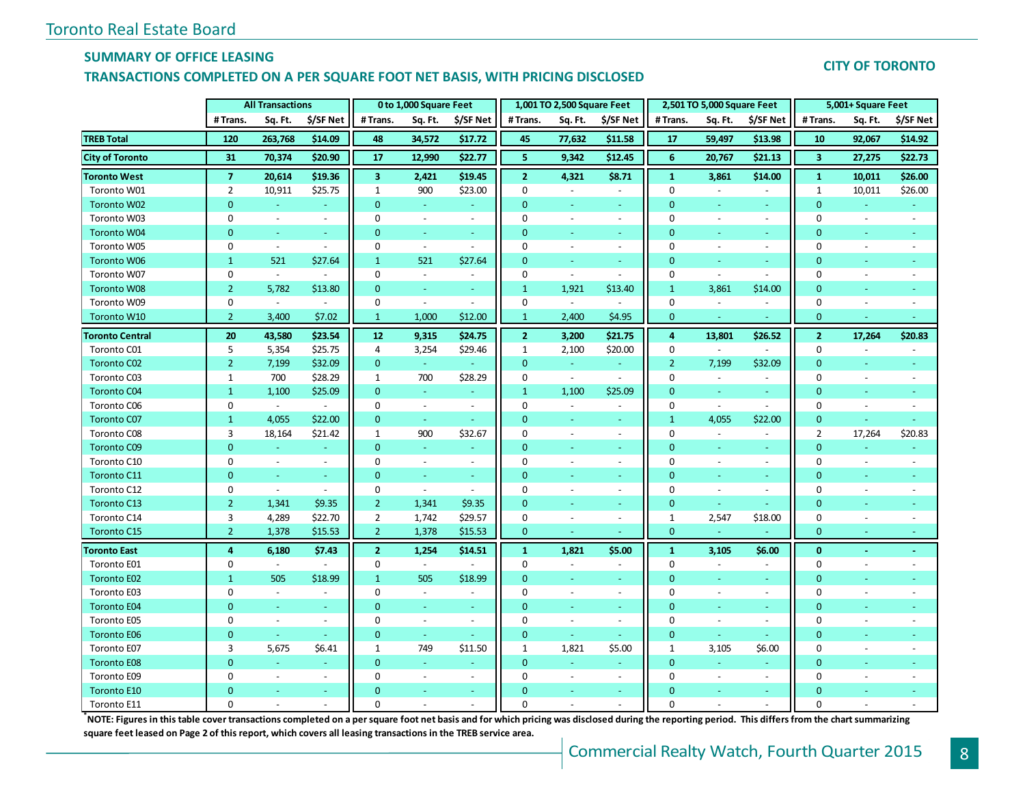## **SUMMARY OF OFFICE LEASING**

### **TRANSACTIONS COMPLETED ON A PER SQUARE FOOT NET BASIS, WITH PRICING DISCLOSED**

## **CITY OF TORONTO**

|                        |                  | <b>All Transactions</b> |                          |                         | 0 to 1,000 Square Feet   |                          |                | 1,001 TO 2,500 Square Feet |                          |                  | 2,501 TO 5,000 Square Feet |                          |                         | 5,001+ Square Feet |                          |
|------------------------|------------------|-------------------------|--------------------------|-------------------------|--------------------------|--------------------------|----------------|----------------------------|--------------------------|------------------|----------------------------|--------------------------|-------------------------|--------------------|--------------------------|
|                        | # Trans.         | Sq. Ft.                 | \$/SF Net                | # Trans.                | Sq. Ft.                  | \$/SF Net                | # Trans.       | Sq. Ft.                    | \$/SF Net                | #Trans.          | Sq. Ft.                    | \$/SF Net                | # Trans.                | Sq. Ft.            | \$/SF Net                |
| <b>TREB Total</b>      | 120              | 263,768                 | \$14.09                  | 48                      | 34,572                   | \$17.72                  | 45             | 77,632                     | \$11.58                  | 17               | 59,497                     | \$13.98                  | 10                      | 92,067             | \$14.92                  |
| <b>City of Toronto</b> | 31               | 70,374                  | \$20.90                  | 17                      | 12,990                   | \$22.77                  | 5              | 9,342                      | \$12.45                  | 6                | 20,767                     | \$21.13                  | $\overline{\mathbf{3}}$ | 27,275             | \$22.73                  |
| <b>Toronto West</b>    | $\overline{7}$   | 20,614                  | \$19.36                  | $\overline{\mathbf{3}}$ | 2,421                    | \$19.45                  | $\overline{2}$ | 4,321                      | \$8.71                   | $\mathbf{1}$     | 3,861                      | \$14.00                  | $\mathbf{1}$            | 10,011             | \$26.00                  |
| Toronto W01            | $\overline{2}$   | 10,911                  | \$25.75                  | $\mathbf{1}$            | 900                      | \$23.00                  | $\mathbf 0$    | $\sim$                     | $\overline{\phantom{a}}$ | $\mathbf 0$      | $\sim$                     | $\overline{\phantom{a}}$ | $\mathbf{1}$            | 10,011             | \$26.00                  |
| Toronto W02            | $\overline{0}$   | ÷.                      | $\omega$                 | $\overline{0}$          | $\sim$                   |                          | $\Omega$       | $\sim$                     | $\sim$                   | $\overline{0}$   |                            | $\omega$                 | $\overline{0}$          |                    |                          |
| Toronto W03            | $\mathbf 0$      | $\omega$                | $\blacksquare$           | 0                       | $\sim$                   | $\sim$                   | $\mathbf 0$    | $\sim$                     | $\overline{\phantom{a}}$ | $\mathbf 0$      | $\sim$                     | $\blacksquare$           | $\mathbf 0$             | $\sim$             | $\overline{\phantom{a}}$ |
| <b>Toronto W04</b>     | 0                | $\omega$                | $\Box$                   | 0                       | $\omega$                 | $\omega$                 | $\mathbf{0}$   | ÷                          | ä,                       | $\mathbf{0}$     | i a                        | $\omega$                 | 0                       | $\blacksquare$     |                          |
| Toronto W05            | $\Omega$         | $\omega$                | $\bar{\phantom{a}}$      | $\pmb{0}$               | $\sim$                   | $\overline{\phantom{a}}$ | $\Omega$       | $\overline{\phantom{a}}$   | $\blacksquare$           | $\Omega$         | $\sim$                     | $\sim$                   | $\Omega$                | $\blacksquare$     |                          |
| <b>Toronto W06</b>     | $\mathbf{1}$     | 521                     | \$27.64                  | $\mathbf{1}$            | 521                      | \$27.64                  | $\mathbf{0}$   | $\omega$                   | ÷.                       | $\mathbf{0}$     | $\overline{\phantom{a}}$   | $\omega_{\rm c}$         | $\mathbf{0}$            |                    |                          |
| Toronto W07            | $\mathbf 0$      | $\blacksquare$          | $\bar{\phantom{a}}$      | 0                       | $\overline{\phantom{a}}$ | $\overline{\phantom{a}}$ | 0              | $\sim$                     | $\blacksquare$           | $\mathbf 0$      | $\sim$                     | $\sim$                   | 0                       | $\sim$             |                          |
| <b>Toronto W08</b>     | $\overline{2}$   | 5,782                   | \$13.80                  | $\mathbf{0}$            | ÷                        | ٠                        | $\mathbf{1}$   | 1,921                      | \$13.40                  | $\mathbf{1}$     | 3,861                      | \$14.00                  | $\mathbf{0}$            |                    |                          |
| Toronto W09            | $\boldsymbol{0}$ | $\omega$                | $\blacksquare$           | 0                       | $\omega$                 | $\overline{\phantom{a}}$ | $\mathbf 0$    | $\sim$                     | $\sim$                   | $\boldsymbol{0}$ | $\blacksquare$             | $\omega$                 | $\mathbf 0$             | $\sim$             | $\overline{a}$           |
| Toronto W10            | $\overline{2}$   | 3,400                   | \$7.02                   | $\mathbf{1}$            | 1,000                    | \$12.00                  | $\mathbf{1}$   | 2,400                      | \$4.95                   | $\mathbf{0}$     |                            |                          | $\mathbf{0}$            |                    |                          |
| <b>Toronto Central</b> | 20               | 43,580                  | \$23.54                  | 12                      | 9,315                    | \$24.75                  | $\overline{2}$ | 3,200                      | \$21.75                  | $\overline{a}$   | 13,801                     | \$26.52                  | $\overline{2}$          | 17,264             | \$20.83                  |
| Toronto C01            | 5                | 5,354                   | \$25.75                  | 4                       | 3,254                    | \$29.46                  | 1              | 2,100                      | \$20.00                  | 0                | $\sim$                     | $\overline{\phantom{a}}$ | 0                       | $\sim$             |                          |
| <b>Toronto C02</b>     | $\overline{2}$   | 7,199                   | \$32.09                  | 0                       | $\omega$                 |                          | $\mathbf{0}$   | $\omega_{\rm c}$           | $\omega$                 | $\overline{2}$   | 7,199                      | \$32.09                  | $\mathbf{0}$            | $\omega$           |                          |
| Toronto C03            | $\mathbf{1}$     | 700                     | \$28.29                  | $\mathbf{1}$            | 700                      | \$28.29                  | $\mathbf 0$    | $\sim$                     | $\mathcal{L}$            | $\mathbf 0$      | $\omega$                   | $\sim$                   | 0                       | $\sim$             |                          |
| <b>Toronto C04</b>     | $\mathbf{1}$     | 1,100                   | \$25.09                  | $\mathbf{0}$            | $\omega$                 | ÷.                       | $\mathbf{1}$   | 1,100                      | \$25.09                  | $\mathbf{0}$     | ÷                          | ÷.                       | 0                       |                    |                          |
| Toronto C06            | 0                | $\blacksquare$          | $\sim$                   | $\mathbf 0$             | $\sim$                   | $\overline{\phantom{a}}$ | 0              | $\sim$                     | $\overline{\phantom{a}}$ | $\mathbf 0$      | $\sim$                     | $\overline{a}$           | 0                       | $\sim$             | $\overline{a}$           |
| <b>Toronto C07</b>     | $\mathbf{1}$     | 4,055                   | \$22.00                  | 0                       | $\equiv$                 |                          | $\mathbf{0}$   | ÷                          | ÷.                       | $\mathbf{1}$     | 4,055                      | \$22.00                  | $\overline{0}$          |                    |                          |
| Toronto C08            | 3                | 18,164                  | \$21.42                  | $\mathbf{1}$            | 900                      | \$32.67                  | $\mathbf 0$    | $\blacksquare$             | $\overline{\phantom{a}}$ | $\mathbf 0$      | $\sim$                     | $\overline{\phantom{a}}$ | $\overline{2}$          | 17,264             | \$20.83                  |
| <b>Toronto C09</b>     | $\Omega$         | $\omega$                | ÷                        | $\overline{0}$          | $\omega$                 | $\sim$                   | $\mathbf{0}$   | i a                        | ÷                        | $\overline{0}$   | <b>Co</b>                  | $\sim$                   | $\overline{0}$          | $\sim$             |                          |
| Toronto C10            | $\mathbf 0$      | $\blacksquare$          | $\blacksquare$           | 0                       | $\omega$                 | $\sim$                   | 0              | $\omega$                   | $\overline{\phantom{a}}$ | $\mathbf 0$      | $\sim$                     | $\omega$                 | 0                       | $\omega$           | $\blacksquare$           |
| Toronto C11            | 0                | $\blacksquare$          | $\omega$                 | 0                       | $\omega$                 | $\omega$                 | $\mathbf{0}$   |                            | $\blacksquare$           | $\mathbf{0}$     | $\sim$                     | $\omega$                 | $\mathbf{0}$            | $\sim$             |                          |
| Toronto C12            | $\Omega$         | $\mathbb{Z}^2$          | $\overline{\phantom{a}}$ | 0                       | $\sim$                   | $\overline{\phantom{a}}$ | $\Omega$       | $\overline{\phantom{a}}$   | $\overline{\phantom{a}}$ | 0                | $\sim$                     | $\blacksquare$           | 0                       | $\sim$             |                          |
| Toronto C13            | $\overline{2}$   | 1,341                   | \$9.35                   | $\overline{2}$          | 1,341                    | \$9.35                   | $\overline{0}$ | $\omega$                   | $\omega$                 | 0                | ÷                          |                          | $\mathbf 0$             | $\omega$           |                          |
| Toronto C14            | 3                | 4,289                   | \$22.70                  | $\overline{2}$          | 1,742                    | \$29.57                  | $\mathbf 0$    | $\sim$                     | $\sim$                   | $\mathbf{1}$     | 2,547                      | \$18.00                  | $\bf{0}$                | $\sim$             |                          |
| Toronto C15            | $\overline{2}$   | 1,378                   | \$15.53                  | $\overline{2}$          | 1,378                    | \$15.53                  | $\mathbf 0$    |                            |                          | $\mathbf{0}$     |                            |                          | $\mathbf 0$             | $\sim$             |                          |
| <b>Toronto East</b>    | $\overline{4}$   | 6,180                   | \$7.43                   | $\overline{2}$          | 1,254                    | \$14.51                  | $\mathbf{1}$   | 1,821                      | \$5.00                   | $\mathbf{1}$     | 3,105                      | \$6.00                   | $\mathbf{0}$            | $\omega$           | ٠                        |
| Toronto E01            | 0                | $\sim$                  | $\sim$                   | 0                       | $\sim$                   |                          | 0              | $\sim$                     | $\overline{\phantom{a}}$ | $\mathbf 0$      | $\sim$                     | $\blacksquare$           | 0                       | $\sim$             | $\blacksquare$           |
| <b>Toronto E02</b>     | $\mathbf{1}$     | 505                     | \$18.99                  | $\mathbf{1}$            | 505                      | \$18.99                  | $\overline{0}$ |                            | Ξ                        | $\overline{0}$   |                            | $\blacksquare$           | $\mathbf{0}$            |                    |                          |
| Toronto E03            | $\mathbf 0$      | $\blacksquare$          | $\blacksquare$           | 0                       | $\blacksquare$           | $\overline{\phantom{a}}$ | 0              | $\overline{\phantom{a}}$   | $\blacksquare$           | $\mathbf 0$      | $\sim$                     | $\overline{\phantom{a}}$ | 0                       | $\sim$             |                          |
| <b>Toronto E04</b>     | $\Omega$         | $\Delta$                | $\sim$                   | 0                       | $\sim$                   | $\sim$                   | $\mathbf{0}$   | $\sim$                     | ÷.                       | $\mathbf{0}$     | ÷                          | $\sim$                   | $\mathbf{0}$            | $\sim$             |                          |
| Toronto E05            | 0                | $\omega$                | $\overline{\phantom{a}}$ | $\mathbf 0$             | $\sim$                   | $\sim$                   | $\mathbf 0$    | $\omega$                   | $\blacksquare$           | $\mathbf 0$      | $\sim$                     | $\omega$                 | 0                       | $\sim$             |                          |
| <b>Toronto E06</b>     | $\overline{0}$   |                         | Ξ                        | 0                       | i.                       |                          | $\overline{0}$ |                            | ÷.                       | $\overline{0}$   |                            |                          | $\mathbf{0}$            |                    |                          |
| Toronto E07            | 3                | 5,675                   | \$6.41                   | $\mathbf{1}$            | 749                      | \$11.50                  | $\mathbf{1}$   | 1,821                      | \$5.00                   | $\mathbf{1}$     | 3,105                      | \$6.00                   | $\mathbf 0$             | $\sim$             |                          |
| <b>Toronto E08</b>     | $\Omega$         | ÷.                      | $\equiv$                 | $\mathbf{0}$            | i.                       |                          | $\mathbf{0}$   | ÷                          | ÷                        | $\overline{0}$   | i.                         | $\blacksquare$           | $\overline{0}$          |                    |                          |
| Toronto E09            | 0                | $\omega$                | $\blacksquare$           | 0                       | $\sim$                   | $\blacksquare$           | $\mathbf 0$    | $\overline{\phantom{a}}$   | $\overline{\phantom{a}}$ | $\mathbf 0$      | $\sim$                     | $\blacksquare$           | 0                       |                    |                          |
| Toronto E10            | $\Omega$         | ÷                       | $\omega$                 | $\Omega$                | $\blacksquare$           | $\sim$                   | $\Omega$       |                            | ÷.                       | $\Omega$         | $\blacksquare$             | $\sim$                   | 0                       |                    |                          |
| Toronto E11            | 0                |                         |                          | 0                       |                          |                          | 0              |                            |                          | $\Omega$         |                            |                          | $\Omega$                |                    |                          |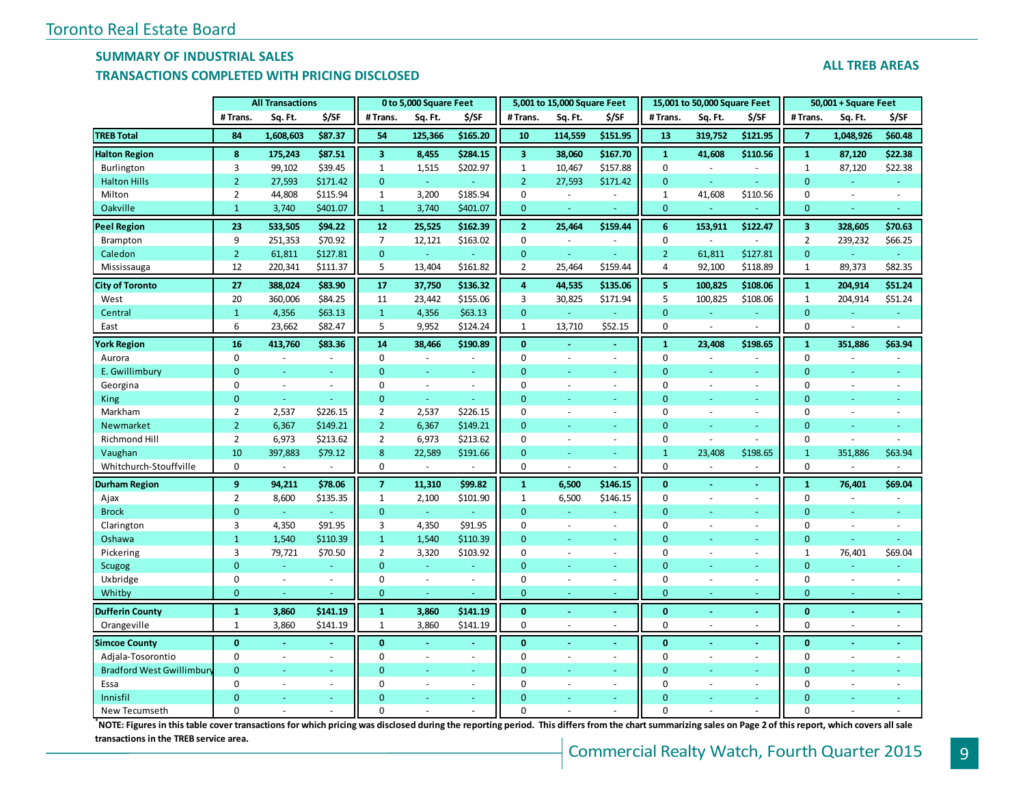#### **SUMMARY OF INDUSTRIAL SALES**

#### **TRANSACTIONS COMPLETED WITH PRICING DISCLOSED**

| IIMINJACIIONJ CONI LETER WITH I MCHNO PIJCEOJER |          |                         |          |          |                        |                          |          |                             |                          |          |                              |                          |          |                        |         |
|-------------------------------------------------|----------|-------------------------|----------|----------|------------------------|--------------------------|----------|-----------------------------|--------------------------|----------|------------------------------|--------------------------|----------|------------------------|---------|
|                                                 |          | <b>All Transactions</b> |          |          | 0 to 5,000 Square Feet |                          |          | 5,001 to 15,000 Square Feet |                          |          | 15,001 to 50,000 Square Feet |                          |          | $50,001 + Square$ Feet |         |
|                                                 | # Trans. | Sq. Ft.                 | \$/SF    | # Trans. | Sq. Ft.                | \$/SF                    | # Trans. | Sq. Ft.                     | \$/SF                    | # Trans. | Sq. Ft.                      | \$/SF                    | # Trans. | Sq. Ft.                | \$/SF   |
| <b>TREB Total</b>                               | 84       | 1,608,603               | \$87.37  | 54       | 125.366                | \$165.20                 | 10       | 114,559                     | \$151.95                 | 13       | 319,752                      | \$121.95                 |          | 1,048,926              | \$60.48 |
| <b>Halton Region</b>                            | 8        | 175.243                 | \$87.51  |          | 8,455                  | \$284.15                 |          | 38,060                      | \$167.70                 |          | 41,608                       | \$110.56                 |          | 87.120                 | \$22.38 |
| Burlington                                      |          | 99,102                  | \$39.45  |          | 1,515                  | \$202.97                 |          | 10,467                      | \$157.88                 |          |                              | $\overline{\phantom{a}}$ |          | 87,120                 | \$22.38 |
| <b>Halton Hills</b>                             |          | 27,593                  | \$171.42 | 0        |                        | $\overline{\phantom{a}}$ |          | 27,593                      | \$171.42                 | 0        |                              | $\sim$                   |          |                        |         |
| Milton                                          |          | 44,808                  | \$115.94 |          | 3,200                  | \$185.94                 |          |                             | $\overline{\phantom{a}}$ |          | 41,608                       | \$110.56                 |          |                        |         |

| 5 7                              | ີ              | ., ooo, oo. | ,,,,,,         | --             |                | -------  | . .            |                          | .              | $\sim$         | .                        | .              |                | .,,     | vvv. –                   |
|----------------------------------|----------------|-------------|----------------|----------------|----------------|----------|----------------|--------------------------|----------------|----------------|--------------------------|----------------|----------------|---------|--------------------------|
| <b>Halton Region</b>             | 8              | 175,243     | \$87.51        | 3              | 8,455          | \$284.15 | 3              | 38,060                   | \$167.70       | $\mathbf{1}$   | 41,608                   | \$110.56       | $\mathbf{1}$   | 87,120  | \$22.38                  |
| Burlington                       | 3              | 99,102      | \$39.45        | $\mathbf{1}$   | 1,515          | \$202.97 | $\mathbf{1}$   | 10,467                   | \$157.88       | $\mathbf 0$    |                          |                | $\mathbf{1}$   | 87,120  | \$22.38                  |
| <b>Halton Hills</b>              | $\overline{2}$ | 27,593      | \$171.42       | $\mathbf 0$    | $\blacksquare$ |          | $\overline{2}$ | 27,593                   | \$171.42       | $\mathbf{0}$   |                          |                | $\overline{0}$ |         |                          |
| Milton                           | $\overline{2}$ | 44,808      | \$115.94       | $\mathbf{1}$   | 3,200          | \$185.94 | $\mathbf 0$    | $\sim$                   |                | $1\,$          | 41,608                   | \$110.56       | $\pmb{0}$      | ä,      | $\overline{\phantom{a}}$ |
| Oakville                         | $\mathbf{1}$   | 3,740       | \$401.07       | $\mathbf{1}$   | 3,740          | \$401.07 | $\mathbf{0}$   | ÷,                       |                | $\mathbf{0}$   | ٠                        |                | $\mathbf{0}$   | ä,      |                          |
| <b>Peel Region</b>               | 23             | 533,505     | \$94.22        | 12             | 25,525         | \$162.39 | $\overline{2}$ | 25,464                   | \$159.44       | 6              | 153,911                  | \$122.47       | 3              | 328,605 | \$70.63                  |
| Brampton                         | 9              | 251,353     | \$70.92        | $\overline{7}$ | 12,121         | \$163.02 | $\mathbf 0$    | $\overline{\phantom{a}}$ |                | $\mathbf 0$    | $\overline{a}$           |                | $\overline{2}$ | 239,232 | \$66.25                  |
| Caledon                          | $\overline{2}$ | 61,811      | \$127.81       | $\overline{0}$ | Ξ              |          | $\mathbf{0}$   | ä,                       |                | $\overline{2}$ | 61,811                   | \$127.81       | $\mathbf{0}$   | ä,      |                          |
| Mississauga                      | 12             | 220,341     | \$111.37       | 5              | 13,404         | \$161.82 | $\overline{2}$ | 25,464                   | \$159.44       | $\overline{4}$ | 92,100                   | \$118.89       | $\mathbf{1}$   | 89,373  | \$82.35                  |
| <b>City of Toronto</b>           | 27             | 388,024     | \$83.90        | 17             | 37,750         | \$136.32 | 4              | 44,535                   | \$135.06       | 5              | 100,825                  | \$108.06       | $\mathbf{1}$   | 204,914 | \$51.24                  |
| West                             | 20             | 360,006     | \$84.25        | 11             | 23,442         | \$155.06 | 3              | 30,825                   | \$171.94       | 5              | 100,825                  | \$108.06       | $\mathbf{1}$   | 204,914 | \$51.24                  |
| Central                          | $\mathbf{1}$   | 4,356       | \$63.13        | $\mathbf{1}$   | 4,356          | \$63.13  | $\Omega$       | u,                       |                | $\Omega$       |                          |                | $\overline{0}$ |         |                          |
| East                             | 6              | 23,662      | \$82.47        | 5              | 9,952          | \$124.24 | 1              | 13,710                   | \$52.15        | $\Omega$       | $\overline{a}$           |                | $\mathbf 0$    | ä,      |                          |
| <b>York Region</b>               | 16             | 413,760     | \$83.36        | 14             | 38,466         | \$190.89 | $\mathbf{0}$   |                          |                | $\mathbf{1}$   | 23,408                   | \$198.65       | $\mathbf{1}$   | 351,886 | \$63.94                  |
| Aurora                           | 0              |             |                | $\mathbf 0$    |                |          | $\mathbf 0$    | ÷,                       |                | $\mathbf 0$    |                          |                | $\pmb{0}$      |         |                          |
| E. Gwillimbury                   | $\overline{0}$ | $\sim$      | ÷              | $\mathbf{0}$   | ÷,             | $\sim$   | $\Omega$       | ä,                       | ÷              | $\mathbf{0}$   | ÷,                       | ٠              | $\mathbf{0}$   | ä,      |                          |
| Georgina                         | 0              | $\sim$      | $\sim$         | $\mathbf 0$    | ÷,             | $\sim$   | $\Omega$       |                          | $\sim$         | $\Omega$       |                          | $\sim$         | $\mathbf 0$    |         |                          |
| King                             | $\overline{0}$ | $\sim$      |                | $\overline{0}$ | ä,             |          | $\Omega$       | ä,                       | $\sim$         | $\Omega$       | ٠                        | ٠              | $\mathbf{0}$   |         |                          |
| Markham                          | $\overline{2}$ | 2,537       | \$226.15       | $\overline{2}$ | 2,537          | \$226.15 | $\mathbf 0$    | ÷,                       | $\sim$         | $\mathbf 0$    | ÷,                       | $\sim$         | $\mathbf 0$    |         |                          |
| Newmarket                        | $\overline{2}$ | 6,367       | \$149.21       | $\overline{2}$ | 6,367          | \$149.21 | $\Omega$       | u,                       |                | $\Omega$       | ÷,                       | $\sim$         | $\mathbf{0}$   | L       |                          |
| Richmond Hill                    | $\overline{2}$ | 6,973       | \$213.62       | $\overline{2}$ | 6,973          | \$213.62 | $\Omega$       | $\overline{a}$           |                | $\mathbf 0$    | L.                       |                | $\mathbf 0$    |         |                          |
| Vaughan                          | 10             | 397,883     | \$79.12        | 8              | 22,589         | \$191.66 | $\Omega$       | L.                       | ÷              | $\mathbf{1}$   | 23,408                   | \$198.65       | $\mathbf{1}$   | 351,886 | \$63.94                  |
| Whitchurch-Stouffville           | 0              |             |                | 0              | ÷,             |          | $\mathbf 0$    | ÷,                       |                | $\mathbf 0$    |                          |                | $\mathbf 0$    |         |                          |
| <b>Durham Region</b>             | 9              | 94,211      | \$78.06        | $\overline{7}$ | 11,310         | \$99.82  | $\mathbf{1}$   | 6,500                    | \$146.15       | $\mathbf{0}$   |                          |                | $\mathbf{1}$   | 76,401  | \$69.04                  |
| Ajax                             | $\overline{2}$ | 8,600       | \$135.35       | $\mathbf{1}$   | 2,100          | \$101.90 | $\mathbf{1}$   | 6,500                    | \$146.15       | $\mathbf 0$    | $\overline{\phantom{a}}$ | ÷.             | $\mathbf 0$    | L,      |                          |
| <b>Brock</b>                     | $\overline{0}$ | ÷.          |                | $\mathbf{0}$   | ÷,             |          | $\Omega$       | u,                       |                | $\Omega$       | ÷,                       | $\sim$         | $\Omega$       | L.      |                          |
| Clarington                       | 3              | 4,350       | \$91.95        | 3              | 4,350          | \$91.95  | $\Omega$       | L.                       | $\sim$         | $\mathbf 0$    | ÷,                       | $\sim$         | $\mathbf 0$    | $\sim$  |                          |
| Oshawa                           | $\mathbf{1}$   | 1,540       | \$110.39       | $\mathbf{1}$   | 1,540          | \$110.39 | $\Omega$       | ä,                       | $\sim$         | $\Omega$       | ٠                        | $\equiv$       | $\mathbf{0}$   |         |                          |
| Pickering                        | 3              | 79,721      | \$70.50        | $\overline{2}$ | 3,320          | \$103.92 | $\mathbf 0$    | $\overline{\phantom{a}}$ | $\sim$         | $\mathbf 0$    | ÷,                       | $\sim$         | 1              | 76,401  | \$69.04                  |
| <b>Scugog</b>                    | $\overline{0}$ | ÷           |                | $\overline{0}$ | ÷              |          | $\Omega$       | L.                       |                | $\mathbf{0}$   | ÷,                       | $\equiv$       | $\mathbf{0}$   | u       |                          |
| Uxbridge                         | 0              | $\sim$      | $\sim$         | $\mathbf 0$    | $\bar{a}$      | $\sim$   | $\Omega$       | ÷,                       | $\sim$         | $\mathbf 0$    | ÷,                       | $\sim$         | $\mathbf 0$    | $\sim$  |                          |
| Whitby                           | $\mathbf{0}$   |             |                | $\mathbf 0$    | $\equiv$       |          | $\mathbf{0}$   | ÷                        |                | $\mathbf{0}$   | Ξ                        |                | $\mathbf{0}$   | u       |                          |
| <b>Dufferin County</b>           | $\mathbf{1}$   | 3,860       | \$141.19       | $\mathbf{1}$   | 3,860          | \$141.19 | $\mathbf 0$    | $\blacksquare$           |                | $\mathbf{0}$   | ÷                        |                | $\bf{0}$       | ÷       |                          |
| Orangeville                      | $\mathbf{1}$   | 3,860       | \$141.19       | $\mathbf{1}$   | 3,860          | \$141.19 | $\Omega$       | $\sim$                   | $\sim$         | $\mathbf 0$    | $\sim$                   | $\sim$         | $\mathbf 0$    | $\sim$  | $\sim$                   |
| <b>Simcoe County</b>             | $\mathbf{0}$   | $\sim$      | $\blacksquare$ | $\mathbf{0}$   | ä,             | $\sim$   | $\mathbf{0}$   | ٠                        | $\blacksquare$ | $\mathbf 0$    | ä,                       | $\blacksquare$ | $\mathbf{0}$   | ÷       |                          |
| Adjala-Tosorontio                | $\Omega$       |             | $\sim$         | $\mathbf 0$    | ÷,             |          | $\Omega$       |                          |                | $\mathbf 0$    | ä,                       |                | $\Omega$       |         |                          |
| <b>Bradford West Gwillimbury</b> | $\Omega$       |             | ÷              | $\overline{0}$ | $\equiv$       | ÷        | $\Omega$       | u,                       | $\sim$         | $\Omega$       | ÷,                       | ÷              | $\mathbf{0}$   | u,      |                          |
| Essa                             | $\Omega$       | $\sim$      | $\sim$         | 0              | $\bar{a}$      | $\sim$   | $\Omega$       | ÷.                       | $\sim$         | $\mathbf 0$    | ÷,                       | $\sim$         | $\mathbf 0$    | ä,      |                          |
| Innisfil                         | $\Omega$       |             | $\sim$         | $\overline{0}$ | u,             |          | $\Omega$       |                          |                | $\mathbf{0}$   | ٠                        | ÷              | $\overline{0}$ | L,      |                          |
| New Tecumseth                    | $\Omega$       |             |                | $\Omega$       | ÷.             |          | $\Omega$       | L.                       |                | $\Omega$       | ÷.                       | $\sim$         | $\Omega$       |         |                          |

**\*NOTE: Figures in this table cover transactions for which pricing was disclosed during the reporting period. This differs from the chart summarizing sales on Page 2 of this report, which covers all sale transactions in the TREB service area.**

#### **ALL TREB AREAS**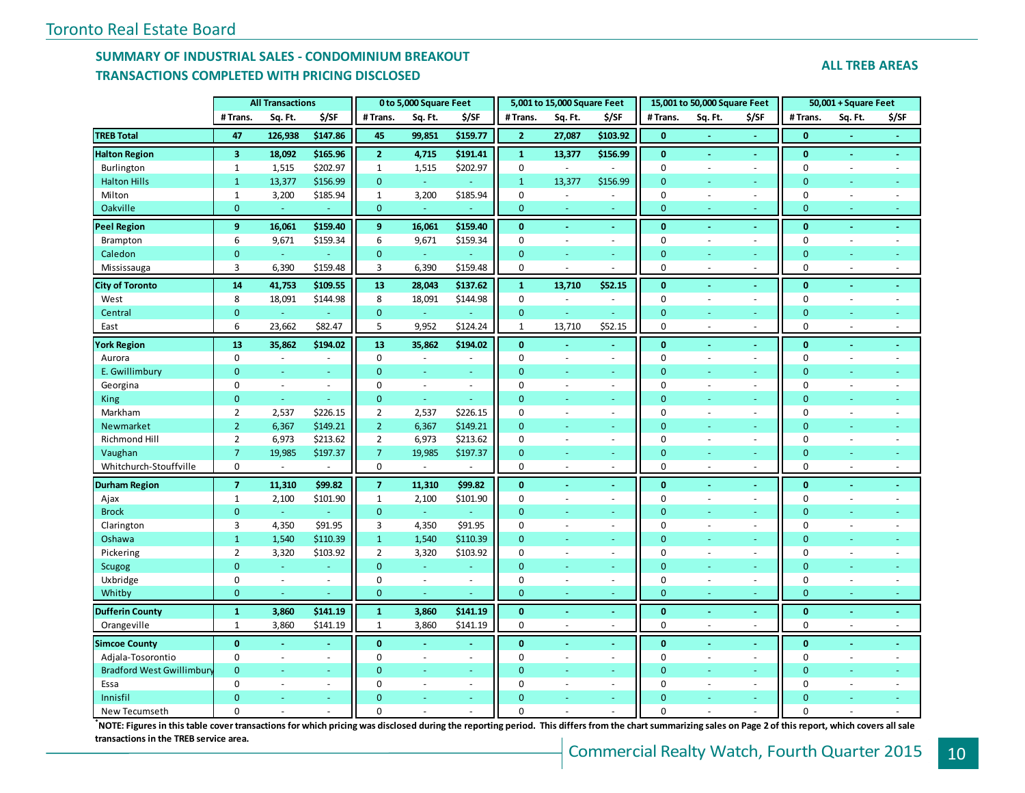## **SUMMARY OF INDUSTRIAL SALES - CONDOMINIUM BREAKOUT TRANSACTIONS COMPLETED WITH PRICING DISCLOSED**

|  |  |  | <b>ALL TREB AREAS</b> |  |
|--|--|--|-----------------------|--|
|--|--|--|-----------------------|--|

|                                 |                         | <b>All Transactions</b> |                |                | 0 to 5,000 Square Feet      |                          |                | 5,001 to 15,000 Square Feet |               |              | 15,001 to 50,000 Square Feet |                          |                | 50,001 + Square Feet     |                          |
|---------------------------------|-------------------------|-------------------------|----------------|----------------|-----------------------------|--------------------------|----------------|-----------------------------|---------------|--------------|------------------------------|--------------------------|----------------|--------------------------|--------------------------|
|                                 | #Trans.                 | Sq. Ft.                 | \$/SF          | # Trans.       | Sq. Ft.                     | \$/SF                    | #Trans.        | Sq. Ft.                     | \$/SF         | # Trans.     | Sq. Ft.                      | \$/SF                    | #Trans.        | Sq. Ft.                  | \$/SF                    |
| <b>TREB Total</b>               | 47                      | 126,938                 | \$147.86       | 45             | 99,851                      | \$159.77                 | $\overline{2}$ | 27,087                      | \$103.92      | $\mathbf{0}$ |                              | $\blacksquare$           | $\bf{0}$       | $\blacksquare$           | $\blacksquare$           |
| <b>Halton Region</b>            | $\overline{\mathbf{3}}$ | 18,092                  | \$165.96       | 2 <sup>2</sup> | 4,715                       | \$191.41                 | $\mathbf{1}$   | 13,377                      | \$156.99      | $\mathbf{0}$ | $\omega$                     | $\blacksquare$           | $\mathbf{0}$   | $\omega$                 | ÷.                       |
| Burlington                      | $\mathbf{1}$            | 1,515                   | \$202.97       | $\mathbf{1}$   | 1,515                       | \$202.97                 | $\mathbf 0$    | $\sim$                      |               | $\mathbf 0$  | $\bar{a}$                    | $\sim$                   | $\mathbf 0$    | $\overline{\phantom{a}}$ | $\sim$                   |
| <b>Halton Hills</b>             | $\mathbf{1}$            | 13,377                  | \$156.99       | $\mathbf{0}$   | $\omega$                    | $\sim$                   | $\mathbf{1}$   | 13,377                      | \$156.99      | $\mathbf{0}$ | ÷.                           | ÷                        | $\mathbf{0}$   | ÷                        |                          |
| Milton                          | $\mathbf{1}$            | 3,200                   | \$185.94       | $\mathbf{1}$   | 3,200                       | \$185.94                 | $\pmb{0}$      | $\blacksquare$              | $\sim$        | $\mathbf 0$  | ÷,                           | $\overline{\phantom{a}}$ | $\pmb{0}$      | $\overline{\phantom{a}}$ |                          |
| Oakville                        | $\mathbf 0$             |                         |                | $\mathbf{0}$   |                             |                          | $\mathbf{0}$   | ÷                           |               | $\mathbf{0}$ |                              | ÷                        | $\mathbf{0}$   | $\sim$                   | Ξ                        |
| <b>Peel Region</b>              | 9                       | 16,061                  | \$159.40       | 9              | 16,061                      | \$159.40                 | $\mathbf{0}$   | $\blacksquare$              | ÷,            | $\mathbf{0}$ | ÷,                           | $\blacksquare$           | $\mathbf{0}$   | $\omega$                 | $\blacksquare$           |
| Brampton                        | 6                       | 9,671                   | \$159.34       | 6              | 9,671                       | \$159.34                 | $\mathbf 0$    | $\bar{a}$                   | $\sim$        | $\mathbf 0$  | ÷,                           | $\sim$                   | $\mathbf 0$    | $\sim$                   | ä,                       |
| Caledon                         | $\mathbf 0$             | u,                      |                | $\mathbf{0}$   | u,                          |                          | $\mathbf{0}$   | Ξ                           | ÷.            | $\mathbf{0}$ | ÷                            | ÷                        | $\mathbf{0}$   | ٠                        |                          |
| Mississauga                     | 3                       | 6,390                   | \$159.48       | 3              | 6,390                       | \$159.48                 | $\mathbf 0$    | $\bar{a}$                   |               | $\mathbf 0$  | ÷,                           | $\sim$                   | $\pmb{0}$      | $\omega$                 | $\sim$                   |
| <b>City of Toronto</b>          | 14                      | 41,753                  | \$109.55       | 13             | 28,043                      | \$137.62                 | $\mathbf{1}$   | 13,710                      | \$52.15       | $\mathbf{0}$ |                              | $\omega$                 | $\mathbf{0}$   | $\omega$                 |                          |
| West                            | 8                       | 18,091                  | \$144.98       | 8              | 18,091                      | \$144.98                 | $\mathbf 0$    | $\overline{\phantom{a}}$    | $\sim$        | $\mathbf 0$  | $\sim$                       | $\sim$                   | $\pmb{0}$      | $\sim$                   |                          |
| Central                         | $\mathbf 0$             | u,                      |                | $\mathbf{0}$   | $\omega$                    |                          | $\mathbf{0}$   | ÷.                          | $\omega$ .    | $\mathbf{0}$ | ÷.                           | $\omega$                 | $\mathbf{0}$   | ÷                        | u                        |
| East                            | 6                       | 23,662                  | \$82.47        | 5              | 9,952                       | \$124.24                 | $\mathbf 1$    | 13,710                      | \$52.15       | $\pmb{0}$    | ÷,                           | $\overline{\phantom{a}}$ | $\pmb{0}$      | $\omega$                 | $\sim$                   |
| <b>York Region</b>              | 13                      | 35,862                  | \$194.02       | 13             | 35,862                      | \$194.02                 | $\mathbf{0}$   |                             |               | $\mathbf{0}$ |                              | ä,                       | $\mathbf{0}$   |                          |                          |
| Aurora                          | $\mathbf 0$             | ÷.                      | $\sim$         | $\mathbf 0$    | $\bar{a}$                   |                          | $\mathbf 0$    | $\bar{a}$                   | $\sim$        | $\mathbf 0$  | ÷,                           | $\sim$                   | $\mathbf 0$    | $\sim$                   | ÷                        |
| E. Gwillimbury                  | $\mathbf{0}$            | $\omega$                | $\equiv$       | $\mathbf{0}$   | $\equiv$                    | $\omega$                 | $\mathbf{0}$   | $\equiv$                    | u,            | $\mathbf{0}$ | ÷,                           | ä,                       | $\mathbf{0}$   | $\blacksquare$           |                          |
| Georgina                        | $\mathbf 0$             | $\sim$                  | ÷.             | $\mathbf 0$    | $\sim$                      | $\overline{\phantom{a}}$ | $\mathbf 0$    | ÷                           | $\sim$        | $\pmb{0}$    | ÷.                           | $\sim$                   | $\pmb{0}$      | ÷.                       | ÷,                       |
| King                            | $\mathbf 0$             | ÷                       |                | $\mathbf{0}$   | ÷.                          | Ξ                        | $\mathbf{0}$   |                             |               | $\mathbf{0}$ |                              |                          | $\mathbf{0}$   |                          |                          |
| Markham                         | $\overline{2}$          | 2,537                   | \$226.15       | $\overline{2}$ | 2,537                       | \$226.15                 | $\Omega$       | ÷                           | $\sim$        | $\mathbf 0$  | ÷.                           | $\sim$                   | $\mathbf 0$    | $\sim$                   |                          |
| Newmarket                       | $\overline{2}$          | 6,367                   | \$149.21       | $2^{\circ}$    | 6,367                       | \$149.21                 | $\mathbf{0}$   | ä,                          | ä,            | $\mathbf{0}$ | ä,                           | $\omega$                 | $\mathbf{0}$   | $\omega$                 |                          |
| Richmond Hill                   | $\overline{2}$          | 6,973                   | \$213.62       | $\overline{2}$ | 6,973                       | \$213.62                 | $\mathbf 0$    | $\overline{\phantom{a}}$    | $\sim$        | $\mathbf 0$  | ÷,                           | $\sim$                   | $\mathbf 0$    | $\sim$                   | ÷                        |
| Vaughan                         | $\overline{7}$          | 19,985                  | \$197.37       | $\overline{7}$ | 19,985                      | \$197.37                 | $\mathbf{0}$   |                             |               | $\mathbf{0}$ |                              | ÷.                       | $\mathbf{0}$   |                          |                          |
| Whitchurch-Stouffville          | 0                       | $\omega$                |                | 0              |                             |                          | $\mathbf 0$    |                             | ÷.            | $\pmb{0}$    | ÷.                           | $\sim$                   | $\pmb{0}$      | ÷.                       | $\sim$                   |
| <b>Durham Region</b>            | $\overline{7}$          | 11,310                  | \$99.82        | $\overline{7}$ | 11,310                      | \$99.82                  | $\mathbf{0}$   |                             |               | $\mathbf{0}$ |                              | $\blacksquare$           | $\mathbf{0}$   | ÷                        |                          |
| Ajax                            | $\mathbf{1}$            | 2,100                   | \$101.90       | $\mathbf{1}$   | 2,100                       | \$101.90                 | $\mathbf 0$    | ä,                          | $\sim$        | $\mathbf 0$  | ä,                           | $\sim$                   | $\pmb{0}$      | $\sim$                   |                          |
| <b>Brock</b>                    | $\mathbf 0$             | ÷.                      |                | $\mathbf{0}$   | G.                          |                          | $\mathbf{0}$   | Ξ                           | a.            | $\mathbf{0}$ | ÷                            | ÷                        | $\mathbf{0}$   | ٠                        |                          |
| Clarington                      | 3                       | 4,350                   | \$91.95        | 3              | 4,350                       | \$91.95                  | $\mathbf 0$    | ä,                          | $\omega$      | $\mathbf 0$  | ÷,                           | $\sim$                   | $\mathbf 0$    | $\overline{\phantom{a}}$ |                          |
| Oshawa                          | $\mathbf{1}$            | 1,540                   | \$110.39       | $\mathbf{1}$   | 1,540                       | \$110.39                 | $\mathbf{0}$   | Ξ                           | u.            | $\mathbf{0}$ |                              | ÷                        | $\mathbf{0}$   | ÷.                       |                          |
| Pickering                       | $\overline{2}$          | 3,320                   | \$103.92       | $\overline{2}$ | 3,320                       | \$103.92                 | $\mathbf 0$    | $\sim$                      | $\sim$        | $\pmb{0}$    | ÷,                           | $\sim$                   | $\mathbf 0$    | $\sim$                   | ä,                       |
| Scugog                          | $\Omega$                | ÷.                      |                | $\mathbf{0}$   | ÷.                          |                          | $\Omega$       |                             | u.            | $\Omega$     | ÷.                           | $\sim$                   | $\overline{0}$ | ÷                        |                          |
| Uxbridge                        | $\mathbf 0$             | $\bar{\phantom{a}}$     | $\sim$         | $\mathbf 0$    | $\mathcal{L}_{\mathcal{A}}$ | $\sim$                   | $\mathbf 0$    | ä,                          | $\mathcal{L}$ | $\mathbf 0$  | $\sim$                       | $\sim$                   | $\pmb{0}$      | $\overline{\phantom{a}}$ | $\overline{\phantom{a}}$ |
| Whitby                          | $\mathbf{0}$            | ÷,                      |                | $\mathbf{0}$   | Ξ                           | Ξ                        | $\mathbf{0}$   | ä,                          |               | $\mathbf{0}$ | ÷.                           | Ξ                        | $\mathbf{0}$   | ÷                        | ÷                        |
| <b>Dufferin County</b>          | $\mathbf{1}$            | 3,860                   | \$141.19       | $\mathbf{1}$   | 3,860                       | \$141.19                 | $\bf{0}$       | ÷                           | $\Delta$      | $\bf{0}$     | $\omega$                     | $\omega$                 | $\bf{0}$       | $\omega$                 | ÷.                       |
| Orangeville                     | $\mathbf{1}$            | 3,860                   | \$141.19       | $\mathbf{1}$   | 3,860                       | \$141.19                 | 0              | $\sim$                      | ä,            | $\mathbf 0$  | ÷,                           | ÷,                       | $\mathbf 0$    | $\sim$                   | $\sim$                   |
| <b>Simcoe County</b>            | $\mathbf{0}$            | $\blacksquare$          | $\blacksquare$ | $\mathbf{0}$   | $\omega$                    | $\blacksquare$           | $\bf{0}$       |                             | ÷,            | $\mathbf{0}$ |                              | $\blacksquare$           | $\mathbf{0}$   | $\omega$                 | $\blacksquare$           |
| Adjala-Tosorontio               | $\mathbf 0$             | $\sim$                  | $\sim$         | $\mathbf 0$    | ä,                          | $\sim$                   | $\mathbf 0$    | $\bar{a}$                   | $\omega$      | $\pmb{0}$    | $\bar{a}$                    | $\sim$                   | $\pmb{0}$      | $\omega$                 |                          |
| <b>Bradford West Gwillimbur</b> | $\mathbf{0}$            | Ξ                       | ÷.             | $\mathbf{0}$   | ÷.                          | $\omega$                 | $\mathbf{0}$   |                             | ÷.            | $\mathbf{0}$ | ÷                            | $\blacksquare$           | $\mathbf{0}$   | ÷                        | ä,                       |
| Essa                            | $\Omega$                | ÷.                      | $\sim$         | $\Omega$       | $\bar{a}$                   | $\sim$                   | $\mathbf 0$    | ä,                          | $\sim$        | $\mathbf 0$  | ÷.                           | $\sim$                   | $\mathbf 0$    | $\sim$                   |                          |
| Innisfil                        | $\Omega$                |                         |                | $\Omega$       |                             | u,                       | $\Omega$       |                             |               | $\Omega$     |                              |                          | $\overline{0}$ |                          |                          |
| New Tecumseth                   | $\Omega$                |                         |                | $\Omega$       |                             |                          | $\Omega$       |                             |               | $\Omega$     |                              |                          | $\Omega$       |                          |                          |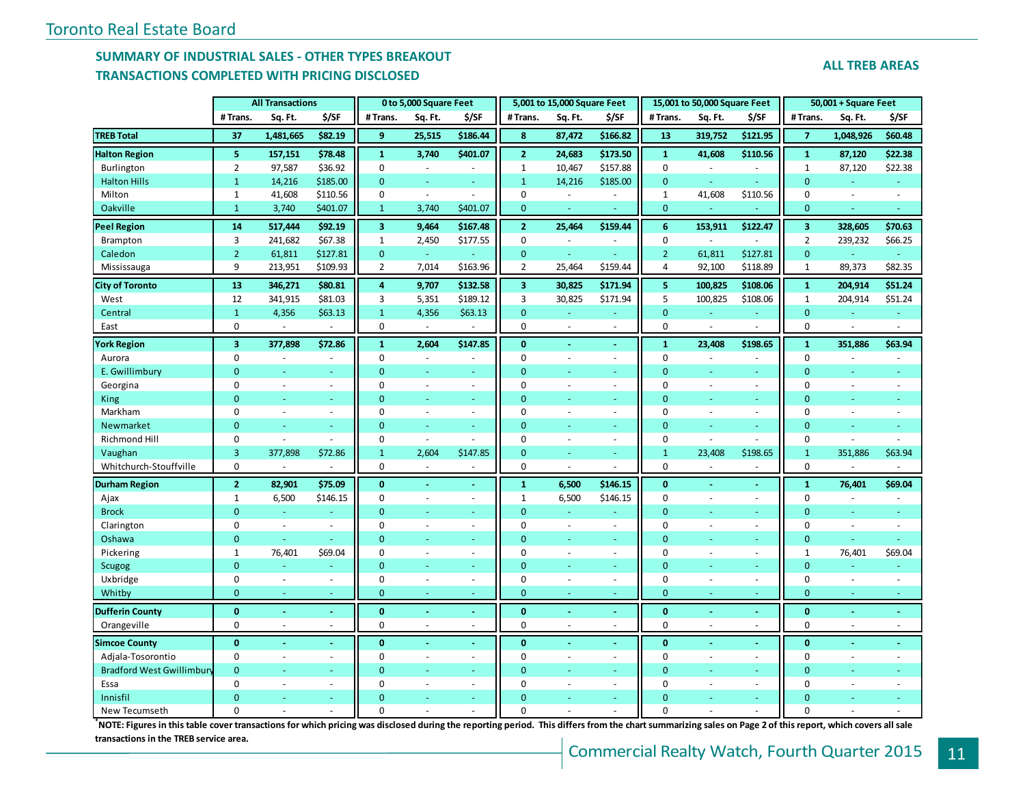## **SUMMARY OF INDUSTRIAL SALES - OTHER TYPES BREAKOUT TRANSACTIONS COMPLETED WITH PRICING DISCLOSED**

|                                  | # Trans.                | Sq. Ft.        | \$/SF    | #Trans.                 | Sq. Ft.                  | \$/SF                    | # Trans.                | Sq. Ft.                  | \$/SF                    | #Trans.         | Sq. Ft.                  | \$/SF                    | # Trans.                | Sq. Ft.   | \$/SF   |
|----------------------------------|-------------------------|----------------|----------|-------------------------|--------------------------|--------------------------|-------------------------|--------------------------|--------------------------|-----------------|--------------------------|--------------------------|-------------------------|-----------|---------|
| <b>TREB Total</b>                | 37                      | 1,481,665      | \$82.19  | 9                       | 25,515                   | \$186.44                 | 8                       | 87,472                   | \$166.82                 | 13              | 319,752                  | \$121.95                 | $\overline{7}$          | 1,048,926 | \$60.48 |
| <b>Halton Region</b>             | 5                       | 157,151        | \$78.48  | $\mathbf{1}$            | 3,740                    | \$401.07                 | $\mathbf{2}$            | 24,683                   | \$173.50                 | $\mathbf{1}$    | 41,608                   | \$110.56                 | $\mathbf 1$             | 87,120    | \$22.38 |
| Burlington                       | $\overline{2}$          | 97,587         | \$36.92  | $\mathbf 0$             |                          |                          | $\mathbf{1}$            | 10,467                   | \$157.88                 | $\pmb{0}$       |                          |                          | $\mathbf{1}$            | 87,120    | \$22.38 |
| <b>Halton Hills</b>              | $\mathbf{1}$            | 14,216         | \$185.00 | $\mathbf{0}$            |                          |                          | $\mathbf{1}$            | 14,216                   | \$185.00                 | $\mathbf{0}$    |                          |                          | $\mathbf{0}$            |           |         |
| Milton                           | $\mathbf{1}$            | 41,608         | \$110.56 | $\pmb{0}$               | $\sim$                   | $\overline{\phantom{a}}$ | $\mathbf 0$             | $\omega$                 | ä,                       | $\mathbf{1}$    | 41,608                   | \$110.56                 | $\overline{0}$          |           |         |
| <b>Oakville</b>                  | $\mathbf{1}$            | 3,740          | \$401.07 | $\mathbf{1}$            | 3,740                    | \$401.07                 | $\mathbf{0}$            | ÷                        | u,                       | $\mathbf{0}$    | $\omega$                 |                          | $\mathbf{0}$            |           |         |
| <b>Peel Region</b>               | 14                      | 517,444        | \$92.19  | $\overline{\mathbf{3}}$ | 9,464                    | \$167.48                 | $\mathbf{2}$            | 25,464                   | \$159.44                 | $6\phantom{1}6$ | 153,911                  | \$122.47                 | $\overline{\mathbf{3}}$ | 328,605   | \$70.63 |
| Brampton                         | 3                       | 241,682        | \$67.38  | $\mathbf{1}$            | 2,450                    | \$177.55                 | $\Omega$                | ÷,                       |                          | $\mathbf 0$     |                          |                          | $\overline{2}$          | 239,232   | \$66.25 |
| Caledon                          | $\overline{2}$          | 61,811         | \$127.81 | $\mathbf{0}$            | ÷                        |                          | $\mathbf{0}$            |                          |                          | $\overline{2}$  | 61,811                   | \$127.81                 | $\mathbf{0}$            |           |         |
| Mississauga                      | 9                       | 213,951        | \$109.93 | $\overline{2}$          | 7,014                    | \$163.96                 | $\overline{2}$          | 25,464                   | \$159.44                 | 4               | 92,100                   | \$118.89                 | $\mathbf{1}$            | 89,373    | \$82.35 |
| <b>City of Toronto</b>           | 13                      | 346,271        | \$80.81  | $\overline{4}$          | 9,707                    | \$132.58                 | $\overline{\mathbf{3}}$ | 30,825                   | \$171.94                 | 5               | 100,825                  | \$108.06                 | $\mathbf 1$             | 204,914   | \$51.24 |
| West                             | 12                      | 341,915        | \$81.03  | 3                       | 5,351                    | \$189.12                 | 3                       | 30,825                   | \$171.94                 | 5               | 100,825                  | \$108.06                 | $1\,$                   | 204,914   | \$51.24 |
| Central                          | $\mathbf{1}$            | 4,356          | \$63.13  | $\mathbf{1}$            | 4,356                    | \$63.13                  | $\Omega$                |                          |                          | $\overline{0}$  |                          |                          | $\mathbf{0}$            |           |         |
| East                             | $\mathbf 0$             |                |          | $\pmb{0}$               |                          |                          | 0                       |                          | ÷,                       | 0               | ÷,                       |                          | $\mathbf 0$             |           |         |
| <b>York Region</b>               | $\overline{\mathbf{3}}$ | 377,898        | \$72.86  | $\mathbf{1}$            | 2,604                    | \$147.85                 | $\mathbf{0}$            |                          | $\blacksquare$           | $\mathbf{1}$    | 23,408                   | \$198.65                 | $\mathbf{1}$            | 351,886   | \$63.94 |
| Aurora                           | $\mathbf 0$             |                | $\sim$   | 0                       |                          |                          | 0                       |                          | ä,                       | 0               |                          |                          | 0                       |           |         |
| E. Gwillimbury                   | $\overline{0}$          |                | ÷        | $\mathbf{0}$            | $\sim$                   | ٠                        | $\Omega$                |                          | Ξ                        | $\mathbf{0}$    | ä,                       | ÷                        | $\overline{0}$          |           |         |
| Georgina                         | $\mathbf 0$             | $\sim$         | $\omega$ | 0                       | $\sim$                   | $\blacksquare$           | $\Omega$                | $\overline{\phantom{a}}$ | $\sim$                   | $\mathbf 0$     | ä,                       | $\omega$                 | $\mathbf 0$             |           |         |
| King                             | $\mathbf{0}$            |                |          | $\mathbf{0}$            |                          | $\sim$                   | $\Omega$                |                          | $\equiv$                 | $\mathbf{0}$    | Ξ                        | $\omega$                 | $\Omega$                |           |         |
| Markham                          | $\mathbf 0$             | $\sim$         | ÷.       | $\mathbf 0$             | $\sim$                   | $\sim$                   | 0                       | ä,                       | $\blacksquare$           | $\mathbf 0$     | ä,                       | $\sim$                   | $\mathbf 0$             |           |         |
| Newmarket                        | $\Omega$                |                | ÷        | $\mathbf 0$             |                          |                          | $\Omega$                |                          | ÷                        | $\overline{0}$  | ÷,                       | ÷                        | $\overline{0}$          |           |         |
| Richmond Hill                    | $\mathbf 0$             | $\sim$         | ÷.       | $\mathbf 0$             | $\overline{\phantom{a}}$ |                          | $\Omega$                | $\sim$                   | $\sim$                   | 0               | ÷,                       |                          | $\mathbf 0$             |           |         |
| Vaughan                          | $\overline{3}$          | 377,898        | \$72.86  | $\mathbf{1}$            | 2,604                    | \$147.85                 | $\Omega$                |                          | Ξ                        | $\mathbf{1}$    | 23,408                   | \$198.65                 | $\mathbf{1}$            | 351,886   | \$63.94 |
| Whitchurch-Stouffville           | 0                       |                |          | 0                       | $\sim$                   | $\overline{\phantom{a}}$ | 0                       |                          | ÷.                       | 0               |                          |                          | $\mathbf 0$             |           |         |
| <b>Durham Region</b>             | $\overline{2}$          | 82,901         | \$75.09  | $\bf{0}$                | $\omega$                 | $\sim$                   | 1                       | 6,500                    | \$146.15                 | $\bf{0}$        | ÷,                       | $\blacksquare$           | $\mathbf{1}$            | 76,401    | \$69.04 |
| Ajax                             | $\mathbf{1}$            | 6,500          | \$146.15 | $\mathbf 0$             | $\sim$                   | $\sim$                   | 1                       | 6,500                    | \$146.15                 | $\mathbf 0$     | $\sim$                   | $\sim$                   | $\mathbf 0$             |           |         |
| <b>Brock</b>                     | $\mathbf{0}$            |                |          | $\mathbf{0}$            |                          |                          | $\overline{0}$          |                          |                          | $\overline{0}$  |                          | $\sim$                   | $\overline{0}$          |           |         |
| Clarington                       | $\mathbf 0$             | $\sim$         | $\sim$   | $\mathbf 0$             |                          | $\blacksquare$           | $\Omega$                | ä,                       | $\blacksquare$           | $\mathbf 0$     | ÷,                       | $\sim$                   | $\mathbf 0$             |           |         |
| Oshawa                           | $\mathbf{0}$            |                |          | $\overline{0}$          |                          |                          | $\Omega$                |                          |                          | $\bullet$       |                          |                          | $\mathbf{0}$            |           |         |
| Pickering                        | $\mathbf{1}$            | 76,401         | \$69.04  | $\mathbf 0$             |                          | $\sim$                   | $\Omega$                |                          | $\bar{a}$                | $\Omega$        |                          | $\sim$                   | $\mathbf{1}$            | 76,401    | \$69.04 |
| <b>Scugog</b>                    | $\mathbf{0}$            |                |          | $\mathbf 0$             |                          |                          | $\Omega$                |                          | ÷                        | $\overline{0}$  |                          |                          | $\mathbf{0}$            |           |         |
| Uxbridge                         | $\mathbf 0$             | $\sim$         | $\omega$ | $\mathbf 0$             | $\overline{\phantom{a}}$ | $\blacksquare$           | 0                       | ä,                       | $\bar{a}$                | $\mathbf 0$     | $\overline{\phantom{a}}$ | $\overline{\phantom{a}}$ | $\mathbf 0$             |           |         |
| Whitby                           | $\mathbf{0}$            |                | ÷.       | $\mathbf 0$             |                          | ÷                        | $\mathbf 0$             |                          | u.                       | 0               | ÷                        | $\sim$                   | $\mathbf{0}$            |           |         |
| <b>Dufferin County</b>           | $\bf{0}$                |                | $\omega$ | $\bf{0}$                |                          | ٠                        | 0                       |                          | $\blacksquare$           | $\mathbf 0$     | ÷,                       | $\omega$                 | $\mathbf{0}$            |           |         |
| Orangeville                      | $\mathbf 0$             |                | $\sim$   | 0                       | $\overline{\phantom{a}}$ | $\sim$                   | 0                       |                          | $\bar{a}$                | 0               | ÷,                       | $\overline{\phantom{a}}$ | $\mathbf 0$             |           |         |
| <b>Simcoe County</b>             | $\mathbf{0}$            |                | $\omega$ | $\mathbf{0}$            | $\blacksquare$           | $\blacksquare$           | $\mathbf{0}$            | $\blacksquare$           | $\blacksquare$           | $\mathbf 0$     | ä,                       | $\omega$                 | $\mathbf 0$             |           |         |
| Adjala-Tosorontio                | $\mathbf 0$             | $\overline{a}$ | $\sim$   | $\mathbf 0$             | $\sim$                   | $\sim$                   | 0                       | $\sim$                   | $\overline{\phantom{a}}$ | $\mathbf 0$     | $\sim$                   | $\sim$                   | $\mathbf 0$             |           |         |
| <b>Bradford West Gwillimbury</b> | $\overline{0}$          |                |          | $\overline{0}$          |                          |                          | $\Omega$                |                          | u,                       | $\Omega$        |                          | ÷                        | $\Omega$                |           |         |
| Essa                             | $\mathbf 0$             |                | $\sim$   | $\Omega$                |                          | ÷.                       | $\Omega$                |                          | $\blacksquare$           | $\mathbf 0$     | ÷,                       | $\sim$                   | $\Omega$                |           |         |
| Innisfil                         | $\Omega$                |                |          | $\Omega$                |                          |                          | $\Omega$                |                          |                          | $\Omega$        |                          |                          | $\Omega$                |           |         |

**All Transactions 0 to 5,000 Square Feet 5,001 to 15,000 Square Feet 15,001 to 50,000 Square Feet 50,001 + Square Feet**

New Tecumseth 0 - - 0 - - 0 - - 0 - - 0 - - **\*NOTE: Figures in this table cover transactions for which pricing was disclosed during the reporting period. This differs from the chart summarizing sales on Page 2 of this report, which covers all sale transactions in the TREB service area.**

#### **ALL TREB AREAS**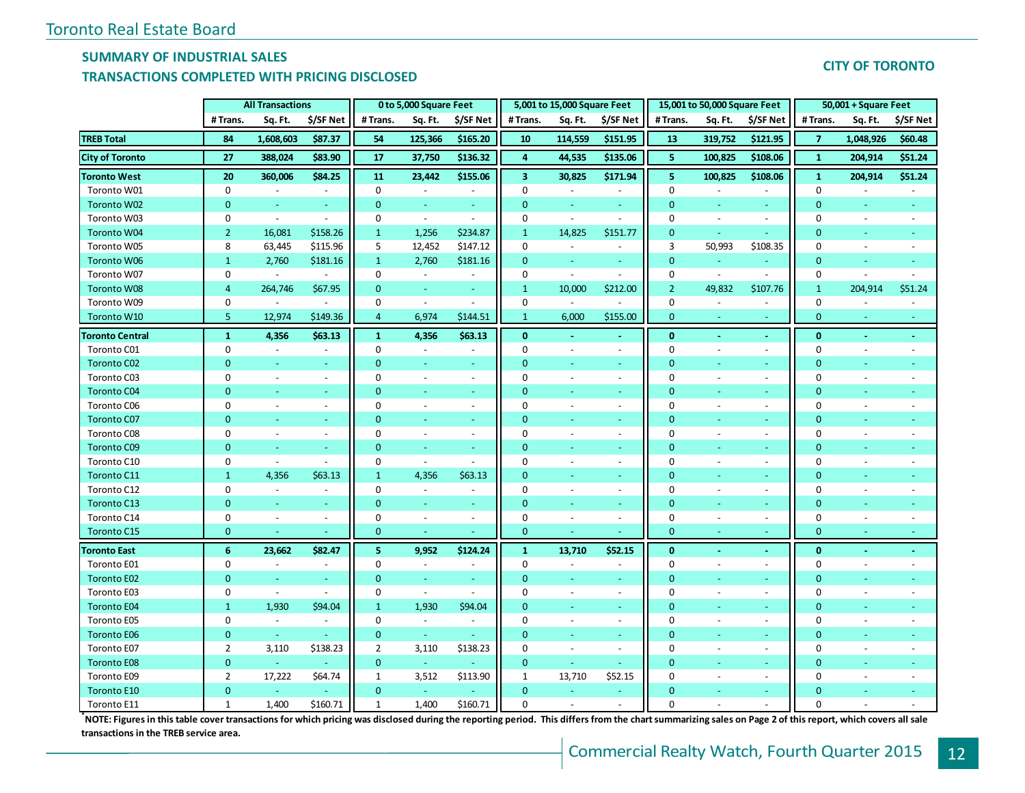## **SUMMARY OF INDUSTRIAL SALES**

### **TRANSACTIONS COMPLETED WITH PRICING DISCLOSED**

| <b>CITY OF TORONTO</b> |
|------------------------|
|------------------------|

|                        |                | <b>All Transactions</b>  |                          |                | 0 to 5,000 Square Feet   |                          |                         | 5,001 to 15,000 Square Feet |                          |                | 15,001 to 50,000 Square Feet |                          |                | $50,001 + Square$ Feet   |           |
|------------------------|----------------|--------------------------|--------------------------|----------------|--------------------------|--------------------------|-------------------------|-----------------------------|--------------------------|----------------|------------------------------|--------------------------|----------------|--------------------------|-----------|
|                        | # Trans.       | Sq. Ft.                  | \$/SF Net                | # Trans.       | Sq. Ft.                  | \$/SF Net                | # Trans.                | Sq. Ft.                     | \$/SF Net                | #Trans.        | Sq. Ft.                      | \$/SF Net                | #Trans.        | Sq. Ft.                  | \$/SF Net |
| <b>TREB Total</b>      | 84             | 1,608,603                | \$87.37                  | 54             | 125,366                  | \$165.20                 | 10                      | 114,559                     | \$151.95                 | <b>13</b>      | 319,752                      | \$121.95                 | $\overline{7}$ | 1,048,926                | \$60.48   |
| <b>City of Toronto</b> | 27             | 388,024                  | \$83.90                  | 17             | 37,750                   | \$136.32                 | $\overline{4}$          | 44,535                      | \$135.06                 | 5              | 100,825                      | \$108.06                 | $\mathbf{1}$   | 204,914                  | \$51.24   |
| <b>Toronto West</b>    | 20             | 360,006                  | \$84.25                  | 11             | 23,442                   | \$155.06                 | $\overline{\mathbf{3}}$ | 30,825                      | \$171.94                 | 5              | 100,825                      | \$108.06                 | $\mathbf{1}$   | 204,914                  | \$51.24   |
| Toronto W01            | 0              | $\overline{\phantom{a}}$ | $\blacksquare$           | 0              | $\sim$                   | $\overline{\phantom{a}}$ | $\Omega$                | $\sim$                      | $\sim$                   | $\Omega$       |                              | $\blacksquare$           | $\Omega$       | ÷,                       | $\sim$    |
| Toronto W02            | $\mathbf{0}$   | $\omega$                 | $\omega_{\rm c}$         | $\mathbf{0}$   | $\blacksquare$           | $\omega_{\rm c}$         | $\mathbf{0}$            | $\omega$                    | $\omega$                 | $\overline{0}$ | $\overline{\phantom{a}}$     | $\omega_{\rm c}$         | $\mathbf{0}$   | $\omega$                 |           |
| Toronto W03            | 0              | $\omega$                 | $\sim$                   | 0              | $\blacksquare$           | $\blacksquare$           | 0                       | $\blacksquare$              | $\blacksquare$           | $\mathbf 0$    | $\blacksquare$               | $\blacksquare$           | 0              | $\overline{\phantom{a}}$ |           |
| Toronto W04            | $\overline{2}$ | 16,081                   | \$158.26                 | $\mathbf{1}$   | 1,256                    | \$234.87                 | $\mathbf{1}$            | 14,825                      | \$151.77                 | $\mathbf{0}$   | $\omega$                     | $\omega$                 | $\Omega$       | ٠                        |           |
| Toronto W05            | 8              | 63,445                   | \$115.96                 | 5              | 12,452                   | \$147.12                 | $\mathbf 0$             | $\blacksquare$              | $\blacksquare$           | $\overline{3}$ | 50,993                       | \$108.35                 | $\mathbf 0$    | ÷,                       |           |
| <b>Toronto W06</b>     | $\mathbf{1}$   | 2,760                    | \$181.16                 | $\mathbf{1}$   | 2,760                    | \$181.16                 | $\overline{0}$          | $\omega$                    | $\omega$                 | $\mathbf{0}$   |                              |                          | $\mathbf{0}$   | ÷,                       |           |
| Toronto W07            | 0              | $\omega$                 | $\sim$                   | $\mathbf 0$    | $\sim$                   |                          | 0                       | $\blacksquare$              | $\sim$                   | $\mathbf 0$    | $\blacksquare$               |                          | $\mathbf 0$    | ÷,                       |           |
| <b>Toronto W08</b>     | $\overline{4}$ | 264,746                  | \$67.95                  | $\mathbf{0}$   | $\sim$                   | $\sim$                   | $\mathbf{1}$            | 10,000                      | \$212.00                 | $\overline{2}$ | 49,832                       | \$107.76                 | $\mathbf{1}$   | 204,914                  | \$51.24   |
| Toronto W09            | 0              | $\omega$                 | $\sim$                   | 0              | $\blacksquare$           | $\mathbf{r}$             | 0                       | $\blacksquare$              | $\sim$                   | 0              | $\overline{\phantom{a}}$     | $\blacksquare$           | 0              |                          |           |
| Toronto W10            | 5              | 12,974                   | \$149.36                 | $\overline{4}$ | 6,974                    | \$144.51                 | $\mathbf{1}$            | 6,000                       | \$155.00                 | $\mathbf{0}$   |                              |                          | $\mathbf{0}$   |                          |           |
| <b>Toronto Central</b> | $\mathbf{1}$   | 4,356                    | \$63.13                  | ${\bf 1}$      | 4,356                    | \$63.13                  | $\mathbf{0}$            |                             | $\omega$                 | $\mathbf{0}$   | $\bar{\phantom{a}}$          | $\sim$                   | $\bf{0}$       | $\mathbf{r}$             |           |
| Toronto C01            | 0              | $\sim$                   | $\overline{\phantom{a}}$ | 0              | $\sim$                   |                          | 0                       |                             | $\overline{\phantom{a}}$ | $\mathbf 0$    | $\blacksquare$               | $\overline{\phantom{a}}$ | 0              |                          |           |
| <b>Toronto C02</b>     | $\mathbf{0}$   | L.                       | ä,                       | $\mathbf{0}$   | $\sim$                   | ÷.                       | $\mathbf{0}$            |                             | ä,                       | $\overline{0}$ |                              | ÷.                       | $\overline{0}$ |                          |           |
| Toronto C03            | 0              | $\blacksquare$           | $\overline{\phantom{a}}$ | $\mathbf 0$    | $\overline{\phantom{a}}$ | $\overline{\phantom{a}}$ | $\mathbf 0$             | $\overline{\phantom{a}}$    | $\blacksquare$           | $\mathbf 0$    | $\overline{\phantom{a}}$     | $\sim$                   | $\mathbf 0$    | $\overline{a}$           |           |
| Toronto C04            | $\mathbf{0}$   | ÷.                       | $\omega$                 | $\mathbf{0}$   | $\omega$                 | $\omega$                 | $\mathbf{0}$            | $\sim$                      | $\omega$                 | $\mathbf{0}$   |                              | $\sim$                   | $\mathbf 0$    | ÷,                       |           |
| Toronto C06            | $\mathbf 0$    | $\blacksquare$           | $\omega$                 | 0              | $\blacksquare$           | $\blacksquare$           | $\mathbf 0$             | $\overline{\phantom{a}}$    | $\sim$                   | $\mathbf 0$    | $\blacksquare$               | $\sim$                   | $\mathbf 0$    | $\overline{\phantom{a}}$ |           |
| Toronto C07            | $\mathbf{0}$   | Ξ                        | $\blacksquare$           | $\mathbf{0}$   | $\blacksquare$           | $\blacksquare$           | $\mathbf{0}$            |                             | $\omega$                 | $\mathbf{0}$   | $\overline{\phantom{a}}$     | $\sim$                   | $\mathbf 0$    | $\blacksquare$           |           |
| Toronto C08            | 0              | $\overline{a}$           | $\blacksquare$           | 0              | $\sim$                   | $\blacksquare$           | 0                       | $\sim$                      | $\blacksquare$           | $\mathbf 0$    | $\overline{\phantom{a}}$     | $\sim$                   | 0              | $\overline{a}$           |           |
| <b>Toronto C09</b>     | $\overline{0}$ | $\omega$                 | $\equiv$                 | $\mathbf{0}$   | $\overline{\phantom{a}}$ | $\blacksquare$           | $\overline{0}$          | $\equiv$                    | ÷.                       | $\mathbf{0}$   |                              | $\sim$                   | $\mathbf{0}$   | $\blacksquare$           |           |
| Toronto C10            | 0              | $\sim$                   | $\sim$                   | 0              | $\blacksquare$           | $\overline{a}$           | $\Omega$                | $\sim$                      | $\omega$                 | $\mathbf 0$    | $\blacksquare$               | $\sim$                   | $\mathbf 0$    |                          |           |
| Toronto C11            | $\mathbf{1}$   | 4,356                    | \$63.13                  | $\mathbf{1}$   | 4,356                    | \$63.13                  | $\overline{0}$          |                             | ÷                        | $\mathbf{0}$   |                              | $\sim$                   | $\mathbf{0}$   |                          |           |
| Toronto C12            | $\mathbf 0$    | $\overline{a}$           | $\overline{\phantom{a}}$ | $\mathbf 0$    | $\blacksquare$           | $\blacksquare$           | $\Omega$                | $\sim$                      | $\sim$                   | $\mathbf 0$    | $\blacksquare$               | $\blacksquare$           | $\mathbf 0$    |                          |           |
| Toronto C13            | $\mathbf{0}$   | ÷,                       | $\blacksquare$           | $\mathbf{0}$   | $\blacksquare$           | $\equiv$                 | $\mathbf{0}$            |                             | $\omega$                 | $\mathbf{0}$   |                              | ٠                        | $\mathbf{0}$   |                          |           |
| Toronto C14            | 0              | $\sim$                   | $\blacksquare$           | 0              | $\blacksquare$           | $\overline{\phantom{a}}$ | 0                       | $\overline{\phantom{a}}$    | $\sim$                   | 0              | $\blacksquare$               | $\sim$                   | 0              | ÷,                       |           |
| <b>Toronto C15</b>     | $\mathbf{0}$   | ä,                       |                          | $\mathbf{0}$   | $\omega$                 |                          | $\overline{0}$          | $\omega$                    |                          | $\mathbf{0}$   | $\blacksquare$               | $\equiv$                 | $\mathbf{0}$   | $\omega$                 |           |
| <b>Toronto East</b>    | 6              | 23,662                   | \$82.47                  | 5              | 9,952                    | \$124.24                 | $\mathbf{1}$            | 13,710                      | \$52.15                  | $\mathbf{0}$   | $\blacksquare$               | $\sim$                   | $\bf{0}$       | $\sim$                   |           |
| Toronto E01            | $\mathbf 0$    | $\sim$                   | $\blacksquare$           | 0              | $\overline{\phantom{a}}$ | $\overline{\phantom{a}}$ | $\mathbf 0$             | $\sim$                      | $\sim$                   | $\mathbf 0$    | $\blacksquare$               | $\sim$                   | $\mathbf 0$    | ÷,                       |           |
| <b>Toronto E02</b>     | $\mathbf{0}$   |                          |                          | $\mathbf{0}$   |                          |                          | $\mathbf{0}$            |                             |                          | $\overline{0}$ |                              | $\blacksquare$           | $\Omega$       |                          |           |
| Toronto E03            | $\mathbf 0$    | $\overline{\phantom{a}}$ | $\sim$                   | 0              | $\overline{\phantom{a}}$ | $\sim$                   | $\mathbf 0$             | $\sim$                      | $\omega$                 | $\mathbf 0$    | $\blacksquare$               | $\overline{\phantom{a}}$ | $\mathbf 0$    | ÷,                       |           |
| <b>Toronto E04</b>     | $\mathbf{1}$   | 1,930                    | \$94.04                  | $\mathbf{1}$   | 1,930                    | \$94.04                  | $\mathbf{0}$            |                             | ÷.                       | $\overline{0}$ |                              | $\omega$                 | $\mathbf{0}$   |                          |           |
| Toronto E05            | $\mathbf 0$    | $\omega$                 | $\blacksquare$           | 0              | $\blacksquare$           | $\blacksquare$           | $\mathbf 0$             | $\overline{\phantom{a}}$    | $\omega$                 | $\mathbf 0$    | $\blacksquare$               | $\omega$                 | $\mathbf 0$    |                          |           |
| <b>Toronto E06</b>     | $\mathbf{0}$   | $\omega$                 | $\omega$                 | $\mathbf 0$    | $\pm$                    | $\blacksquare$           | $\mathbf{0}$            | $\omega$                    | $\omega$                 | $\mathbf{0}$   | $\overline{\phantom{a}}$     | $\sim$                   | $\mathbf{0}$   | $\omega$                 |           |
| Toronto E07            | $\overline{2}$ | 3,110                    | \$138.23                 | $\overline{2}$ | 3,110                    | \$138.23                 | $\mathbf 0$             | $\omega$                    | $\blacksquare$           | $\mathbf 0$    | $\blacksquare$               | $\blacksquare$           | $\mathbf 0$    | $\overline{\phantom{a}}$ |           |
| <b>Toronto E08</b>     | $\mathbf{0}$   | $\equiv$                 |                          | $\mathbf{0}$   | $\omega$                 |                          | $\mathbf{0}$            | $\omega$                    | $\omega$                 | $\mathbf{0}$   |                              | $\blacksquare$           | $\mathbf{0}$   |                          |           |
| Toronto E09            | $\overline{2}$ | 17,222                   | \$64.74                  | 1              | 3,512                    | \$113.90                 | $\mathbf{1}$            | 13,710                      | \$52.15                  | $\mathbf 0$    | $\sim$                       | $\sim$                   | 0              | $\overline{a}$           |           |
| Toronto E10            | $\mathbf{0}$   | L.                       |                          | $\mathbf{0}$   | $\sim$                   |                          | $\mathbf{0}$            |                             | u,                       | $\overline{0}$ |                              | $\sim$                   | $\mathbf{0}$   |                          |           |
| Toronto E11            | $\mathbf{1}$   | 1,400                    | \$160.71                 | $\mathbf{1}$   | 1,400                    | \$160.71                 | $\mathbf 0$             |                             | $\overline{\phantom{a}}$ | $\mathbf 0$    |                              | $\sim$                   | $\Omega$       |                          |           |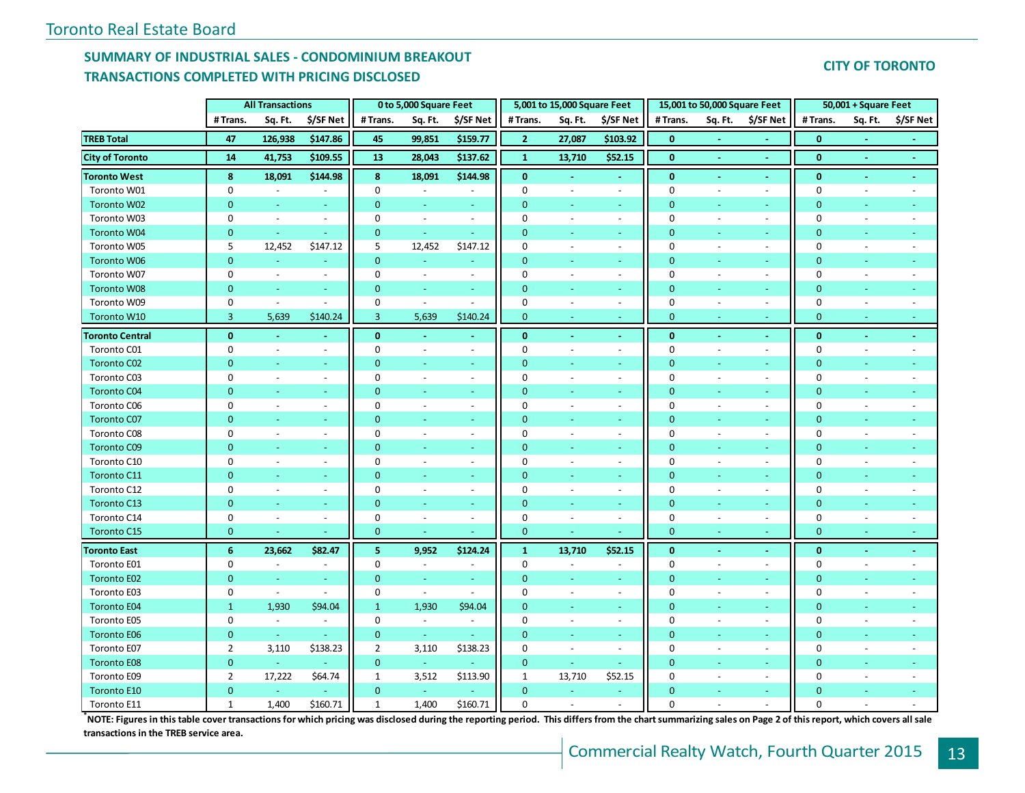## **SUMMARY OF INDUSTRIAL SALES - CONDOMINIUM BREAKOUT TRANSACTIONS COMPLETED WITH PRICING DISCLOSED**

## **CITY OF TORONTO**

|                        |                | <b>All Transactions</b>  |                          |                | 0 to 5,000 Square Feet   |                          |                | 5,001 to 15,000 Square Feet |                          |                | 15,001 to 50,000 Square Feet |                          |                | 50,001 + Square Feet     |                          |
|------------------------|----------------|--------------------------|--------------------------|----------------|--------------------------|--------------------------|----------------|-----------------------------|--------------------------|----------------|------------------------------|--------------------------|----------------|--------------------------|--------------------------|
|                        | # Trans.       | Sq. Ft.                  | \$/SF Net                | #Trans.        | Sq. Ft.                  | \$/SF Net                | # Trans.       | Sq. Ft.                     | \$/SF Net                | #Trans.        | Sq. Ft.                      | \$/SF Net                | # Trans.       | Sq. Ft.                  | \$/SF Net                |
| <b>TREB Total</b>      | 47             | 126,938                  | \$147.86                 | 45             | 99,851                   | \$159.77                 | $\overline{2}$ | 27,087                      | \$103.92                 | $\mathbf{0}$   |                              |                          | $\bf{0}$       |                          |                          |
| <b>City of Toronto</b> | 14             | 41,753                   | \$109.55                 | 13             | 28,043                   | \$137.62                 | $\mathbf{1}$   | 13,710                      | \$52.15                  | $\bf{0}$       | $\sim$                       | $\sim$                   | $\bf{0}$       | $\sim$                   | $\sim$                   |
| <b>Toronto West</b>    | 8              | 18,091                   | \$144.98                 | 8              | 18,091                   | \$144.98                 | $\mathbf{0}$   |                             |                          | $\bf{0}$       | Ξ                            |                          | $\bf{0}$       | $\sim$                   |                          |
| Toronto W01            | 0              | $\sim$                   | $\blacksquare$           | 0              | $\blacksquare$           | $\blacksquare$           | $\mathbf 0$    | $\overline{\phantom{a}}$    | $\blacksquare$           | $\mathbf 0$    | $\overline{\phantom{a}}$     | $\sim$                   | $\mathbf 0$    | $\sim$                   | $\sim$                   |
| Toronto W02            | $\overline{0}$ | $\omega$                 | $\sim$                   | $\mathbf{0}$   | $\overline{\phantom{a}}$ | $\sim$                   | $\mathbf{0}$   | u,                          | $\sim$                   | $\mathbf{0}$   | $\blacksquare$               | $\sim$                   | $\overline{0}$ | Ξ                        |                          |
| Toronto W03            | 0              | $\sim$                   | $\blacksquare$           | 0              | $\blacksquare$           | $\blacksquare$           | 0              | $\ddot{\phantom{a}}$        | $\sim$                   | $\mathbf 0$    | $\overline{\phantom{a}}$     | $\sim$                   | $\mathbf 0$    |                          |                          |
| Toronto W04            | $\overline{0}$ |                          |                          | $\mathbf{0}$   | $\blacksquare$           |                          | $\Omega$       |                             |                          | $\overline{0}$ |                              |                          | $\overline{0}$ |                          |                          |
| Toronto W05            | 5              | 12,452                   | \$147.12                 | 5              | 12,452                   | \$147.12                 | 0              | $\overline{\phantom{a}}$    | $\blacksquare$           | $\mathbf 0$    | ÷,                           | $\blacksquare$           | $\mathbf 0$    |                          |                          |
| <b>Toronto W06</b>     | $\mathbf{0}$   |                          | ÷                        | $\mathbf{0}$   | ÷                        |                          | $\mathbf{0}$   | ÷                           | $\sim$                   | $\mathbf{0}$   |                              | $\sim$                   | $\mathbf{0}$   |                          |                          |
| Toronto W07            | 0              | $\sim$                   | $\omega$                 | 0              | $\overline{\phantom{a}}$ | $\overline{\phantom{a}}$ | $\mathbf 0$    | $\overline{a}$              | $\omega$                 | $\mathbf{0}$   | $\overline{\phantom{a}}$     | $\blacksquare$           | $\mathbf 0$    |                          |                          |
| <b>Toronto W08</b>     | $\overline{0}$ | $\omega$                 | $\sim$                   | 0              | $\blacksquare$           | $\sim$                   | $\mathbf{0}$   | ÷                           | $\sim$                   | $\mathbf{0}$   | ÷                            | $\sim$                   | $\mathbf{0}$   | Ξ                        |                          |
| Toronto W09            | 0              | $\sim$                   | $\omega$                 | 0              | $\blacksquare$           | $\blacksquare$           | $\mathbf 0$    | $\overline{\phantom{a}}$    | $\overline{\phantom{a}}$ | $\bf{0}$       | $\overline{\phantom{a}}$     | $\sim$                   | 0              | $\sim$                   |                          |
| Toronto W10            | 3              | 5,639                    | \$140.24                 | 3              | 5,639                    | \$140.24                 | $\mathbf{0}$   |                             |                          | $\mathbf{0}$   |                              | $\omega$                 | $\mathbf{0}$   |                          |                          |
| <b>Toronto Central</b> | $\mathbf{0}$   |                          | $\omega$                 | $\mathbf 0$    | $\bar{\phantom{a}}$      | $\sim$                   | $\bf{0}$       |                             | $\omega$                 | $\mathbf 0$    | ä,                           | $\sim$                   | $\bf{0}$       |                          |                          |
| Toronto C01            | $\mathbf 0$    | $\sim$                   | $\sim$                   | 0              | $\blacksquare$           | $\overline{\phantom{a}}$ | $\mathbf 0$    |                             | $\overline{\phantom{a}}$ | $\mathbf 0$    | $\overline{\phantom{a}}$     | $\overline{\phantom{a}}$ | $\mathbf 0$    |                          |                          |
| Toronto C02            | $\overline{0}$ |                          | $\equiv$                 | $\mathbf 0$    | $\Box$                   | $\omega$                 | $\mathbf{0}$   |                             |                          | $\overline{0}$ |                              | $\omega$                 | $\overline{0}$ |                          |                          |
| Toronto C03            | 0              | $\sim$                   | $\blacksquare$           | 0              | $\blacksquare$           | $\overline{\phantom{a}}$ | 0              | $\overline{\phantom{a}}$    | $\sim$                   | $\mathbf 0$    | ÷,                           | $\overline{\phantom{a}}$ | $\mathbf 0$    |                          |                          |
| Toronto C04            | $\overline{0}$ | ÷.                       | $\equiv$                 | $\mathbf{0}$   | $\omega$                 | $\sim$                   | $\mathbf{0}$   | Ξ                           | ÷                        | $\mathbf{0}$   | ÷                            | $\sim$                   | $\overline{0}$ | ÷.                       |                          |
| Toronto C06            | 0              | $\blacksquare$           | $\blacksquare$           | 0              | $\overline{\phantom{a}}$ | $\overline{\phantom{a}}$ | 0              | ÷,                          | $\blacksquare$           | $\mathbf 0$    | ÷,                           | $\blacksquare$           | 0              | $\overline{a}$           |                          |
| <b>Toronto C07</b>     | $\overline{0}$ | $\blacksquare$           | $\blacksquare$           | $\mathbf 0$    | $\blacksquare$           | $\sim$                   | $\mathbf{0}$   | $\blacksquare$              | $\sim$                   | $\mathbf{0}$   | $\blacksquare$               | $\sim$                   | $\overline{0}$ | $\overline{\phantom{a}}$ |                          |
| Toronto C08            | 0              | $\sim$                   | $\overline{\phantom{a}}$ | 0              | $\overline{\phantom{a}}$ | $\overline{\phantom{a}}$ | $\mathbf 0$    | ÷,                          | $\blacksquare$           | $\mathbf 0$    | ÷,                           | $\sim$                   | $\mathbf 0$    | $\sim$                   |                          |
| <b>Toronto C09</b>     | $\overline{0}$ | $\equiv$                 | $\omega$                 | 0              | $\omega$                 | $\blacksquare$           | $\mathbf{0}$   | ÷.                          | $\sim$                   | $\overline{0}$ | $\overline{\phantom{a}}$     | $\sim$                   | $\overline{0}$ | Ξ                        |                          |
| Toronto C10            | 0              | $\sim$                   | $\blacksquare$           | 0              | $\overline{\phantom{a}}$ | $\blacksquare$           | 0              | $\overline{\phantom{a}}$    | $\sim$                   | $\mathbf 0$    | $\overline{\phantom{a}}$     | $\overline{\phantom{a}}$ | $\mathbf 0$    | $\overline{a}$           |                          |
| Toronto C11            | $\overline{0}$ | ÷                        | $\sim$                   | $\mathbf 0$    | $\omega$                 | $\sim$                   | $\mathbf{0}$   | Ξ                           | a.                       | $\mathbf{0}$   |                              | $\omega$ .               | $\mathbf{0}$   |                          |                          |
| Toronto C12            | 0              | $\overline{\phantom{a}}$ | $\overline{\phantom{a}}$ | 0              | $\overline{\phantom{a}}$ | $\blacksquare$           | 0              | $\overline{a}$              | $\sim$                   | $\mathbf 0$    | ÷,                           | $\omega$                 | $\mathbf 0$    | $\overline{a}$           |                          |
| Toronto C13            | $\overline{0}$ |                          |                          | 0              | Ξ                        |                          | $\mathbf{0}$   |                             |                          | $\mathbf 0$    |                              | $\blacksquare$           | $\overline{0}$ |                          |                          |
| Toronto C14            | 0              | $\blacksquare$           | $\overline{\phantom{a}}$ | 0              | $\overline{\phantom{a}}$ | $\blacksquare$           | $\mathbf 0$    | $\blacksquare$              | $\blacksquare$           | $\mathbf 0$    | $\blacksquare$               | $\blacksquare$           | $\mathbf 0$    | $\overline{\phantom{a}}$ |                          |
| Toronto C15            | $\mathbf{0}$   | $\blacksquare$           | $\omega$                 | $\mathbf 0$    | $\blacksquare$           | $\omega$                 | $\mathbf{0}$   | $\omega$                    | $\sim$                   | $\mathbf{0}$   | $\sim$                       | $\sim$                   | $\mathbf{0}$   | $\blacksquare$           |                          |
| <b>Toronto East</b>    | 6              | 23,662                   | \$82.47                  | 5              | 9,952                    | \$124.24                 | $\mathbf{1}$   | 13,710                      | \$52.15                  | $\bf{0}$       | $\blacksquare$               | $\blacksquare$           | $\bf{0}$       | $\blacksquare$           |                          |
| Toronto E01            | 0              | $\overline{\phantom{a}}$ | $\overline{\phantom{a}}$ | 0              | $\sim$                   | $\sim$                   | 0              | $\sim$                      | $\overline{\phantom{a}}$ | $\mathbf 0$    | $\sim$                       | $\sim$                   | 0              | $\sim$                   | $\overline{\phantom{a}}$ |
| <b>Toronto E02</b>     | $\overline{0}$ | $\omega$                 | ÷.                       | $\mathbf 0$    | $\omega$                 | $\omega$                 | $\mathbf{0}$   | u,                          | ÷                        | $\overline{0}$ | Ξ                            | $\omega$                 | $\Omega$       | u,                       |                          |
| Toronto E03            | 0              | $\blacksquare$           | $\blacksquare$           | 0              | $\blacksquare$           | $\overline{\phantom{a}}$ | 0              | $\overline{\phantom{a}}$    | $\blacksquare$           | $\mathbf{0}$   | $\blacksquare$               | $\blacksquare$           | $\mathbf 0$    | $\sim$                   |                          |
| <b>Toronto E04</b>     | $\mathbf{1}$   | 1,930                    | \$94.04                  | $\mathbf{1}$   | 1,930                    | \$94.04                  | $\mathbf{0}$   |                             |                          | $\overline{0}$ |                              | ÷.                       | $\overline{0}$ |                          |                          |
| Toronto E05            | 0              | $\blacksquare$           | $\blacksquare$           | 0              | $\overline{\phantom{a}}$ | $\blacksquare$           | $\mathbf 0$    | ÷,                          | $\blacksquare$           | $\mathbf 0$    | ÷,                           | $\blacksquare$           | $\mathbf 0$    |                          |                          |
| <b>Toronto E06</b>     | $\overline{0}$ | $\sim$                   | $\omega$                 | $\mathbf{0}$   | $\sim$                   |                          | $\mathbf{0}$   | ÷                           | $\sim$                   | $\overline{0}$ |                              | $\omega$                 | $\overline{0}$ |                          |                          |
| Toronto E07            | $\overline{2}$ | 3,110                    | \$138.23                 | $\overline{2}$ | 3,110                    | \$138.23                 | 0              | $\blacksquare$              | $\overline{\phantom{a}}$ | $\mathbf 0$    | ÷,                           | $\blacksquare$           | $\mathbf 0$    | $\overline{\phantom{a}}$ |                          |
| <b>Toronto E08</b>     | $\mathbf{0}$   | $\omega$                 | ÷                        | $\mathbf{0}$   | $\mathbb{Z}$             |                          | $\mathbf{0}$   | $\sim$                      | $\omega$                 | $\mathbf{0}$   | ÷                            | $\sim$                   | $\mathbf{0}$   | Ξ                        |                          |
| Toronto E09            | $\overline{2}$ | 17,222                   | \$64.74                  | $\mathbf{1}$   | 3,512                    | \$113.90                 | $\mathbf{1}$   | 13,710                      | \$52.15                  | $\mathbf 0$    | ÷,                           | $\sim$                   | $\mathbf 0$    |                          |                          |
| Toronto E10            | $\mathbf{0}$   | $\omega$                 |                          | 0              | $\pm$                    |                          | $\mathbf{0}$   | Ξ                           | $\blacksquare$           | $\mathbf{0}$   | Ξ                            | $\sim$                   | $\mathbf{0}$   |                          |                          |
| Toronto E11            | $\mathbf{1}$   | 1,400                    | \$160.71                 | $\mathbf{1}$   | 1,400                    | \$160.71                 | $\mathbf 0$    | $\overline{a}$              | $\overline{a}$           | $\mathbf 0$    | ÷,                           | $\sim$                   | $\Omega$       | $\overline{a}$           |                          |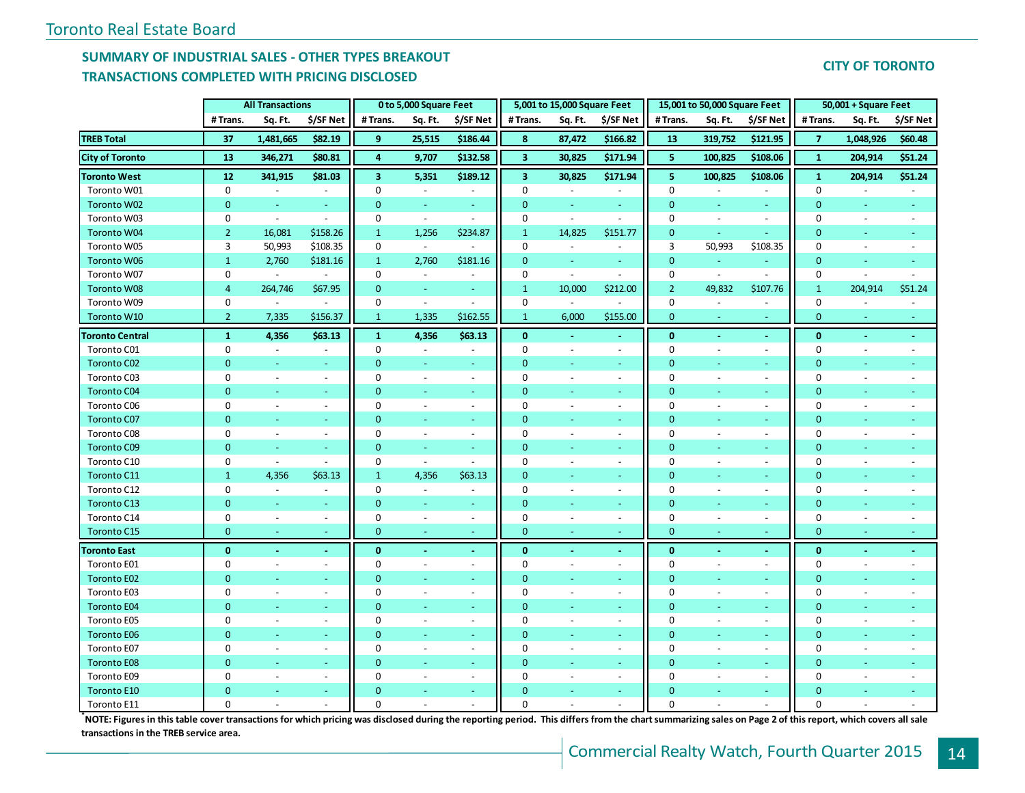## **SUMMARY OF INDUSTRIAL SALES - OTHER TYPES BREAKOUT TRANSACTIONS COMPLETED WITH PRICING DISCLOSED**

| <b>CITY OF TORONTO</b> |  |
|------------------------|--|
|                        |  |

|                        |                | <b>All Transactions</b>  |                          |                         | 0 to 5,000 Square Feet   |                          |                         | 5,001 to 15,000 Square Feet |                          |                | 15,001 to 50,000 Square Feet |                          |                  | 50,001 + Square Feet     |           |
|------------------------|----------------|--------------------------|--------------------------|-------------------------|--------------------------|--------------------------|-------------------------|-----------------------------|--------------------------|----------------|------------------------------|--------------------------|------------------|--------------------------|-----------|
|                        | # Trans.       | Sq. Ft.                  | \$/SF Net                | # Trans.                | Sq. Ft.                  | \$/SF Net                | # Trans.                | Sq. Ft.                     | \$/SF Net                | # Trans.       | Sq. Ft.                      | \$/SF Net                | # Trans.         | Sq. Ft.                  | \$/SF Net |
| <b>TREB Total</b>      | 37             | 1,481,665                | \$82.19                  | 9                       | 25,515                   | \$186.44                 | 8                       | 87,472                      | \$166.82                 | 13             | 319,752                      | \$121.95                 | $\overline{7}$   | 1,048,926                | \$60.48   |
| <b>City of Toronto</b> | 13             | 346,271                  | \$80.81                  | $\overline{\mathbf{4}}$ | 9,707                    | \$132.58                 | $\overline{\mathbf{3}}$ | 30,825                      | \$171.94                 | 5              | 100,825                      | \$108.06                 | $\mathbf{1}$     | 204,914                  | \$51.24   |
| <b>Toronto West</b>    | 12             | 341,915                  | \$81.03                  | $\overline{\mathbf{3}}$ | 5,351                    | \$189.12                 | $\overline{\mathbf{3}}$ | 30,825                      | \$171.94                 | 5              | 100,825                      | \$108.06                 | $\mathbf{1}$     | 204,914                  | \$51.24   |
| Toronto W01            | 0              | $\overline{\phantom{a}}$ | $\sim$                   | 0                       | $\blacksquare$           | $\blacksquare$           | $\mathbf 0$             | $\blacksquare$              | $\overline{\phantom{a}}$ | $\mathbf{0}$   | $\overline{a}$               | $\sim$                   | $\mathbf 0$      | $\overline{\phantom{a}}$ |           |
| Toronto W02            | $\mathbf{0}$   | $\omega$                 | $\sim$                   | $\mathbf{0}$            | $\sim$                   | $\sim$                   | $\mathbf{0}$            | $\omega$                    | $\omega$                 | $\overline{0}$ | $\equiv$                     | $\sim$                   | $\mathbf{0}$     | $\omega$                 | $\sim$    |
| Toronto W03            | $\mathbf 0$    | $\overline{\phantom{a}}$ | $\sim$                   | 0                       | $\overline{\phantom{a}}$ | $\sim$                   | 0                       | $\blacksquare$              | $\blacksquare$           | $\mathbf 0$    | $\sim$                       | $\blacksquare$           | $\mathbf 0$      | ÷,                       |           |
| Toronto W04            | $\overline{2}$ | 16,081                   | \$158.26                 | $\mathbf{1}$            | 1,256                    | \$234.87                 | $\mathbf{1}$            | 14,825                      | \$151.77                 | $\mathbf{0}$   |                              |                          | $\Omega$         |                          |           |
| Toronto W05            | 3              | 50,993                   | \$108.35                 | 0                       | $\blacksquare$           | $\overline{\phantom{a}}$ | $\mathbf 0$             | $\blacksquare$              | $\blacksquare$           | 3              | 50,993                       | \$108.35                 | $\mathbf 0$      | ÷                        |           |
| <b>Toronto W06</b>     | $\mathbf{1}$   | 2,760                    | \$181.16                 | $\mathbf{1}$            | 2,760                    | \$181.16                 | $\overline{0}$          | $\omega$                    | $\omega$                 | $\mathbf{0}$   | ÷.                           |                          | $\overline{0}$   | ÷.                       |           |
| Toronto W07            | $\mathbf 0$    | $\overline{\phantom{a}}$ |                          | 0                       | $\blacksquare$           |                          | $\mathbf 0$             | $\omega$                    | $\sim$                   | $\mathbf 0$    | $\mathcal{L}$                | $\sim$                   | $\boldsymbol{0}$ | ä,                       |           |
| <b>Toronto W08</b>     | $\overline{4}$ | 264,746                  | \$67.95                  | $\mathbf{0}$            | $\blacksquare$           | $\blacksquare$           | $\mathbf{1}$            | 10,000                      | \$212.00                 | $\overline{2}$ | 49,832                       | \$107.76                 | $\mathbf{1}$     | 204,914                  | \$51.24   |
| Toronto W09            | $\mathbf 0$    | $\sim$                   | $\sim$                   | 0                       | $\omega$                 | $\overline{a}$           | 0                       | $\blacksquare$              | $\overline{a}$           | $\mathbf{0}$   | $\sim$                       | $\blacksquare$           | 0                |                          |           |
| Toronto W10            | $2^{\circ}$    | 7,335                    | \$156.37                 | $\mathbf{1}$            | 1,335                    | \$162.55                 | $\mathbf{1}$            | 6,000                       | \$155.00                 | $\mathbf{0}$   |                              |                          | $\overline{0}$   |                          |           |
| <b>Toronto Central</b> | $\mathbf{1}$   | 4,356                    | \$63.13                  | $\mathbf{1}$            | 4,356                    | \$63.13                  | $\mathbf{0}$            |                             | $\omega$                 | $\mathbf{0}$   | ä,                           | $\sim$                   | $\bf{0}$         | $\mathbf{r}$             |           |
| Toronto C01            | $\mathbf 0$    | $\blacksquare$           | $\overline{\phantom{a}}$ | 0                       | $\sim$                   | $\blacksquare$           | 0                       |                             | $\overline{\phantom{a}}$ | $\mathbf{0}$   | $\blacksquare$               | $\overline{\phantom{a}}$ | $\mathbf 0$      |                          |           |
| Toronto C02            | $\mathbf{0}$   | Ξ                        | Ξ                        | $\mathbf{0}$            | $\omega$                 | Ξ                        | $\mathbf{0}$            |                             | Ξ                        | $\overline{0}$ |                              | ÷.                       | $\mathbf{0}$     |                          |           |
| Toronto C03            | $\mathbf 0$    | $\sim$                   | $\overline{\phantom{a}}$ | 0                       | $\overline{\phantom{a}}$ | $\overline{\phantom{a}}$ | 0                       | $\overline{\phantom{a}}$    | $\sim$                   | $\mathbf 0$    | $\blacksquare$               | $\sim$                   | 0                | $\overline{\phantom{a}}$ |           |
| Toronto C04            | $\mathbf{0}$   | ä,                       | $\omega$                 | $\mathbf{0}$            | $\omega$                 | $\omega$                 | $\mathbf{0}$            | Ξ                           | $\omega$                 | $\overline{0}$ |                              | $\sim$                   | $\mathbf{0}$     | ÷.                       |           |
| Toronto C06            | $\mathbf 0$    | $\omega$                 | $\sim$                   | $\mathbf 0$             | $\blacksquare$           | $\blacksquare$           | $\mathbf 0$             | $\overline{\phantom{a}}$    | $\omega$                 | $\mathbf{0}$   | $\overline{\phantom{a}}$     | $\sim$                   | $\mathbf 0$      | $\overline{a}$           |           |
| <b>Toronto C07</b>     | $\overline{0}$ | $\blacksquare$           | $\blacksquare$           | $\mathbf{0}$            | $\blacksquare$           | $\blacksquare$           | $\mathbf{0}$            | $\blacksquare$              | $\blacksquare$           | $\overline{0}$ | ٠                            | $\sim$                   | $\mathbf{0}$     | Ξ                        |           |
| Toronto C08            | $\mathbf 0$    | $\overline{\phantom{a}}$ | $\overline{\phantom{a}}$ | 0                       | $\blacksquare$           | $\sim$                   | 0                       | $\overline{\phantom{a}}$    | $\blacksquare$           | $\mathbf{0}$   | ÷,                           | $\blacksquare$           | $\mathbf 0$      | ÷,                       |           |
| Toronto C09            | $\overline{0}$ | $\omega$                 | $\sim$                   | $\mathbf{0}$            | $\blacksquare$           | $\equiv$                 | $\mathbf{0}$            | $\omega$                    | $\sim$                   | $\overline{0}$ |                              | $\sim$                   | $\mathbf{0}$     | u,                       |           |
| Toronto C10            | $\mathbf 0$    | $\blacksquare$           | $\blacksquare$           | 0                       | $\blacksquare$           | $\overline{\phantom{a}}$ | $\mathbf 0$             | $\blacksquare$              | $\sim$                   | $\mathbf{0}$   | $\blacksquare$               | $\sim$                   | $\mathbf 0$      | $\overline{\phantom{a}}$ |           |
| Toronto C11            | $\mathbf{1}$   | 4,356                    | \$63.13                  | $\mathbf{1}$            | 4,356                    | \$63.13                  | $\mathbf{0}$            | $\sim$                      | a.                       | $\overline{0}$ |                              | $\Delta \phi$            | $\mathbf{0}$     |                          |           |
| Toronto C12            | $\mathbf 0$    | $\overline{\phantom{a}}$ | $\omega$                 | $\mathbf 0$             | $\blacksquare$           | $\sim$                   | $\mathbf 0$             | $\overline{\phantom{a}}$    | $\omega$                 | $\mathbf{0}$   | $\blacksquare$               | $\sim$                   | $\mathbf 0$      |                          |           |
| Toronto C13            | $\mathbf{0}$   | Ξ                        | ÷,                       | $\pmb{0}$               | $\blacksquare$           | $\blacksquare$           | $\mathbf{0}$            |                             |                          | $\mathbf{0}$   |                              | $\equiv$                 | $\mathbf{0}$     |                          |           |
| Toronto C14            | $\mathbf 0$    | $\blacksquare$           | $\blacksquare$           | $\mathbf 0$             | $\overline{\phantom{a}}$ | $\blacksquare$           | $\mathbf 0$             | $\blacksquare$              | $\blacksquare$           | $\mathbf 0$    | $\blacksquare$               | $\sim$                   | $\mathbf 0$      | $\overline{a}$           |           |
| Toronto C15            | $\mathbf{0}$   | $\sim$                   | $\blacksquare$           | $\mathbf{0}$            | $\sim$                   | $\blacksquare$           | $\mathbf{0}$            | $\blacksquare$              | $\sim$                   | $\mathbf{0}$   | Ξ                            | $\equiv$                 | $\mathbf{0}$     | $\overline{\phantom{a}}$ |           |
| <b>Toronto East</b>    | $\mathbf{0}$   | $\sim$                   | $\blacksquare$           | $\mathbf{0}$            | $\blacksquare$           | $\omega$                 | $\mathbf{0}$            | $\blacksquare$              | $\omega$                 | $\mathbf 0$    | $\blacksquare$               | $\sim$                   | $\mathbf{0}$     | $\sim$                   |           |
| Toronto E01            | $\mathbf 0$    | $\omega$                 | $\blacksquare$           | 0                       | $\sim$                   | $\sim$                   | $\Omega$                | $\sim$                      | $\sim$                   | $\mathbf 0$    | $\sim$                       | $\sim$                   | 0                | $\sim$                   |           |
| <b>Toronto E02</b>     | $\overline{0}$ | Ξ                        | $\sim$                   | $\mathbf{0}$            | $\omega$                 | $\omega$                 | $\mathbf{0}$            | ÷                           | ٠                        | $\overline{0}$ |                              | $\sim$                   | $\overline{0}$   | Ξ                        |           |
| Toronto E03            | $\mathbf 0$    | $\sim$                   | $\blacksquare$           | 0                       | $\overline{\phantom{a}}$ | $\blacksquare$           | $\mathbf 0$             | $\blacksquare$              | $\blacksquare$           | $\mathbf{0}$   | $\sim$                       | $\blacksquare$           | $\mathbf 0$      | $\overline{\phantom{a}}$ |           |
| <b>Toronto E04</b>     | $\overline{0}$ |                          | ÷,                       | $\mathbf{0}$            | $\equiv$                 | $\equiv$                 | $\mathbf{0}$            |                             |                          | $\overline{0}$ |                              | ÷.                       | $\mathbf{0}$     |                          |           |
| Toronto E05            | $\mathbf 0$    | $\overline{\phantom{a}}$ | $\blacksquare$           | 0                       | $\overline{\phantom{a}}$ | $\sim$                   | $\mathbf 0$             | $\overline{\phantom{a}}$    | $\blacksquare$           | $\mathbf{0}$   | ÷,                           | $\blacksquare$           | $\mathbf 0$      |                          |           |
| <b>Toronto E06</b>     | $\mathbf{0}$   | Ξ                        | $\omega$                 | $\mathbf{0}$            | $\omega$                 | $\equiv$                 | $\mathbf{0}$            |                             | ÷.                       | $\overline{0}$ |                              | ÷.                       | $\overline{0}$   |                          |           |
| Toronto E07            | $\mathbf 0$    | $\overline{\phantom{a}}$ | $\blacksquare$           | 0                       | $\blacksquare$           | $\blacksquare$           | $\mathbf 0$             | $\sim$                      | $\omega$                 | $\mathbf{0}$   | $\blacksquare$               | $\blacksquare$           | $\mathbf 0$      | $\overline{\phantom{a}}$ |           |
| <b>Toronto E08</b>     | $\mathbf{0}$   | Ξ                        | $\sim$                   | $\mathbf{0}$            | $\sim$                   | $\omega$                 | $\mathbf{0}$            | ÷                           | $\omega$                 | $\overline{0}$ |                              | $\sim$                   | $\mathbf{0}$     | ÷.                       |           |
| Toronto E09            | $\mathbf 0$    | $\sim$                   | $\sim$                   | $\mathbf 0$             | $\blacksquare$           | $\sim$                   | $\mathbf 0$             | $\overline{\phantom{a}}$    | $\omega$                 | $\mathbf{0}$   | $\overline{\phantom{a}}$     | $\sim$                   | $\mathbf 0$      |                          |           |
| <b>Toronto E10</b>     | $\mathbf{0}$   | u,                       | $\sim$                   | $\mathbf 0$             | $\blacksquare$           | $\equiv$                 | $\mathbf{0}$            |                             | $\blacksquare$           | $\mathbf{0}$   |                              | $\sim$                   | $\mathbf 0$      |                          |           |
| Toronto E11            | $\mathbf 0$    | $\overline{a}$           | $\sim$                   | $\Omega$                | $\overline{a}$           | $\sim$                   | $\Omega$                |                             | $\sim$                   | $\Omega$       | $\overline{a}$               | $\overline{a}$           | $\Omega$         |                          |           |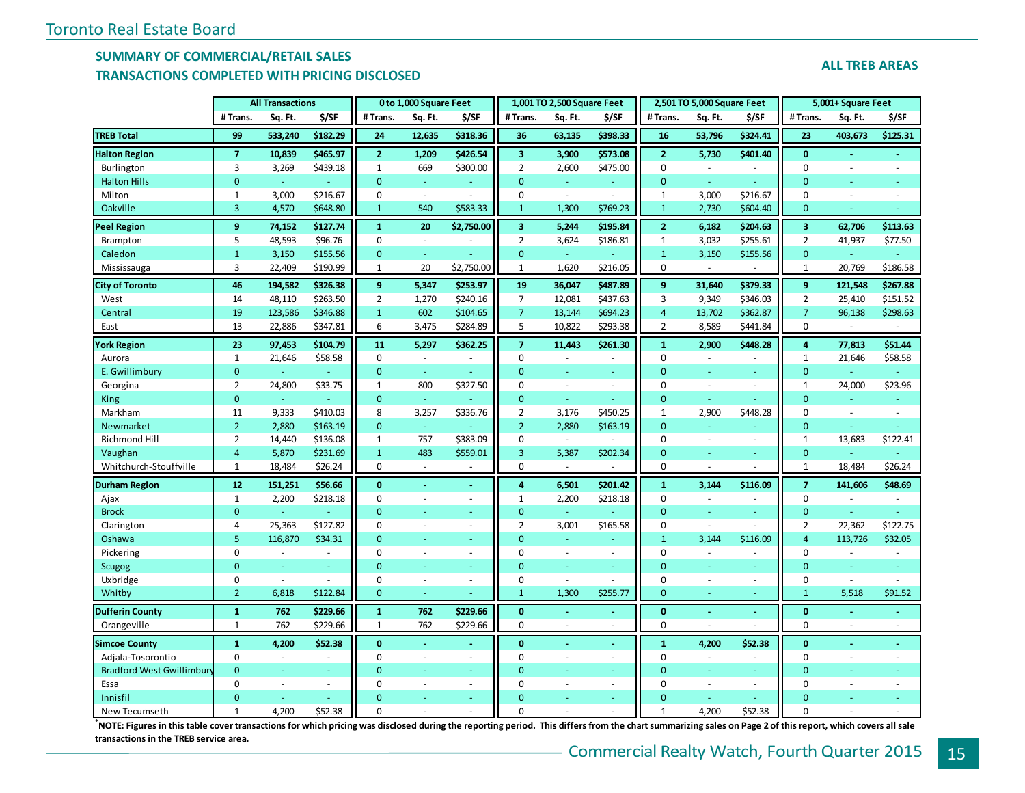### **SUMMARY OF COMMERCIAL/RETAIL SALES**

#### **TRANSACTIONS COMPLETED WITH PRICING DISCLOSED**

|  | <b>ALL TREB AREAS</b> |
|--|-----------------------|

|                                 |                | <b>All Transactions</b> |          |                | 0 to 1,000 Square Feet |                |                         | 1,001 TO 2,500 Square Feet |                |                | 2,501 TO 5,000 Square Feet |          |                | 5,001+ Square Feet       |          |
|---------------------------------|----------------|-------------------------|----------|----------------|------------------------|----------------|-------------------------|----------------------------|----------------|----------------|----------------------------|----------|----------------|--------------------------|----------|
|                                 | #Trans.        | Sq. Ft.                 | \$/SF    | # Trans.       | Sq. Ft.                | \$/SF          | #Trans.                 | Sq. Ft.                    | \$/SF          | # Trans.       | Sq. Ft.                    | \$/SF    | # Trans.       | Sq. Ft.                  | \$/SF    |
| <b>TREB Total</b>               | 99             | 533,240                 | \$182.29 | 24             | 12,635                 | \$318.36       | 36                      | 63,135                     | \$398.33       | 16             | 53,796                     | \$324.41 | 23             | 403,673                  | \$125.31 |
| <b>Halton Region</b>            | $\overline{7}$ | 10,839                  | \$465.97 | $\overline{2}$ | 1,209                  | \$426.54       | 3                       | 3,900                      | \$573.08       | $\mathbf{2}$   | 5,730                      | \$401.40 | $\bf{0}$       | $\blacksquare$           |          |
| Burlington                      | 3              | 3,269                   | \$439.18 | $\mathbf{1}$   | 669                    | \$300.00       | $\overline{2}$          | 2,600                      | \$475.00       | $\pmb{0}$      | $\omega$                   |          | $\Omega$       | ÷                        | ÷.       |
| <b>Halton Hills</b>             | $\mathbf{0}$   | $\blacksquare$          |          | $\overline{0}$ | ÷.                     |                | $\Omega$                | u,                         |                | $\Omega$       | u,                         |          | $\mathbf{0}$   |                          |          |
| Milton                          | $\mathbf{1}$   | 3,000                   | \$216.67 | $\mathbf 0$    | $\sim$                 | ÷,             | $\mathbf 0$             | $\overline{a}$             | $\overline{a}$ | $\mathbf{1}$   | 3,000                      | \$216.67 | $\mathbf 0$    | L.                       |          |
| Oakville                        | 3              | 4,570                   | \$648.80 | $\mathbf{1}$   | 540                    | \$583.33       | $\mathbf{1}$            | 1,300                      | \$769.23       | $\mathbf{1}$   | 2,730                      | \$604.40 | $\mathbf{0}$   |                          |          |
| <b>Peel Region</b>              | 9              | 74,152                  | \$127.74 | $\mathbf{1}$   | 20                     | \$2,750.00     | $\overline{\mathbf{3}}$ | 5,244                      | \$195.84       | $\mathbf{2}$   | 6,182                      | \$204.63 | 3              | 62,706                   | \$113.63 |
| Brampton                        | 5              | 48,593                  | \$96.76  | 0              | $\sim$                 |                | $\overline{2}$          | 3,624                      | \$186.81       | $\mathbf{1}$   | 3,032                      | \$255.61 | $\overline{2}$ | 41,937                   | \$77.50  |
| Caledon                         | $\mathbf 1$    | 3,150                   | \$155.56 | $\mathbf{0}$   | ÷.                     | ÷.             | $\mathbf 0$             | $\omega_{\rm c}$           |                | $\mathbf{1}$   | 3,150                      | \$155.56 | $\pmb{0}$      |                          |          |
| Mississauga                     | 3              | 22,409                  | \$190.99 | $\mathbf{1}$   | 20                     | \$2,750.00     | $\mathbf{1}$            | 1,620                      | \$216.05       | $\Omega$       |                            |          | $\mathbf{1}$   | 20,769                   | \$186.58 |
| <b>City of Toronto</b>          | 46             | 194,582                 | \$326.38 | 9              | 5,347                  | \$253.97       | 19                      | 36,047                     | \$487.89       | 9              | 31,640                     | \$379.33 | 9              | 121,548                  | \$267.88 |
| West                            | 14             | 48,110                  | \$263.50 | $\overline{2}$ | 1,270                  | \$240.16       | $\overline{7}$          | 12,081                     | \$437.63       | 3              | 9,349                      | \$346.03 | $\overline{2}$ | 25,410                   | \$151.52 |
| Central                         | 19             | 123,586                 | \$346.88 | $\mathbf{1}$   | 602                    | \$104.65       | $\overline{7}$          | 13,144                     | \$694.23       | $\overline{4}$ | 13,702                     | \$362.87 | $\overline{7}$ | 96,138                   | \$298.63 |
| East                            | 13             | 22,886                  | \$347.81 | 6              | 3,475                  | \$284.89       | 5                       | 10,822                     | \$293.38       | $\overline{2}$ | 8,589                      | \$441.84 | 0              | $\overline{a}$           |          |
| <b>York Region</b>              | 23             | 97,453                  | \$104.79 | 11             | 5,297                  | \$362.25       | $\overline{7}$          | 11,443                     | \$261.30       | $\mathbf{1}$   | 2,900                      | \$448.28 | 4              | 77,813                   | \$51.44  |
| Aurora                          | $\mathbf{1}$   | 21,646                  | \$58.58  | 0              | $\omega$               |                | $\mathbf 0$             | ÷,                         | $\sim$         | $\mathbf 0$    | $\mathcal{L}$              |          | $\mathbf{1}$   | 21,646                   | \$58.58  |
| E. Gwillimbury                  | $\mathbf 0$    | ä,                      |          | $\Omega$       | ÷.                     |                | $\Omega$                | ÷                          | Ξ              | $\Omega$       | ä,                         | ÷        | $\mathbf{0}$   |                          |          |
| Georgina                        | $\overline{2}$ | 24,800                  | \$33.75  | 1              | 800                    | \$327.50       | $\mathbf 0$             | $\bar{a}$                  | $\sim$         | $\mathbf 0$    | ÷,                         | $\sim$   | 1              | 24,000                   | \$23.96  |
| King                            | $\mathbf 0$    | ÷                       |          | $\mathbf{0}$   | $\omega$               |                | $\overline{0}$          | $\omega$                   |                | $\mathbf{0}$   | ÷                          |          | $\mathbf{0}$   | Ξ                        |          |
| Markham                         | 11             | 9,333                   | \$410.03 | 8              | 3,257                  | \$336.76       | $\overline{2}$          | 3,176                      | \$450.25       | $\mathbf{1}$   | 2,900                      | \$448.28 | 0              | $\overline{\phantom{a}}$ | $\sim$   |
| Newmarket                       | $\overline{2}$ | 2,880                   | \$163.19 | $\mathbf{0}$   | ÷.                     |                | $\overline{2}$          | 2,880                      | \$163.19       | $\Omega$       | ÷,                         |          | $\mathbf{0}$   | ÷                        |          |
| <b>Richmond Hill</b>            | $\overline{2}$ | 14,440                  | \$136.08 | $\mathbf{1}$   | 757                    | \$383.09       | $\mathbf 0$             | $\sim$                     |                | $\Omega$       | $\mathcal{L}$              | $\sim$   | $\mathbf{1}$   | 13,683                   | \$122.41 |
| Vaughan                         | $\overline{4}$ | 5,870                   | \$231.69 | $\mathbf{1}$   | 483                    | \$559.01       | 3                       | 5,387                      | \$202.34       | $\Omega$       | Ξ                          |          | $\mathbf{0}$   |                          |          |
| Whitchurch-Stouffville          | $\mathbf{1}$   | 18,484                  | \$26.24  | 0              | $\blacksquare$         |                | $\mathbf 0$             |                            |                | $\mathbf 0$    | ÷,                         |          | $\mathbf{1}$   | 18,484                   | \$26.24  |
| <b>Durham Region</b>            | 12             | 151,251                 | \$56.66  | $\mathbf{0}$   | $\blacksquare$         | $\blacksquare$ | 4                       | 6,501                      | \$201.42       | $\mathbf{1}$   | 3,144                      | \$116.09 | $\overline{7}$ | 141,606                  | \$48.69  |
| Ajax                            | $\mathbf{1}$   | 2,200                   | \$218.18 | 0              | ä,                     | $\omega$       | $\mathbf{1}$            | 2,200                      | \$218.18       | $\mathbf 0$    | ä,                         |          | 0              |                          |          |
| <b>Brock</b>                    | $\mathbf{0}$   | ÷.                      |          | $\mathbf{0}$   | ٠                      | ÷              | $\mathbf{0}$            | ÷.                         |                | $\Omega$       | ÷.                         | $\sim$   | $\mathbf{0}$   |                          |          |
| Clarington                      | 4              | 25,363                  | \$127.82 | $\Omega$       | ä,                     | $\sim$         | $\overline{2}$          | 3,001                      | \$165.58       | $\Omega$       | ÷,                         |          | $\overline{2}$ | 22,362                   | \$122.75 |
| Oshawa                          | 5              | 116,870                 | \$34.31  | $\Omega$       |                        | ÷              | $\Omega$                | Ξ                          |                | $\mathbf{1}$   | 3,144                      | \$116.09 | $\overline{4}$ | 113,726                  | \$32.05  |
| Pickering                       | $\mathbf 0$    | $\mathcal{L}$           | $\sim$   | $\mathbf 0$    | ä,                     | $\omega$       | $\mathbf 0$             | $\bar{a}$                  | $\sim$         | $\Omega$       | ÷,                         | $\sim$   | $\mathbf 0$    | ä,                       |          |
| <b>Scugog</b>                   | $\overline{0}$ | ÷                       |          | $\Omega$       | ÷.                     | ÷              | $\overline{0}$          | ÷                          | ÷.             | $\Omega$       | ä,                         |          | $\mathbf{0}$   | Ξ                        |          |
| Uxbridge                        | 0              | $\sim$                  |          | $\Omega$       | $\sim$                 | $\sim$         | $\mathbf 0$             | ä,                         |                | $\mathbf 0$    | ÷,                         | $\sim$   | $\mathbf 0$    | $\bar{a}$                |          |
| Whitby                          | $\overline{2}$ | 6,818                   | \$122.84 | $\mathbf{0}$   | $\equiv$               |                | $\mathbf{1}$            | 1,300                      | \$255.77       | $\mathbf{0}$   | Ξ                          |          | $\mathbf{1}$   | 5,518                    | \$91.52  |
| <b>Dufferin County</b>          | $\mathbf{1}$   | 762                     | \$229.66 | $\mathbf{1}$   | 762                    | \$229.66       | $\bf{0}$                | ÷                          | $\sim$         | $\mathbf{0}$   | $\sim$                     | <b>A</b> | $\mathbf{0}$   | ÷                        | х.       |
| Orangeville                     | $\mathbf{1}$   | 762                     | \$229.66 | $\mathbf{1}$   | 762                    | \$229.66       | $\mathbf 0$             | ä,                         |                | $\Omega$       | L.                         |          | $\mathbf 0$    | ÷.                       | $\sim$   |
| <b>Simcoe County</b>            | $\mathbf{1}$   | 4,200                   | \$52.38  | $\bf{0}$       |                        | $\blacksquare$ | $\bf{0}$                |                            |                | $\mathbf{1}$   | 4,200                      | \$52.38  | $\bf{0}$       |                          |          |
| Adjala-Tosorontio               | $\mathbf 0$    | $\sim$                  |          | 0              | $\sim$                 | $\sim$         | $\mathbf 0$             | ä,                         | $\sim$         | $\mathbf 0$    | $\sim$                     |          | $\mathbf 0$    | $\sim$                   |          |
| <b>Bradford West Gwillimbur</b> | $\Omega$       | ÷                       | ÷.       | $\Omega$       | ÷.                     | $\omega$       | $\Omega$                |                            | ٠              | $\Omega$       | ÷.                         | ÷        | $\Omega$       |                          |          |
| Essa                            | $\Omega$       | ÷,                      |          | $\Omega$       | ÷,                     | $\omega$       | $\mathbf 0$             |                            |                | $\Omega$       | L.                         | $\sim$   | $\Omega$       | ÷,                       |          |
| Innisfil                        | $\Omega$       |                         |          | $\Omega$       |                        |                | $\Omega$                |                            |                | $\Omega$       |                            |          | $\Omega$       |                          |          |
| New Tecumseth                   | $\mathbf{1}$   | 4,200                   | \$52.38  | $\Omega$       |                        |                | $\Omega$                |                            |                | $\mathbf{1}$   | 4,200                      | \$52.38  | $\Omega$       |                          |          |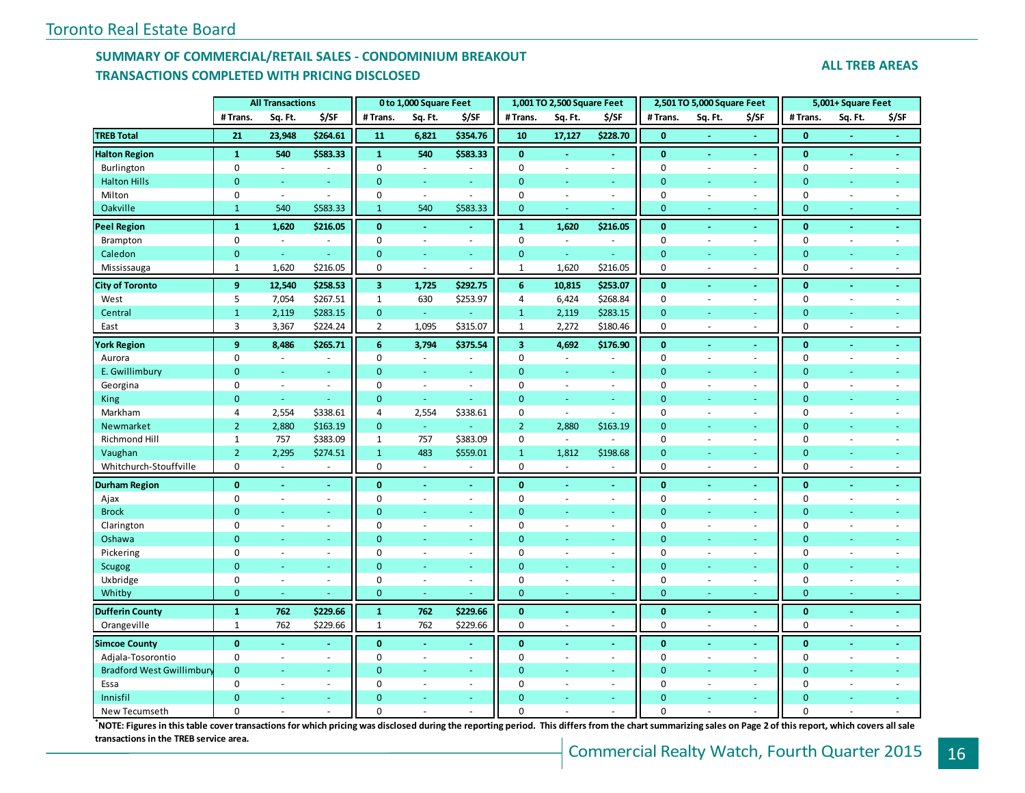## **SUMMARY OF COMMERCIAL/RETAIL SALES - CONDOMINIUM BREAKOUT TRANSACTIONS COMPLETED WITH PRICING DISCLOSED**

#### **ALL TREB AREAS**

|                                  |                  | <b>All Transactions</b>  |                |                         | 0 to 1,000 Square Feet   |                |                         | 1,001 TO 2,500 Square Feet |              |                | 2,501 TO 5,000 Square Feet |                          |                | 5,001+ Square Feet       |                |
|----------------------------------|------------------|--------------------------|----------------|-------------------------|--------------------------|----------------|-------------------------|----------------------------|--------------|----------------|----------------------------|--------------------------|----------------|--------------------------|----------------|
|                                  | #Trans.          | Sq. Ft.                  | \$/SF          | #Trans.                 | Sq. Ft.                  | \$/SF          | # Trans.                | Sq. Ft.                    | \$/SF        | # Trans.       | Sq. Ft.                    | \$/SF                    | #Trans.        | Sq. Ft.                  | \$/SF          |
| <b>TREB Total</b>                | 21               | 23,948                   | \$264.61       | 11                      | 6,821                    | \$354.76       | 10                      | 17,127                     | \$228.70     | $\mathbf{0}$   |                            |                          | $\mathbf{0}$   |                          |                |
| <b>Halton Region</b>             | $\mathbf{1}$     | 540                      | \$583.33       | $\mathbf{1}$            | 540                      | \$583.33       | $\bf{0}$                | $\blacksquare$             | ÷.           | $\mathbf{0}$   | $\blacksquare$             | $\blacksquare$           | $\bf{0}$       | $\blacksquare$           | Ξ              |
| Burlington                       | $\boldsymbol{0}$ | $\overline{\phantom{a}}$ | $\sim$         | $\mathbf 0$             | $\sim$                   |                | $\mathbf 0$             | ä,                         | $\sim$       | $\pmb{0}$      | $\sim$                     | $\sim$                   | $\mathbf 0$    | $\overline{\phantom{a}}$ |                |
| <b>Halton Hills</b>              | $\overline{0}$   | Ξ                        |                | $\Omega$                | Ξ                        | ÷              | $\Omega$                | Ξ                          | u.           | $\Omega$       |                            | $\sim$                   | $\mathbf{0}$   | ÷.                       |                |
| Milton                           | $\mathbf 0$      | $\mathcal{L}$            | $\sim$         | $\mathbf 0$             | $\omega$                 | $\sim$         | $\mathbf 0$             | $\sim$                     | $\sim$       | $\mathbf 0$    | L,                         | $\sim$                   | $\mathbf 0$    | $\sim$                   |                |
| Oakville                         | $\mathbf{1}$     | 540                      | \$583.33       | $\mathbf{1}$            | 540                      | \$583.33       | $\mathbf{0}$            | Ξ                          | u.           | $\mathbf{0}$   |                            | ÷                        | $\mathbf{0}$   | ÷                        | ÷              |
| <b>Peel Region</b>               | $\mathbf{1}$     | 1,620                    | \$216.05       | $\mathbf{0}$            | $\blacksquare$           | $\blacksquare$ | $\mathbf{1}$            | 1,620                      | \$216.05     | $\mathbf{0}$   | ÷                          | $\blacksquare$           | $\mathbf{0}$   | $\blacksquare$           | ÷              |
| Brampton                         | 0                | $\overline{\phantom{a}}$ | $\sim$         | $\mathbf 0$             | ä,                       | $\sim$         | $\mathbf 0$             | $\blacksquare$             | $\sim$       | $\mathbf 0$    | $\bar{\phantom{a}}$        | $\sim$                   | $\pmb{0}$      | $\omega$                 | ä,             |
| Caledon                          | $\mathbf{0}$     | ÷                        |                | $\mathbf{0}$            | ÷.                       | $\omega$       | $\mathbf{0}$            | ÷.                         | ш.           | $\mathbf{0}$   | ÷                          | ÷.                       | $\pmb{0}$      | $\sim$                   | Ξ              |
| Mississauga                      | $\mathbf{1}$     | 1,620                    | \$216.05       | $\mathbf 0$             | $\bar{a}$                | $\sim$         | $\mathbf{1}$            | 1,620                      | \$216.05     | $\mathbf 0$    | ÷,                         | $\sim$                   | $\pmb{0}$      | $\sim$                   | ä,             |
| <b>City of Toronto</b>           | 9                | 12,540                   | \$258.53       | $\overline{\mathbf{3}}$ | 1,725                    | \$292.75       | 6                       | 10,815                     | \$253.07     | $\mathbf{0}$   | ÷                          | $\blacksquare$           | $\mathbf{0}$   | $\omega$                 | $\blacksquare$ |
| West                             | 5                | 7,054                    | \$267.51       | $\mathbf{1}$            | 630                      | \$253.97       | $\sqrt{4}$              | 6,424                      | \$268.84     | 0              | $\sim$                     | $\sim$                   | $\mathbf 0$    | $\sim$                   |                |
| Central                          | $\mathbf{1}$     | 2,119                    | \$283.15       | $\mathbf{0}$            | $\omega$                 |                | $\mathbf{1}$            | 2,119                      | \$283.15     | $\mathbf{0}$   | ÷.                         | $\omega$                 | $\mathbf{0}$   | ÷                        | u              |
| East                             | 3                | 3,367                    | \$224.24       | $\overline{2}$          | 1,095                    | \$315.07       | $\mathbf 1$             | 2,272                      | \$180.46     | $\pmb{0}$      | ÷,                         | $\overline{\phantom{a}}$ | $\pmb{0}$      | $\omega$                 | $\sim$         |
| <b>York Region</b>               | $\overline{9}$   | 8,486                    | \$265.71       | $6\phantom{1}$          | 3,794                    | \$375.54       | $\overline{\mathbf{3}}$ | 4,692                      | \$176.90     | $\mathbf{0}$   |                            | ÷.                       | $\pmb{0}$      |                          |                |
| Aurora                           | $\mathbf 0$      | $\overline{a}$           | $\overline{a}$ | $\mathbf 0$             | ÷                        |                | $\mathbf 0$             | ÷                          | $\mathbf{r}$ | $\mathbf 0$    | ÷.                         | $\sim$                   | $\mathbf 0$    | $\sim$                   | ÷.             |
| E. Gwillimbury                   | $\overline{0}$   | ٠                        | Ξ              | $\mathbf{0}$            | ٠                        | $\omega$       | $\mathbf{0}$            | ٠                          | $\omega$     | $\mathbf{0}$   | ٠                          | ä,                       | $\mathbf{0}$   | $\overline{\phantom{a}}$ |                |
| Georgina                         | $\mathbf 0$      | $\overline{a}$           | $\sim$         | $\Omega$                | $\overline{a}$           | $\sim$         | $\mathbf 0$             | $\sim$                     | $\sim$       | $\mathbf 0$    | ÷,                         | $\sim$                   | $\pmb{0}$      | ÷.                       |                |
| King                             | $\mathbf{0}$     | ä,                       |                | $\mathbf{0}$            | $\omega$                 | $\equiv$       | $\mathbf{0}$            |                            |              | $\mathbf{0}$   |                            | Ξ                        | $\mathbf{0}$   |                          |                |
| Markham                          | 4                | 2,554                    | \$338.61       | 4                       | 2,554                    | \$338.61       | $\mathbf 0$             | $\bar{a}$                  | $\omega$     | $\mathbf 0$    | ÷,                         | $\sim$                   | $\mathbf 0$    | $\sim$                   |                |
| Newmarket                        | $\overline{2}$   | 2,880                    | \$163.19       | $\mathbf{0}$            | ÷.                       |                | $\overline{2}$          | 2,880                      | \$163.19     | $\mathbf{0}$   | ÷,                         | $\blacksquare$           | $\mathbf{0}$   | $\equiv$                 |                |
| Richmond Hill                    | $\mathbf{1}$     | 757                      | \$383.09       | $\mathbf{1}$            | 757                      | \$383.09       | $\mathbf 0$             | $\sim$                     | $\sim$       | $\mathbf 0$    | ÷,                         | $\sim$                   | $\mathbf 0$    | $\sim$                   | $\sim$         |
| Vaughan                          | $\overline{2}$   | 2,295                    | \$274.51       | $\mathbf{1}$            | 483                      | \$559.01       | $\mathbf{1}$            | 1,812                      | \$198.68     | $\mathbf{0}$   |                            |                          | $\mathbf 0$    |                          |                |
| Whitchurch-Stouffville           | 0                | ÷.                       | $\omega$       | 0                       | $\mathcal{L}$            | $\sim$         | $\mathbf 0$             | $\mathbf{r}$               | $\sim$       | $\pmb{0}$      | $\sim$                     | $\sim$                   | $\mathbf 0$    | $\sim$                   | $\sim$         |
| <b>Durham Region</b>             | $\mathbf{0}$     | ä,                       | $\omega$       | $\mathbf{0}$            | ä,                       | $\blacksquare$ | $\mathbf{0}$            |                            | ä,           | $\mathbf{0}$   | ÷,                         | $\omega$                 | $\mathbf{0}$   | $\Delta$                 |                |
| Ajax                             | $\mathbf 0$      | $\sim$                   | $\sim$         | $\mathbf 0$             | $\bar{a}$                | $\sim$         | $\mathbf 0$             | $\bar{a}$                  | ÷,           | $\mathbf 0$    | ÷,                         | $\sim$                   | $\mathbf 0$    | $\sim$                   | L.             |
| <b>Brock</b>                     | $\overline{0}$   |                          |                | $\mathbf{0}$            |                          | $\omega$       | $\mathbf{0}$            |                            | ä,           | $\mathbf{0}$   |                            | ÷                        | $\mathbf 0$    |                          |                |
| Clarington                       | $\mathbf 0$      | $\sim$                   | $\sim$         | $\mathbf 0$             | $\overline{\phantom{a}}$ | $\sim$         | $\mathbf 0$             | $\sim$                     | $\sim$       | $\mathbf 0$    | $\sim$                     | $\overline{\phantom{a}}$ | $\mathbf 0$    | $\overline{\phantom{a}}$ | ÷.             |
| Oshawa                           | $\overline{0}$   | u,                       | Ξ              | $\Omega$                | ٠                        | $\omega$       | $\mathbf{0}$            | ٠                          | u,           | $\mathbf{0}$   | ÷,                         | $\blacksquare$           | $\mathbf 0$    | $\blacksquare$           |                |
| Pickering                        | $\mathbf 0$      | $\sim$                   | $\sim$         | $\mathbf 0$             | $\sim$                   | $\blacksquare$ | $\mathbf 0$             | $\sim$                     | $\sim$       | $\pmb{0}$      | ÷.                         | $\sim$                   | $\pmb{0}$      | $\sim$                   | $\overline{a}$ |
| <b>Scugog</b>                    | $\overline{0}$   |                          |                | $\overline{0}$          | Ξ                        | Ξ              | $\overline{0}$          |                            | u.           | $\overline{0}$ |                            | ÷                        | $\mathbf{0}$   |                          |                |
| Uxbridge                         | 0                | $\sim$                   | $\sim$         | $\pmb{0}$               | $\sim$                   | $\sim$         | $\mathbf 0$             | ä,                         | $\sim$       | $\pmb{0}$      | ÷,                         | $\sim$                   | $\mathbf 0$    | $\sim$                   | $\sim$         |
| Whitby                           | $\pmb{0}$        | ÷                        |                | $\overline{0}$          | Ξ                        | Ξ              | $\pmb{0}$               | ÷                          | $\sim$       | $\mathbf{0}$   | ÷                          | ٠                        | $\mathbf{0}$   | ÷                        | $\sim$         |
| <b>Dufferin County</b>           | $\mathbf{1}$     | 762                      | \$229.66       | $\mathbf{1}$            | 762                      | \$229.66       | $\mathbf{0}$            |                            | $\Delta$     | $\mathbf{0}$   |                            | $\omega$                 | $\mathbf{0}$   |                          | ä,             |
| Orangeville                      | $\mathbf{1}$     | 762                      | \$229.66       | $\mathbf{1}$            | 762                      | \$229.66       | $\pmb{0}$               | $\overline{a}$             | ÷.           | $\pmb{0}$      | ÷.                         | $\sim$                   | $\pmb{0}$      | $\sim$                   | $\sim$         |
| <b>Simcoe County</b>             | $\mathbf{0}$     | $\Delta$                 | $\sim$         | $\bf{0}$                | $\blacksquare$           | $\sim$         | $\bf{0}$                | ä,                         | ä,           | $\bf{0}$       | ÷,                         | $\omega$                 | $\bf{0}$       | $\omega$                 | ä,             |
| Adjala-Tosorontio                | $\mathbf 0$      | $\mathcal{L}$            | $\sim$         | $\Omega$                | $\sim$                   | $\sim$         | $\mathbf 0$             | $\sim$                     | $\sim$       | $\mathbf 0$    | $\sim$                     | $\sim$                   | $\mathbf 0$    | $\sim$                   | ÷              |
| <b>Bradford West Gwillimbury</b> | $\overline{0}$   |                          | Ξ              | $\Omega$                | ÷.                       | ÷.             | $\overline{0}$          |                            | u.           | $\mathbf{0}$   | ÷.                         | ÷                        | $\overline{0}$ | $\sim$                   |                |
| Essa                             | $\Omega$         | $\bar{a}$                | $\sim$         | $\Omega$                | ä,                       | $\blacksquare$ | $\mathbf 0$             | L,                         | $\sim$       | $\mathbf 0$    | ÷,                         | $\sim$                   | $\mathbf 0$    | $\bar{\phantom{a}}$      |                |
| Innisfil                         | $\overline{0}$   | Ξ                        | Ξ              | $\Omega$                | Ξ                        | $\omega$       | $\Omega$                |                            | ä,           | $\mathbf{0}$   | ÷.                         | ÷                        | $\mathbf{0}$   | ÷.                       |                |
| New Tecumseth                    | 0                |                          |                | $\Omega$                |                          | $\sim$         | $\Omega$                |                            |              | $\Omega$       | $\overline{a}$             | ÷.                       | $\mathbf 0$    |                          |                |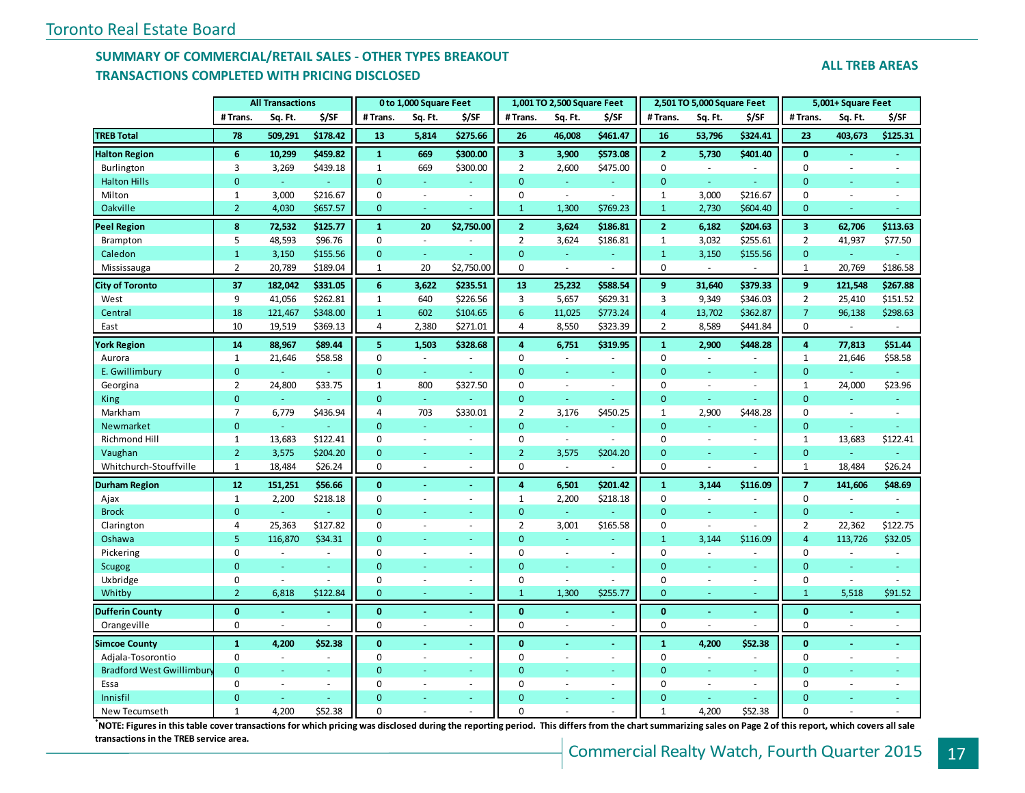## **SUMMARY OF COMMERCIAL/RETAIL SALES - OTHER TYPES BREAKOUT TRANSACTIONS COMPLETED WITH PRICING DISCLOSED**

| <b>ALL TREB AREAS</b> |
|-----------------------|
|-----------------------|

|                                  |                | <b>All Transactions</b> |          |                | 0 to 1,000 Square Feet |                          |                         | 1,001 TO 2,500 Square Feet |                |                | 2,501 TO 5,000 Square Feet |          |                         | 5,001+ Square Feet |          |
|----------------------------------|----------------|-------------------------|----------|----------------|------------------------|--------------------------|-------------------------|----------------------------|----------------|----------------|----------------------------|----------|-------------------------|--------------------|----------|
|                                  | # Trans.       | Sq. Ft.                 | \$/SF    | # Trans.       | Sq. Ft.                | \$/SF                    | # Trans.                | Sq. Ft.                    | \$/SF          | # Trans.       | Sq. Ft.                    | \$/SF    | # Trans.                | Sq. Ft.            | \$/SF    |
| <b>TREB Total</b>                | 78             | 509,291                 | \$178.42 | 13             | 5,814                  | \$275.66                 | 26                      | 46,008                     | \$461.47       | 16             | 53,796                     | \$324.41 | 23                      | 403,673            | \$125.31 |
| <b>Halton Region</b>             | 6              | 10,299                  | \$459.82 | $\mathbf{1}$   | 669                    | \$300.00                 | $\overline{\mathbf{3}}$ | 3,900                      | \$573.08       | 2 <sup>1</sup> | 5,730                      | \$401.40 | $\mathbf{0}$            | $\sim$             |          |
| Burlington                       | 3              | 3,269                   | \$439.18 | $\mathbf{1}$   | 669                    | \$300.00                 | $\overline{2}$          | 2,600                      | \$475.00       | 0              | $\omega$                   |          | $\mathbf 0$             | ÷,                 |          |
| <b>Halton Hills</b>              | $\overline{0}$ | $\omega$                |          | $\Omega$       | u,                     | ÷                        | $\Omega$                | $\omega$                   | $\omega$       | $\overline{0}$ | ä,                         |          | $\overline{0}$          | ÷                  |          |
| Milton                           | 1              | 3,000                   | \$216.67 | $\mathbf 0$    | $\omega$               | $\sim$                   | 0                       | $\blacksquare$             | $\sim$         | $\mathbf{1}$   | 3,000                      | \$216.67 | $\mathbf 0$             | ä,                 |          |
| Oakville                         | $\overline{2}$ | 4,030                   | \$657.57 | $\mathbf{0}$   | ÷.                     |                          | $\mathbf{1}$            | 1,300                      | \$769.23       | $\mathbf{1}$   | 2,730                      | \$604.40 | $\mathbf 0$             |                    |          |
| <b>Peel Region</b>               | 8              | 72,532                  | \$125.77 | $\mathbf{1}$   | 20                     | \$2,750.00               | $\overline{2}$          | 3,624                      | \$186.81       | $\overline{2}$ | 6,182                      | \$204.63 | $\overline{\mathbf{3}}$ | 62,706             | \$113.63 |
| Brampton                         | 5              | 48,593                  | \$96.76  | $\mathbf 0$    | $\sim$                 |                          | $\overline{2}$          | 3,624                      | \$186.81       | $\mathbf{1}$   | 3,032                      | \$255.61 | $\overline{2}$          | 41,937             | \$77.50  |
| Caledon                          | $\mathbf{1}$   | 3,150                   | \$155.56 | $\mathbf{0}$   | ÷.                     |                          | $\mathbf 0$             | ä,                         |                | $\mathbf{1}$   | 3,150                      | \$155.56 | $\mathbf 0$             |                    |          |
| Mississauga                      | $\overline{2}$ | 20,789                  | \$189.04 | 1              | 20                     | \$2,750.00               | $\mathbf 0$             | $\sim$                     |                | 0              |                            |          | $\mathbf{1}$            | 20,769             | \$186.58 |
| <b>City of Toronto</b>           | 37             | 182,042                 | \$331.05 | 6              | 3,622                  | \$235.51                 | 13                      | 25,232                     | \$588.54       | 9              | 31,640                     | \$379.33 | 9                       | 121,548            | \$267.88 |
| West                             | 9              | 41,056                  | \$262.81 | $\mathbf{1}$   | 640                    | \$226.56                 | 3                       | 5,657                      | \$629.31       | 3              | 9,349                      | \$346.03 | $\overline{2}$          | 25,410             | \$151.52 |
| Central                          | 18             | 121,467                 | \$348.00 | $\mathbf{1}$   | 602                    | \$104.65                 | $6\phantom{1}6$         | 11,025                     | \$773.24       | $\overline{4}$ | 13,702                     | \$362.87 | $\overline{7}$          | 96,138             | \$298.63 |
| East                             | 10             | 19,519                  | \$369.13 | 4              | 2,380                  | \$271.01                 | 4                       | 8,550                      | \$323.39       | $\overline{2}$ | 8,589                      | \$441.84 | 0                       |                    |          |
| <b>York Region</b>               | 14             | 88,967                  | \$89.44  | 5              | 1,503                  | \$328.68                 | $\overline{4}$          | 6,751                      | \$319.95       | $\mathbf{1}$   | 2,900                      | \$448.28 | $\overline{4}$          | 77,813             | \$51.44  |
| Aurora                           | $\mathbf{1}$   | 21,646                  | \$58.58  | $\mathbf 0$    | $\sim$                 |                          | $\mathbf 0$             | $\sim$                     |                | $\Omega$       | ÷,                         |          | $\mathbf{1}$            | 21,646             | \$58.58  |
| E. Gwillimbury                   | $\mathbf 0$    | ÷,                      |          | $\overline{0}$ | $\omega$               |                          | $\overline{0}$          | $\equiv$                   | $\omega$       | $\Omega$       | ä,                         | $\omega$ | $\overline{0}$          |                    |          |
| Georgina                         | $\overline{2}$ | 24,800                  | \$33.75  | 1              | 800                    | \$327.50                 | $\mathbf 0$             | $\sim$                     | $\sim$         | $\mathbf 0$    | $\bar{a}$                  | $\sim$   | $\mathbf{1}$            | 24,000             | \$23.96  |
| King                             | $\mathbf 0$    | Ξ                       |          | $\overline{0}$ |                        |                          | $\mathbf 0$             | u,                         |                | $\overline{0}$ |                            |          | $\mathbf 0$             |                    |          |
| Markham                          | $\overline{7}$ | 6,779                   | \$436.94 | $\overline{4}$ | 703                    | \$330.01                 | $\overline{2}$          | 3,176                      | \$450.25       | $\mathbf{1}$   | 2,900                      | \$448.28 | $\mathbf 0$             | ÷.                 | $\sim$   |
| Newmarket                        | $\overline{0}$ | ä,                      |          | $\overline{0}$ | L,                     |                          | $\overline{0}$          | ä,                         |                | $\overline{0}$ | ä,                         |          | $\overline{0}$          | $\omega$           |          |
| Richmond Hill                    | $\mathbf{1}$   | 13,683                  | \$122.41 | $\mathbf 0$    | $\sim$                 | $\sim$                   | $\mathbf 0$             | $\omega$                   | $\sim$         | $\mathbf 0$    | ÷,                         | $\sim$   | $\mathbf{1}$            | 13,683             | \$122.41 |
| Vaughan                          | $\overline{2}$ | 3,575                   | \$204.20 | $\overline{0}$ | ä,                     |                          | $\overline{2}$          | 3,575                      | \$204.20       | $\overline{0}$ |                            |          | $\mathbf 0$             |                    |          |
| Whitchurch-Stouffville           | $\mathbf{1}$   | 18,484                  | \$26.24  | $\mathbf 0$    | ÷,                     | ÷.                       | $\mathbf 0$             |                            |                | $\mathbf 0$    | ÷,                         |          | $\mathbf{1}$            | 18,484             | \$26.24  |
| <b>Durham Region</b>             | 12             | 151,251                 | \$56.66  | $\mathbf{0}$   |                        | $\sim$                   | $\overline{4}$          | 6,501                      | \$201.42       | $\mathbf{1}$   | 3.144                      | \$116.09 | $\overline{7}$          | 141,606            | \$48.69  |
| Ajax                             | $\mathbf{1}$   | 2,200                   | \$218.18 | $\mathbf 0$    | L.                     | $\sim$                   | $\mathbf{1}$            | 2,200                      | \$218.18       | $\Omega$       | $\mathcal{L}$              |          | $\mathbf 0$             |                    |          |
| <b>Brock</b>                     | $\overline{0}$ | ä,                      |          | $\mathbf{0}$   | u,                     | ÷                        | $\mathbf{0}$            | ÷.                         |                | $\Omega$       | ÷.                         | ÷.       | $\overline{0}$          | ä,                 |          |
| Clarington                       | 4              | 25,363                  | \$127.82 | $\mathbf 0$    | $\bar{\phantom{a}}$    | $\overline{\phantom{a}}$ | $\overline{2}$          | 3,001                      | \$165.58       | $\mathbf 0$    | ÷,                         |          | $\overline{2}$          | 22,362             | \$122.75 |
| Oshawa                           | 5              | 116,870                 | \$34.31  | $\mathbf{0}$   |                        | ÷                        | $\mathbf{0}$            | ÷.                         |                | $\mathbf{1}$   | 3,144                      | \$116.09 | $\overline{4}$          | 113,726            | \$32.05  |
| Pickering                        | 0              | $\omega$                | $\sim$   | $\mathbf 0$    | $\sim$                 | $\omega$                 | $\mathbf 0$             | $\sim$                     | $\sim$         | $\mathbf 0$    | $\bar{a}$                  | $\sim$   | 0                       | $\bar{a}$          | $\sim$   |
| <b>Scugog</b>                    | $\overline{0}$ | Ξ                       |          | $\Omega$       | u.                     | $\sim$                   | $\Omega$                | ÷                          | $\sim$         | $\Omega$       | Ξ                          |          | $\Omega$                | Ξ                  |          |
| Uxbridge                         | $\mathbf 0$    | $\sim$                  |          | $\Omega$       | $\sim$                 | $\omega$                 | $\overline{0}$          | L,                         | $\overline{a}$ | $\mathbf 0$    | ÷,                         | $\omega$ | $\mathbf 0$             | ä,                 | $\sim$   |
| Whitby                           | $\overline{2}$ | 6,818                   | \$122.84 | $\mathbf{0}$   | ÷                      | ÷                        | $\mathbf{1}$            | 1,300                      | \$255.77       | $\mathbf{0}$   | L.                         |          | $\mathbf{1}$            | 5,518              | \$91.52  |
| <b>Dufferin County</b>           | $\bf{0}$       | ÷                       |          | $\bf{0}$       | $\omega$               | ÷.                       | $\bf{0}$                |                            |                | $\bf{0}$       | $\sim$                     | a.       | $\bf{0}$                |                    | ÷.       |
| Orangeville                      | $\Omega$       | $\overline{a}$          |          | $\Omega$       | ÷,                     | ÷.                       | $\Omega$                | ÷.                         |                | $\Omega$       |                            |          | $\Omega$                | $\sim$             | $\sim$   |
| <b>Simcoe County</b>             | $\mathbf{1}$   | 4,200                   | \$52.38  | $\mathbf{0}$   |                        | $\blacksquare$           | $\mathbf{0}$            |                            |                | $\mathbf{1}$   | 4,200                      | \$52.38  | $\bf{0}$                | $\blacksquare$     | $\sim$   |
| Adjala-Tosorontio                | $\mathbf 0$    | $\blacksquare$          |          | $\mathbf 0$    | $\bar{a}$              | $\sim$                   | $\pmb{0}$               | $\bar{a}$                  | $\sim$         | $\mathbf 0$    | $\bar{a}$                  |          | $\mathbf 0$             | $\omega$           |          |
| <b>Bradford West Gwillimbury</b> | $\overline{0}$ | Ξ                       | ÷        | $\mathbf{0}$   | ÷.                     | ÷                        | $\overline{0}$          | ä,                         | $\omega$ .     | $\mathbf{0}$   | ÷                          | $\sim$   | $\mathbf{0}$            | u,                 |          |
| Essa                             | $\Omega$       | ä,                      |          | $\Omega$       | ÷,                     | $\sim$                   | $\Omega$                | L.                         | $\sim$         | $\Omega$       | ÷,                         | $\sim$   | $\mathbf 0$             | $\sim$             |          |
| Innisfil                         | $\overline{0}$ |                         |          | $\Omega$       |                        |                          | $\Omega$                |                            |                | $\Omega$       |                            |          | $\Omega$                |                    |          |
| New Tecumseth                    | 1              | 4,200                   | \$52.38  | $\Omega$       |                        |                          | $\Omega$                |                            |                | $\mathbf{1}$   | 4,200                      | \$52.38  | $\Omega$                |                    |          |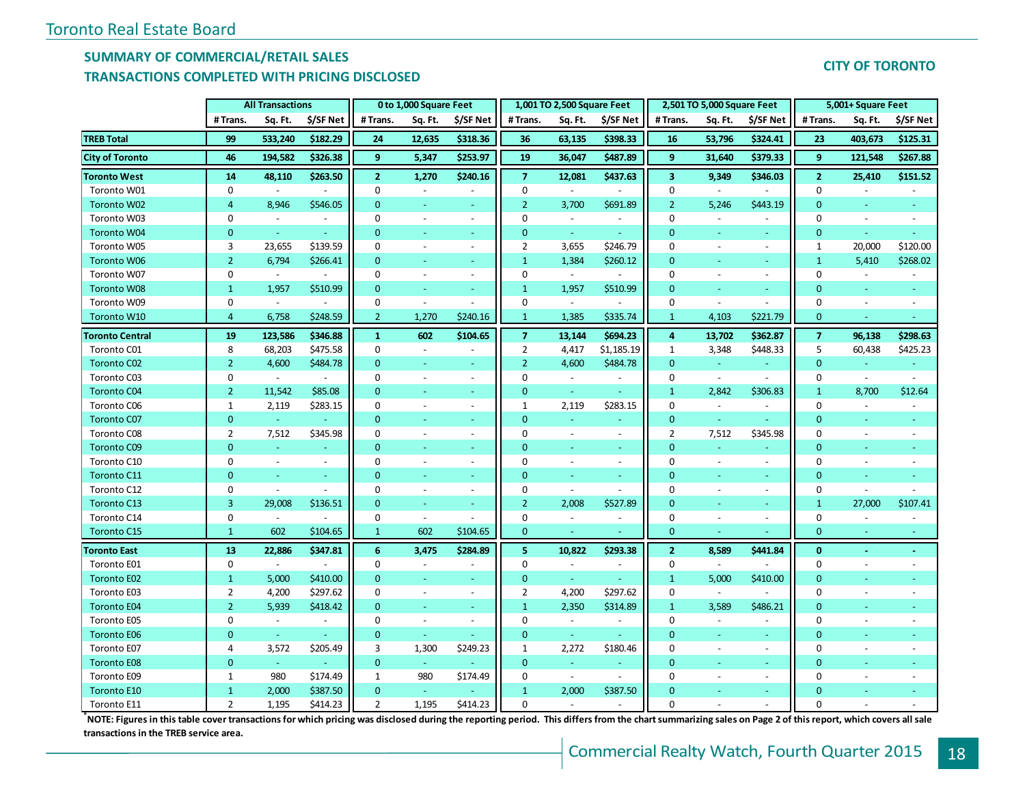## **SUMMARY OF COMMERCIAL/RETAIL SALES**

## **TRANSACTIONS COMPLETED WITH PRICING DISCLOSED**

|                        |                | <b>All Transactions</b>  |                          |                  | 0 to 1,000 Square Feet   |                          |                         | 1,001 TO 2,500 Square Feet |                          |                         | 2,501 TO 5,000 Square Feet |                          |                | 5,001+ Square Feet |           |
|------------------------|----------------|--------------------------|--------------------------|------------------|--------------------------|--------------------------|-------------------------|----------------------------|--------------------------|-------------------------|----------------------------|--------------------------|----------------|--------------------|-----------|
|                        | # Trans.       | Sq. Ft.                  | \$/SF Net                | #Trans.          | Sq. Ft.                  | \$/SF Net                | # Trans.                | Sq. Ft.                    | \$/SF Net                | #Trans.                 | Sq. Ft.                    | \$/SF Net                | # Trans.       | Sq. Ft.            | \$/SF Net |
| <b>TREB Total</b>      | 99             | 533,240                  | \$182.29                 | 24               | 12,635                   | \$318.36                 | 36                      | 63,135                     | \$398.33                 | 16                      | 53,796                     | \$324.41                 | 23             | 403,673            | \$125.31  |
| <b>City of Toronto</b> | 46             | 194,582                  | \$326.38                 | $\overline{9}$   | 5,347                    | \$253.97                 | 19                      | 36,047                     | \$487.89                 | $\mathbf{9}$            | 31,640                     | \$379.33                 | $\overline{9}$ | 121,548            | \$267.88  |
| <b>Toronto West</b>    | 14             | 48,110                   | \$263.50                 | $\overline{2}$   | 1,270                    | \$240.16                 | $\overline{7}$          | 12,081                     | \$437.63                 | $\overline{\mathbf{3}}$ | 9,349                      | \$346.03                 | $\overline{2}$ | 25,410             | \$151.52  |
| Toronto W01            | 0              | $\omega$                 |                          | $\mathbf 0$      |                          |                          | $\mathbf 0$             | $\sim$                     | $\overline{a}$           | $\mathbf 0$             |                            |                          | $\mathbf 0$    |                    |           |
| Toronto W02            | $\overline{4}$ | 8,946                    | \$546.05                 | $\overline{0}$   | $\equiv$                 | $\omega$                 | $\overline{2}$          | 3,700                      | \$691.89                 | $\overline{2}$          | 5,246                      | \$443.19                 | $\mathbf{0}$   | ÷                  |           |
| Toronto W03            | $\mathbf 0$    | $\equiv$                 | $\overline{\phantom{a}}$ | 0                | $\overline{\phantom{a}}$ | $\overline{a}$           | $\mathbf 0$             | $\omega$                   | $\overline{\phantom{a}}$ | $\Omega$                |                            |                          | 0              | $\sim$             |           |
| Toronto W04            | $\overline{0}$ | $\omega$                 |                          | $\mathbf{0}$     | $\equiv$                 | $\blacksquare$           | $\mathbf{0}$            | $\omega$                   | $\omega$                 | $\overline{0}$          |                            | ÷.                       | $\mathbf 0$    | $\equiv$           |           |
| Toronto W05            | 3              | 23,655                   | \$139.59                 | 0                | $\overline{a}$           | $\sim$                   | $\overline{2}$          | 3,655                      | \$246.79                 | 0                       | $\overline{\phantom{a}}$   | $\blacksquare$           | $\mathbf{1}$   | 20,000             | \$120.00  |
| <b>Toronto W06</b>     | $\overline{2}$ | 6,794                    | \$266.41                 | $\overline{0}$   | Ξ                        | $\blacksquare$           | $\mathbf{1}$            | 1,384                      | \$260.12                 | $\overline{0}$          |                            | $\omega$                 | $\mathbf{1}$   | 5,410              | \$268.02  |
| Toronto W07            | $\Omega$       | $\sim$                   |                          | 0                | $\sim$                   | $\sim$                   | $\mathbf 0$             | $\sim$                     |                          | $\Omega$                | ÷                          | $\sim$                   | 0              | $\sim$             |           |
| <b>Toronto W08</b>     | $\mathbf{1}$   | 1,957                    | \$510.99                 | $\mathbf{0}$     | $\equiv$                 | Ξ                        | $\mathbf{1}$            | 1,957                      | \$510.99                 | $\overline{0}$          |                            | ÷.                       | $\overline{0}$ |                    |           |
| Toronto W09            | $\mathbf 0$    | $\blacksquare$           | $\overline{\phantom{a}}$ | $\mathbf 0$      | $\sim$                   | $\sim$                   | $\mathbf 0$             | $\sim$                     | $\overline{\phantom{a}}$ | $\overline{0}$          | $\sim$                     | $\overline{\phantom{a}}$ | 0              | $\sim$             |           |
| Toronto W10            | $\overline{4}$ | 6,758                    | \$248.59                 | $\overline{2}$   | 1,270                    | \$240.16                 | $\mathbf{1}$            | 1,385                      | \$335.74                 | $\mathbf{1}$            | 4,103                      | \$221.79                 | $\mathbf 0$    | Ξ                  |           |
| <b>Toronto Central</b> | 19             | 123,586                  | \$346.88                 | $\mathbf{1}$     | 602                      | \$104.65                 | $\overline{\mathbf{z}}$ | 13,144                     | \$694.23                 | $\overline{\mathbf{a}}$ | 13,702                     | \$362.87                 | $\overline{7}$ | 96,138             | \$298.63  |
| Toronto C01            | 8              | 68,203                   | \$475.58                 | $\boldsymbol{0}$ | $\blacksquare$           |                          | $\overline{2}$          | 4,417                      | \$1,185.19               | $\mathbf{1}$            | 3,348                      | \$448.33                 | 5              | 60,438             | \$425.23  |
| <b>Toronto C02</b>     | $\overline{2}$ | 4,600                    | \$484.78                 | $\mathbf{0}$     | $\blacksquare$           | $\blacksquare$           | $\overline{2}$          | 4,600                      | \$484.78                 | $\overline{0}$          | $\sim$                     |                          | $\overline{0}$ | $\mathbb{L}$       | $\omega$  |
| Toronto C03            | 0              | $\blacksquare$           | $\sim$                   | 0                | $\overline{\phantom{a}}$ | $\sim$                   | $\mathbf 0$             | $\sim$                     | $\overline{\phantom{a}}$ | $\mathbf 0$             | $\blacksquare$             | $\blacksquare$           | $\mathbf 0$    | $\blacksquare$     |           |
| <b>Toronto C04</b>     | 2 <sup>1</sup> | 11,542                   | \$85.08                  | $\overline{0}$   | L,                       | Ξ                        | $\mathbf 0$             | $\omega$                   |                          | $\mathbf{1}$            | 2,842                      | \$306.83                 | $\mathbf{1}$   | 8,700              | \$12.64   |
| Toronto C06            | $\mathbf{1}$   | 2,119                    | \$283.15                 | 0                | $\overline{a}$           | $\sim$                   | $\mathbf{1}$            | 2,119                      | \$283.15                 | $\Omega$                | $\sim$                     | $\overline{a}$           | $\Omega$       | $\sim$             |           |
| <b>Toronto C07</b>     | $\mathbf{0}$   | $\omega$                 |                          | $\overline{0}$   | u,                       | ÷.                       | $\overline{0}$          |                            |                          | $\mathbf{0}$            | ÷.                         | ÷                        | $\overline{0}$ |                    |           |
| Toronto C08            | $\overline{2}$ | 7,512                    | \$345.98                 | $\mathbf 0$      | $\blacksquare$           | $\sim$                   | $\mathbf 0$             | $\sim$                     | $\overline{\phantom{a}}$ | $\overline{2}$          | 7,512                      | \$345.98                 | 0              | $\sim$             |           |
| <b>Toronto C09</b>     | $\overline{0}$ |                          |                          | $\mathbf 0$      |                          | Ξ                        | $\Omega$                |                            |                          | $\Omega$                |                            |                          | $\overline{0}$ |                    |           |
| Toronto C10            | $\Omega$       | $\sim$                   | $\bar{\phantom{a}}$      | 0                | $\overline{\phantom{a}}$ | $\bar{z}$                | $\mathbf 0$             | $\sim$                     | $\overline{\phantom{a}}$ | $\mathbf 0$             | $\blacksquare$             | $\overline{\phantom{a}}$ | 0              |                    |           |
| <b>Toronto C11</b>     | $\Omega$       |                          | ÷                        | $\Omega$         |                          | Ξ                        | $\Omega$                |                            | ÷                        | $\mathbf{0}$            |                            | ä,                       | $\Omega$       |                    |           |
| Toronto C12            | $\mathbf 0$    | $\mathcal{L}$            |                          | 0                |                          | $\sim$                   | $\mathbf 0$             |                            |                          | $\mathbf 0$             |                            | $\blacksquare$           | 0              |                    |           |
| <b>Toronto C13</b>     | $\overline{3}$ | 29,008                   | \$136.51                 | $\overline{0}$   |                          | $\omega$                 | $\overline{2}$          | 2,008                      | \$527.89                 | $\overline{0}$          |                            | $\equiv$                 | $\mathbf{1}$   | 27,000             | \$107.41  |
| Toronto C14            | 0              | $\overline{\phantom{a}}$ |                          | 0                | $\overline{\phantom{a}}$ | $\overline{a}$           | $\mathbf 0$             | $\blacksquare$             | $\overline{\phantom{a}}$ | $\mathbf 0$             | $\overline{\phantom{a}}$   | $\overline{\phantom{a}}$ | $\mathbf 0$    |                    |           |
| <b>Toronto C15</b>     | $\mathbf{1}$   | 602                      | \$104.65                 | $\mathbf{1}$     | 602                      | \$104.65                 | $\mathbf 0$             |                            |                          | $\mathbf 0$             |                            |                          | $\mathbf{0}$   |                    |           |
| <b>Toronto East</b>    | 13             | 22,886                   | \$347.81                 | 6                | 3,475                    | \$284.89                 | 5                       | 10,822                     | \$293.38                 | $\overline{2}$          | 8,589                      | \$441.84                 | $\bf{0}$       | $\sim$             |           |
| Toronto E01            | $\mathbf 0$    | $\sim$                   |                          | 0                | $\overline{a}$           | $\overline{\phantom{a}}$ | $\mathbf 0$             | $\sim$                     | $\blacksquare$           | $\mathbf 0$             | $\sim$                     |                          | 0              |                    |           |
| <b>Toronto E02</b>     | $\mathbf{1}$   | 5,000                    | \$410.00                 | $\overline{0}$   |                          | $\blacksquare$           | $\mathbf 0$             | $\omega_{\rm c}$           |                          | $\mathbf{1}$            | 5,000                      | \$410.00                 | $\overline{0}$ |                    |           |
| Toronto E03            | $\overline{2}$ | 4,200                    | \$297.62                 | $\mathbf 0$      | $\overline{\phantom{a}}$ | $\sim$                   | $\overline{2}$          | 4,200                      | \$297.62                 | $\mathbf 0$             | $\blacksquare$             |                          | 0              |                    |           |
| <b>Toronto E04</b>     | $\overline{2}$ | 5,939                    | \$418.42                 | $\overline{0}$   |                          | Ξ                        | $\mathbf{1}$            | 2,350                      | \$314.89                 | $\mathbf{1}$            | 3,589                      | \$486.21                 | $\Omega$       |                    |           |
| Toronto E05            | $\mathbf 0$    | $\blacksquare$           | $\overline{\phantom{a}}$ | 0                | $\overline{\phantom{a}}$ | $\blacksquare$           | $\mathbf 0$             | $\blacksquare$             | $\overline{\phantom{a}}$ | $\mathbf 0$             |                            |                          | 0              |                    |           |
| <b>Toronto E06</b>     | $\mathbf{0}$   | $\omega$                 |                          | $\overline{0}$   | ÷                        |                          | $\mathbf{0}$            | $\omega$                   |                          | $\overline{0}$          |                            | u,                       | $\overline{0}$ |                    |           |
| Toronto E07            | 4              | 3,572                    | \$205.49                 | 3                | 1,300                    | \$249.23                 | $\mathbf{1}$            | 2,272                      | \$180.46                 | $\mathbf 0$             | $\overline{\phantom{a}}$   | $\overline{\phantom{a}}$ | $\mathbf 0$    |                    |           |
| <b>Toronto E08</b>     | $\mathbf{0}$   | $\omega$                 |                          | $\mathbf 0$      | $\omega$                 |                          | $\mathbf{0}$            | ia.                        | ÷                        | $\mathbf{0}$            |                            | ÷.                       | $\overline{0}$ |                    |           |
| Toronto E09            | $\mathbf{1}$   | 980                      | \$174.49                 | $\mathbf{1}$     | 980                      | \$174.49                 | 0                       | $\mathcal{L}$              | $\mathcal{L}$            | $\Omega$                |                            | $\blacksquare$           | 0              |                    |           |
| <b>Toronto E10</b>     | $\mathbf{1}$   | 2,000                    | \$387.50                 | $\mathbf{0}$     | $\omega$                 |                          | $\mathbf{1}$            | 2,000                      | \$387.50                 | $\Omega$                |                            | $\blacksquare$           | $\overline{0}$ |                    |           |
| Toronto E11            | $\overline{2}$ | 1,195                    | \$414.23                 | $\overline{2}$   | 1,195                    | \$414.23                 | $\Omega$                |                            |                          | $\Omega$                |                            |                          | $\Omega$       |                    |           |

**\*NOTE: Figures in this table cover transactions for which pricing was disclosed during the reporting period. This differs from the chart summarizing sales on Page 2 of this report, which covers all sale transactions in the TREB service area.**

## **CITY OF TORONTO**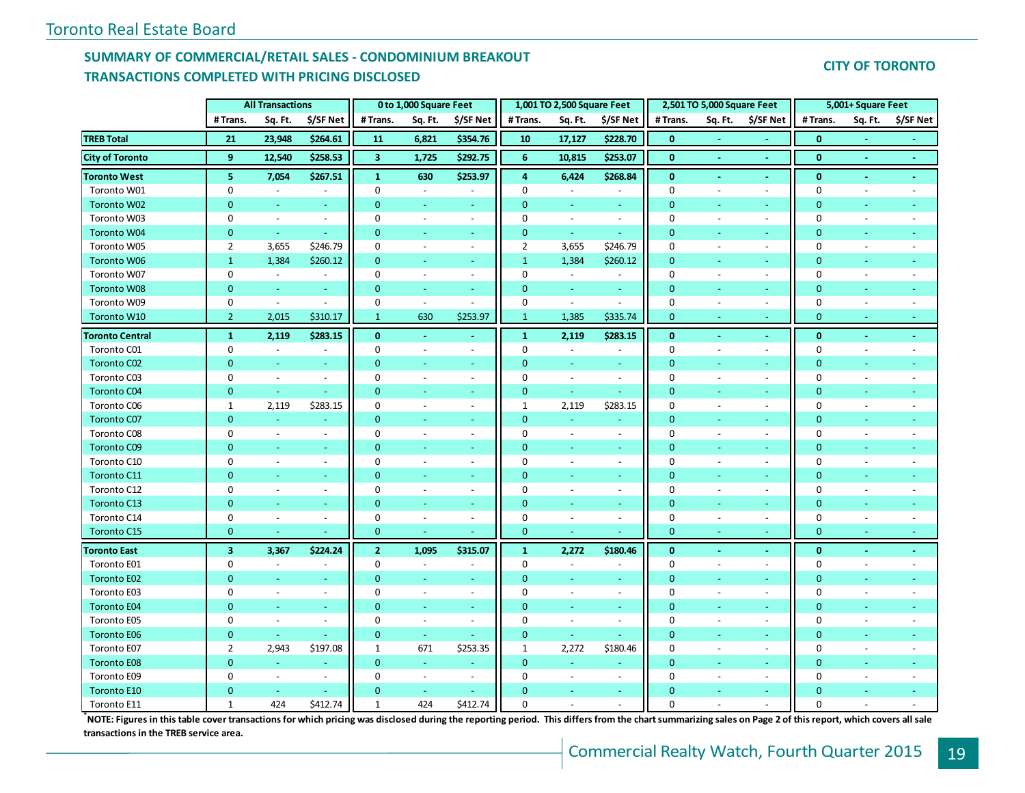## **SUMMARY OF COMMERCIAL/RETAIL SALES - CONDOMINIUM BREAKOUT TRANSACTIONS COMPLETED WITH PRICING DISCLOSED**

## **CITY OF TORONTO**

|                        |                         | <b>All Transactions</b> |                          |                         | 0 to 1,000 Square Feet   |                          |                | 1,001 TO 2,500 Square Feet |                          |                | 2,501 TO 5,000 Square Feet |                          |                | 5,001+ Square Feet       |           |
|------------------------|-------------------------|-------------------------|--------------------------|-------------------------|--------------------------|--------------------------|----------------|----------------------------|--------------------------|----------------|----------------------------|--------------------------|----------------|--------------------------|-----------|
|                        | # Trans.                | Sq. Ft.                 | \$/SF Net                | # Trans.                | Sq. Ft.                  | \$/SF Net                | # Trans.       | Sq. Ft.                    | \$/SF Net                | #Trans.        | Sq. Ft.                    | \$/SF Net                | #Trans.        | Sq. Ft.                  | \$/SF Net |
| <b>TREB Total</b>      | 21                      | 23,948                  | \$264.61                 | 11                      | 6,821                    | \$354.76                 | 10             | 17,127                     | \$228.70                 | $\bf{0}$       |                            |                          | $\mathbf{0}$   |                          |           |
| <b>City of Toronto</b> | 9                       | 12,540                  | \$258.53                 | $\overline{\mathbf{3}}$ | 1,725                    | \$292.75                 | 6              | 10,815                     | \$253.07                 | $\pmb{0}$      | ÷                          | $\sim$                   | $\pmb{0}$      | $\omega$                 | $\sim$    |
| <b>Toronto West</b>    | 5                       | 7,054                   | \$267.51                 | $\mathbf{1}$            | 630                      | \$253.97                 | 4              | 6,424                      | \$268.84                 | $\mathbf{0}$   | ä,                         | $\sim$                   | $\bf{0}$       | $\omega$                 | $\omega$  |
| Toronto W01            | $\pmb{0}$               | $\sim$                  | $\overline{\phantom{a}}$ | 0                       | $\sim$                   | $\blacksquare$           | $\Omega$       | $\sim$                     |                          | $\pmb{0}$      | $\overline{\phantom{a}}$   | $\overline{\phantom{a}}$ | $\mathbf 0$    | $\overline{\phantom{a}}$ | $\sim$    |
| Toronto W02            | $\overline{0}$          | ÷,                      | $\omega$                 | $\mathbf{0}$            | Ξ                        | $\omega$                 | $\mathbf{0}$   | u,                         |                          | $\overline{0}$ |                            | ÷                        | $\mathbf{0}$   |                          |           |
| Toronto W03            | $\mathbf 0$             | $\sim$                  | $\blacksquare$           | 0                       | $\overline{\phantom{a}}$ | $\overline{\phantom{a}}$ | $\mathbf 0$    | $\overline{\phantom{a}}$   | $\overline{\phantom{a}}$ | $\mathbf 0$    |                            | $\blacksquare$           | $\mathbf 0$    |                          |           |
| Toronto W04            | $\overline{0}$          | u,                      | $\blacksquare$           | $\mathbf{0}$            | $\blacksquare$           | $\overline{\phantom{a}}$ | $\mathbf{0}$   | $\omega$                   | $\blacksquare$           | $\overline{0}$ |                            | $\sim$                   | $\overline{0}$ | ÷                        |           |
| Toronto W05            | $\overline{2}$          | 3,655                   | \$246.79                 | 0                       | $\overline{\phantom{a}}$ | $\overline{\phantom{a}}$ | $\overline{2}$ | 3,655                      | \$246.79                 | $\bf{0}$       | $\overline{\phantom{a}}$   | $\blacksquare$           | $\bf{0}$       | ÷,                       |           |
| Toronto W06            | $\mathbf{1}$            | 1,384                   | \$260.12                 | $\overline{0}$          | $\omega$                 | $\omega$                 | $\mathbf{1}$   | 1,384                      | \$260.12                 | $\overline{0}$ | $\blacksquare$             | $\omega$                 | $\overline{0}$ | ä,                       |           |
| Toronto W07            | $\pmb{0}$               | $\omega$                | $\blacksquare$           | $\pmb{0}$               | $\blacksquare$           | $\overline{\phantom{a}}$ | $\mathbf 0$    | $\omega_{\rm c}$           | $\overline{\phantom{a}}$ | $\pmb{0}$      | $\overline{\phantom{a}}$   | $\sim$                   | $\mathbf 0$    | $\bar{\phantom{a}}$      |           |
| <b>Toronto W08</b>     | $\mathbf{0}$            | $\pm$                   | $\omega$                 | $\mathbf{0}$            | $\blacksquare$           | $\omega$                 | $\mathbf{0}$   | $\omega_{\rm c}$           | $\omega_{\rm c}$         | $\mathbf{0}$   | $\blacksquare$             | $\sim$                   | $\mathbf{0}$   | ÷,                       |           |
| Toronto W09            | 0                       | $\omega$                | $\omega$                 | 0                       | $\blacksquare$           | $\overline{\phantom{a}}$ | 0              | $\sim$                     | $\sim$                   | $\mathbf 0$    | ÷,                         | $\sim$                   | $\mathbf 0$    | $\overline{a}$           |           |
| Toronto W10            | $\overline{2}$          | 2,015                   | \$310.17                 | $\mathbf{1}$            | 630                      | \$253.97                 | $\mathbf{1}$   | 1,385                      | \$335.74                 | $\mathbf{0}$   | Ξ                          | $\sim$                   | $\mathbf{0}$   | ÷.                       |           |
| <b>Toronto Central</b> | $\mathbf{1}$            | 2,119                   | \$283.15                 | $\mathbf{0}$            | $\blacksquare$           | $\blacksquare$           | $\mathbf{1}$   | 2,119                      | \$283.15                 | $\bf{0}$       | $\blacksquare$             | $\blacksquare$           | $\bf{0}$       | $\overline{a}$           |           |
| Toronto C01            | $\mathbf 0$             | $\sim$                  | $\overline{\phantom{a}}$ | $\mathbf 0$             | $\sim$                   | $\overline{\phantom{a}}$ | $\mathbf 0$    | $\Box$                     |                          | $\mathbf 0$    | $\overline{\phantom{a}}$   | $\overline{\phantom{a}}$ | $\mathbf 0$    |                          |           |
| Toronto C02            | $\mathbf{0}$            | u,                      | $\omega$                 | $\mathbf{0}$            | $\omega$                 | $\omega$                 | $\mathbf{0}$   | $\omega$                   | ÷                        | $\overline{0}$ | $\blacksquare$             | $\sim$                   | $\mathbf{0}$   | ä,                       |           |
| Toronto C03            | $\mathbf 0$             | $\sim$                  | $\blacksquare$           | 0                       | $\sim$                   | $\overline{\phantom{a}}$ | 0              | $\blacksquare$             | $\blacksquare$           | $\pmb{0}$      | ÷,                         | $\blacksquare$           | 0              | $\overline{a}$           |           |
| Toronto C04            | $\mathbf{0}$            | $\omega$                |                          | $\mathbf{0}$            | Ξ                        | $\omega$                 | $\mathbf{0}$   | $\omega_{\rm c}$           |                          | $\mathbf{0}$   | ÷                          | $\omega$                 | $\mathbf{0}$   | Ξ                        |           |
| Toronto C06            | $\mathbf 1$             | 2,119                   | \$283.15                 | 0                       | $\overline{\phantom{a}}$ | $\overline{\phantom{a}}$ | 1              | 2,119                      | \$283.15                 | $\bf{0}$       | ÷,                         | $\blacksquare$           | $\bf{0}$       | $\overline{a}$           |           |
| <b>Toronto C07</b>     | $\mathbf{0}$            | $\omega$                | $\blacksquare$           | $\mathbf{0}$            | $\blacksquare$           | $\omega$                 | $\mathbf{0}$   | $\omega_{\rm c}$           |                          | $\overline{0}$ | $\blacksquare$             | $\sim$                   | $\mathbf{0}$   | $\blacksquare$           |           |
| Toronto C08            | 0                       | $\sim$                  | $\bar{a}$                | 0                       | $\blacksquare$           | $\sim$                   | 0              | $\overline{\phantom{a}}$   | $\sim$                   | $\pmb{0}$      | $\overline{\phantom{a}}$   | $\overline{\phantom{a}}$ | 0              | $\overline{a}$           |           |
| <b>Toronto C09</b>     | $\overline{0}$          | $\equiv$                | $\omega$                 | $\overline{0}$          | $\omega$                 | $\sim$                   | $\overline{0}$ | Ξ                          | $\omega$                 | $\overline{0}$ | $\blacksquare$             | $\sim$                   | $\overline{0}$ | ÷,                       |           |
| Toronto C10            | $\pmb{0}$               | $\sim$                  | $\blacksquare$           | $\pmb{0}$               | $\blacksquare$           | $\overline{\phantom{a}}$ | $\mathbf 0$    | $\overline{\phantom{a}}$   | $\overline{\phantom{a}}$ | $\mathbf 0$    | $\sim$                     | $\blacksquare$           | $\bf{0}$       | $\overline{a}$           |           |
| Toronto C11            | $\mathbf{0}$            | L.                      | $\omega$                 | $\mathbf{0}$            | Ξ                        |                          | $\Omega$       | Ξ                          | ÷                        | $\mathbf{0}$   |                            |                          | $\mathbf{0}$   |                          |           |
| Toronto C12            | $\mathbf 0$             | ÷,                      | $\blacksquare$           | 0                       | $\sim$                   | $\overline{\phantom{a}}$ | $\mathbf 0$    | ÷,                         | $\overline{\phantom{a}}$ | $\mathbf 0$    | ÷,                         | $\blacksquare$           | $\mathbf 0$    | L,                       |           |
| Toronto C13            | $\mathbf{0}$            | Ξ                       | $\sim$                   | $\mathbf{0}$            | $\omega$                 | $\overline{\phantom{a}}$ | $\mathbf{0}$   | Ξ                          | $\omega$                 | $\mathbf{0}$   | ÷                          | $\sim$                   | $\mathbf{0}$   | ÷                        |           |
| Toronto C14            | 0                       | $\blacksquare$          | $\blacksquare$           | 0                       | $\sim$                   | $\overline{\phantom{a}}$ | 0              | $\blacksquare$             | $\overline{\phantom{a}}$ | $\mathbf 0$    | $\overline{\phantom{a}}$   | $\blacksquare$           | $\mathbf 0$    | $\overline{a}$           |           |
| Toronto C15            | $\mathbf{0}$            |                         |                          | $\pmb{0}$               | $\omega$                 |                          | $\mathbf{0}$   |                            |                          | $\mathbf{0}$   | Ξ                          | $\omega$                 | $\pmb{0}$      | ÷.                       |           |
| <b>Toronto East</b>    | $\overline{\mathbf{3}}$ | 3,367                   | \$224.24                 | $\overline{2}$          | 1,095                    | \$315.07                 | $\mathbf{1}$   | 2,272                      | \$180.46                 | $\bf{0}$       | ä,                         | $\sim$                   | $\bf{0}$       | ä,                       |           |
| Toronto E01            | $\mathbf 0$             | $\sim$                  | $\blacksquare$           | $\mathbf 0$             | $\blacksquare$           | $\overline{\phantom{a}}$ | $\mathbf 0$    | $\sim$                     | $\overline{\phantom{a}}$ | $\mathbf 0$    | $\overline{\phantom{a}}$   | $\overline{\phantom{a}}$ | 0              | $\overline{a}$           |           |
| <b>Toronto E02</b>     | $\mathbf{0}$            |                         |                          | $\mathbf{0}$            | $\Box$                   |                          | $\Omega$       |                            |                          | $\overline{0}$ |                            | $\equiv$                 | $\overline{0}$ |                          |           |
| Toronto E03            | 0                       | $\sim$                  | $\blacksquare$           | 0                       | $\blacksquare$           | $\overline{\phantom{a}}$ | $\Omega$       | $\overline{\phantom{a}}$   | $\overline{\phantom{a}}$ | $\mathbf 0$    | $\overline{\phantom{a}}$   | $\blacksquare$           | $\mathbf 0$    | $\blacksquare$           |           |
| <b>Toronto E04</b>     | $\mathbf{0}$            | ÷.                      | $\equiv$                 | $\mathbf{0}$            | $\sim$                   | $\omega$                 | $\mathbf{0}$   | ÷.                         | ÷.                       | $\mathbf{0}$   | ÷,                         | ÷                        | $\mathbf{0}$   | ÷.                       |           |
| Toronto E05            | 0                       | $\blacksquare$          | $\blacksquare$           | 0                       | $\overline{\phantom{a}}$ | $\overline{\phantom{a}}$ | 0              | $\overline{\phantom{a}}$   | $\overline{\phantom{a}}$ | $\mathbf 0$    | $\overline{a}$             | $\blacksquare$           | $\mathbf 0$    | ÷,                       |           |
| <b>Toronto E06</b>     | $\mathbf{0}$            | ÷.                      | $\omega$                 | $\overline{0}$          | $\omega$                 |                          | $\mathbf{0}$   | $\omega_{\rm c}$           | ÷.                       | $\overline{0}$ | $\blacksquare$             | $\sim$                   | $\mathbf 0$    | ÷,                       |           |
| Toronto E07            | $\overline{2}$          | 2,943                   | \$197.08                 | $\mathbf{1}$            | 671                      | \$253.35                 | 1              | 2,272                      | \$180.46                 | $\mathbf 0$    | $\overline{\phantom{a}}$   | $\blacksquare$           | 0              | $\overline{\phantom{a}}$ |           |
| <b>Toronto E08</b>     | $\overline{0}$          | $\omega$                | $\blacksquare$           | $\overline{0}$          | $\omega$                 |                          | $\mathbf{0}$   | $\omega$                   |                          | $\overline{0}$ | $\blacksquare$             | $\omega$                 | 0              |                          |           |
| Toronto E09            | $\mathbf 0$             | $\sim$                  | $\blacksquare$           | 0                       | $\blacksquare$           | $\overline{\phantom{a}}$ | $\mathbf 0$    | $\overline{\phantom{a}}$   | $\overline{\phantom{a}}$ | $\pmb{0}$      | $\blacksquare$             | $\blacksquare$           | $\bf{0}$       | $\overline{a}$           |           |
| Toronto E10            | $\mathbf{0}$            | $\omega$                | $\sim$                   | $\pmb{0}$               | $\sim$                   |                          | $\mathbf{0}$   | ÷.                         | $\sim$                   | $\mathbf{0}$   | $\blacksquare$             | $\sim$                   | $\pmb{0}$      | L,                       |           |
| Toronto E11            | $\mathbf{1}$            | 424                     | \$412.74                 | $\mathbf{1}$            | 424                      | \$412.74                 | $\Omega$       | $\overline{a}$             |                          | $\mathbf 0$    | $\overline{a}$             | $\sim$                   | $\mathbf 0$    | $\overline{a}$           |           |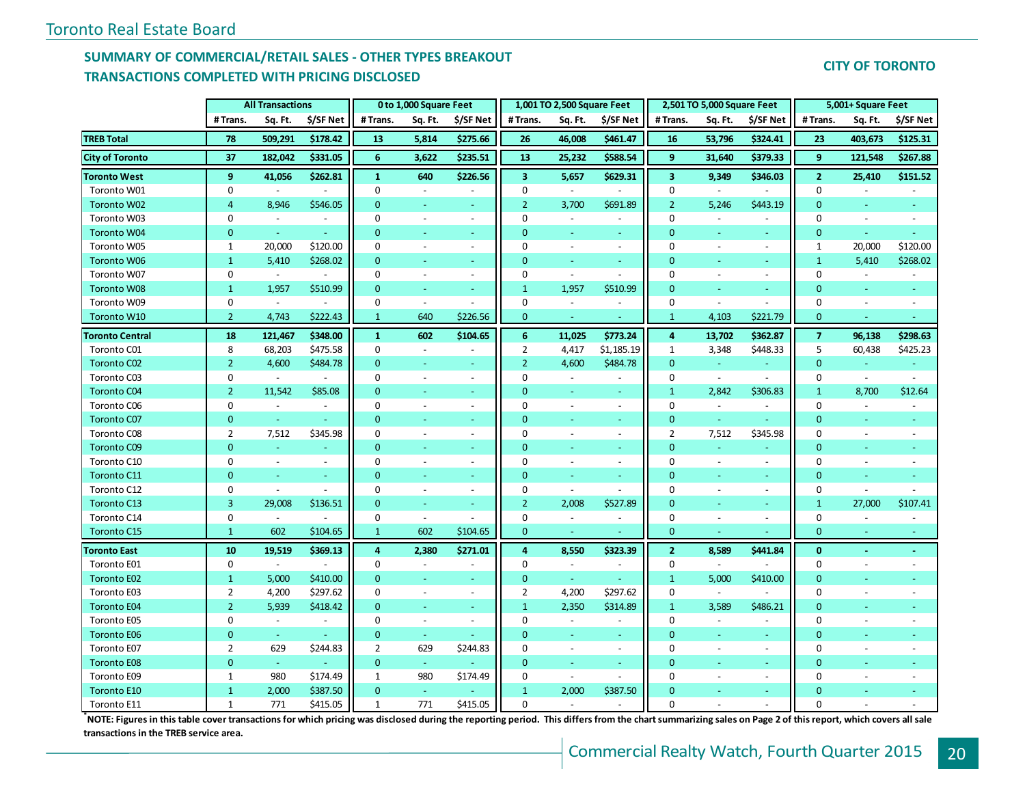## **SUMMARY OF COMMERCIAL/RETAIL SALES - OTHER TYPES BREAKOUT TRANSACTIONS COMPLETED WITH PRICING DISCLOSED**

## **CITY OF TORONTO**

|                        | <b>All Transactions</b> |                | 0 to 1,000 Square Feet   |                |                          | 1,001 TO 2,500 Square Feet |                         |                          | 2,501 TO 5,000 Square Feet |                         |                          | 5,001+ Square Feet       |                |                          |                |
|------------------------|-------------------------|----------------|--------------------------|----------------|--------------------------|----------------------------|-------------------------|--------------------------|----------------------------|-------------------------|--------------------------|--------------------------|----------------|--------------------------|----------------|
|                        | #Trans.                 | Sq. Ft.        | \$/SF Net                | #Trans.        | Sq. Ft.                  | \$/SF Net                  | # Trans.                | Sq. Ft.                  | \$/SF Net                  | #Trans.                 | Sq. Ft.                  | \$/SF Net                | #Trans.        | Sq. Ft.                  | \$/SF Net      |
| <b>TREB Total</b>      | 78                      | 509,291        | \$178.42                 | 13             | 5,814                    | \$275.66                   | 26                      | 46,008                   | \$461.47                   | 16                      | 53,796                   | \$324.41                 | 23             | 403,673                  | \$125.31       |
| <b>City of Toronto</b> | 37                      | 182,042        | \$331.05                 | 6              | 3,622                    | \$235.51                   | 13                      | 25,232                   | \$588.54                   | 9                       | 31,640                   | \$379.33                 | 9              | 121,548                  | \$267.88       |
| <b>Toronto West</b>    | 9                       | 41,056         | \$262.81                 | $\mathbf{1}$   | 640                      | \$226.56                   | $\overline{\mathbf{3}}$ | 5,657                    | \$629.31                   | $\overline{\mathbf{3}}$ | 9,349                    | \$346.03                 | $\overline{2}$ | 25,410                   | \$151.52       |
| Toronto W01            | 0                       | $\sim$         |                          | 0              | $\sim$                   |                            | 0                       | $\sim$                   |                            | $\mathbf 0$             | $\omega$                 |                          | $\mathbf 0$    | $\omega$                 |                |
| Toronto W02            | 4                       | 8,946          | \$546.05                 | $\overline{0}$ |                          |                            | $\overline{2}$          | 3,700                    | \$691.89                   | $\overline{2}$          | 5,246                    | \$443.19                 | $\mathbf{0}$   |                          |                |
| Toronto W03            | 0                       | $\sim$         | $\blacksquare$           | $\mathbf 0$    | $\sim$                   | $\overline{\phantom{a}}$   | 0                       | $\overline{\phantom{a}}$ | $\overline{\phantom{a}}$   | $\mathbf 0$             | $\sim$                   | $\overline{\phantom{a}}$ | 0              | $\sim$                   |                |
| Toronto W04            | $\mathbf{0}$            | $\omega$       |                          | $\mathbf{0}$   |                          | ÷.                         | $\mathbf{0}$            | ÷                        | ÷.                         | $\overline{0}$          |                          | $\equiv$                 | $\overline{0}$ |                          |                |
| Toronto W05            | $\mathbf{1}$            | 20,000         | \$120.00                 | 0              | $\sim$                   | $\overline{\phantom{a}}$   | $\mathbf 0$             | $\sim$                   | $\overline{\phantom{a}}$   | $\mathbf 0$             |                          | $\blacksquare$           | $\mathbf{1}$   | 20,000                   | \$120.00       |
| <b>Toronto W06</b>     | $\mathbf{1}$            | 5,410          | \$268.02                 | $\overline{0}$ | $\sim$                   | ÷.                         | $\mathbf{0}$            | $\omega$                 | u,                         | $\mathbf{0}$            | $\omega$                 | ÷                        | $\mathbf{1}$   | 5,410                    | \$268.02       |
| Toronto W07            | 0                       | $\sim$         | $\overline{\phantom{a}}$ | 0              | $\sim$                   | $\overline{\phantom{a}}$   | 0                       | $\sim$                   | $\sim$                     | $\mathbf 0$             | $\overline{\phantom{a}}$ | $\blacksquare$           | 0              | $\omega$                 |                |
| <b>Toronto W08</b>     | $\mathbf{1}$            | 1,957          | \$510.99                 | $\overline{0}$ | $\omega$                 | $\blacksquare$             | $\mathbf{1}$            | 1,957                    | \$510.99                   | $\mathbf{0}$            | $\overline{\phantom{a}}$ | $\omega_{\rm c}$         | $\mathbf 0$    | $\omega$                 | $\equiv$       |
| Toronto W09            | 0                       | $\sim$         | $\sim$                   | 0              | $\omega$                 | $\overline{\phantom{a}}$   | $\mathbf 0$             | $\sim$                   | $\overline{\phantom{a}}$   | $\mathbf 0$             | $\sim$                   | $\overline{a}$           | 0              | $\sim$                   |                |
| Toronto W10            | $\overline{2}$          | 4,743          | \$222.43                 | $\mathbf{1}$   | 640                      | \$226.56                   | $\mathbf{0}$            | $\omega$                 | ÷.                         | $\mathbf{1}$            | 4,103                    | \$221.79                 | $\mathbf{0}$   | i a                      | $\blacksquare$ |
| <b>Toronto Central</b> | 18                      | 121,467        | \$348.00                 | $\mathbf{1}$   | 602                      | \$104.65                   | 6                       | 11,025                   | \$773.24                   | $\boldsymbol{4}$        | 13,702                   | \$362.87                 | $\overline{7}$ | 96,138                   | \$298.63       |
| Toronto C01            | 8                       | 68,203         | \$475.58                 | 0              | $\overline{\phantom{a}}$ |                            | $\overline{2}$          | 4,417                    | \$1,185.19                 | $\mathbf{1}$            | 3,348                    | \$448.33                 | 5              | 60,438                   | \$425.23       |
| <b>Toronto C02</b>     | $\overline{2}$          | 4,600          | \$484.78                 | $\overline{0}$ | $\omega$                 | ÷.                         | $\overline{2}$          | 4,600                    | \$484.78                   | $\mathbf{0}$            | $\omega$                 | $\equiv$                 | $\overline{0}$ | $\omega$                 | Ξ              |
| Toronto C03            | 0                       | $\sim$         | $\omega$                 | 0              | $\omega$                 | $\overline{\phantom{a}}$   | 0                       | $\sim$                   | $\overline{\phantom{a}}$   | 0                       | $\sim$                   | $\sim$                   | 0              | $\omega$                 | $\overline{a}$ |
| <b>Toronto C04</b>     | $\overline{2}$          | 11,542         | \$85.08                  | $\overline{0}$ | $\omega$                 | ÷.                         | $\mathbf{0}$            | $\omega$                 | ÷.                         | $\mathbf{1}$            | 2,842                    | \$306.83                 | $\mathbf{1}$   | 8,700                    | \$12.64        |
| Toronto C06            | 0                       | $\blacksquare$ | $\blacksquare$           | 0              | $\overline{\phantom{a}}$ | $\blacksquare$             | 0                       | $\overline{a}$           | $\blacksquare$             | $\mathbf 0$             | $\blacksquare$           | $\blacksquare$           | 0              | $\blacksquare$           |                |
| <b>Toronto C07</b>     | $\mathbf{0}$            | $\omega$       | $\omega$                 | $\overline{0}$ | $\overline{\phantom{a}}$ | $\omega$                   | $\mathbf{0}$            | ä,                       | $\omega$                   | $\overline{0}$          | $\omega$                 | ÷.                       | $\overline{0}$ | $\omega$                 | $\Box$         |
| Toronto C08            | $\overline{2}$          | 7,512          | \$345.98                 | 0              | $\sim$                   | $\overline{a}$             | 0                       | $\sim$                   | $\sim$                     | $\overline{2}$          | 7,512                    | \$345.98                 | 0              | $\sim$                   | $\overline{a}$ |
| <b>Toronto C09</b>     | $\overline{0}$          | $\omega$       |                          | $\mathbf 0$    | $\overline{\phantom{a}}$ | $\overline{\phantom{a}}$   | $\mathbf{0}$            | ÷                        | ÷.                         | $\overline{0}$          |                          |                          | $\overline{0}$ | $\overline{\phantom{a}}$ |                |
| Toronto C10            | 0                       | $\blacksquare$ | $\overline{\phantom{a}}$ | 0              | $\sim$                   | $\overline{\phantom{a}}$   | 0                       | $\overline{\phantom{a}}$ | $\overline{\phantom{a}}$   | 0                       | $\sim$                   | $\blacksquare$           | 0              | $\sim$                   |                |
| Toronto C11            | $\overline{0}$          | ÷              | ÷                        | $\overline{0}$ | Ξ                        | ٠                          | $\Omega$                | ÷                        | ÷.                         | $\overline{0}$          |                          | $\omega$                 | $\overline{0}$ |                          |                |
| Toronto C12            | 0                       | $\blacksquare$ |                          | 0              | $\sim$                   | $\blacksquare$             | 0                       | $\sim$                   | $\overline{\phantom{a}}$   | $\mathbf 0$             |                          | $\blacksquare$           | $\mathbf 0$    | $\sim$                   |                |
| Toronto C13            | $\overline{3}$          | 29,008         | \$136.51                 | $\mathbf{0}$   |                          | ٠                          | $\overline{2}$          | 2,008                    | \$527.89                   | $\overline{0}$          |                          | $\blacksquare$           | $\mathbf{1}$   | 27,000                   | \$107.41       |
| Toronto C14            | 0                       | $\omega$       |                          | 0              | $\blacksquare$           | $\overline{\phantom{a}}$   | $\mathbf 0$             | $\blacksquare$           | $\overline{\phantom{a}}$   | 0                       | $\overline{\phantom{a}}$ | $\blacksquare$           | 0              | $\blacksquare$           |                |
| Toronto C15            | $\mathbf{1}$            | 602            | \$104.65                 | $\mathbf{1}$   | 602                      | \$104.65                   | $\mathbf{0}$            | $\sim$                   |                            | $\mathbf{0}$            | $\sim$                   |                          | $\mathbf{0}$   | $\sim$                   | $\blacksquare$ |
| <b>Toronto East</b>    | 10                      | 19,519         | \$369.13                 | 4              | 2,380                    | \$271.01                   | 4                       | 8,550                    | \$323.39                   | $\overline{2}$          | 8,589                    | \$441.84                 | $\mathbf{0}$   | $\sim$                   | $\blacksquare$ |
| Toronto E01            | 0                       | $\blacksquare$ | $\blacksquare$           | 0              | $\sim$                   | $\blacksquare$             | 0                       | $\sim$                   | $\overline{\phantom{a}}$   | 0                       | $\sim$                   |                          | 0              | $\sim$                   | $\blacksquare$ |
| Toronto E02            | $\mathbf{1}$            | 5,000          | \$410.00                 | $\overline{0}$ | $\sim$                   | ÷                          | $\mathbf{0}$            | $\omega_{\rm c}$         | u.                         | $\mathbf{1}$            | 5,000                    | \$410.00                 | $\mathbf{0}$   | ÷                        |                |
| Toronto E03            | $\overline{2}$          | 4,200          | \$297.62                 | 0              | $\blacksquare$           | $\blacksquare$             | 2                       | 4,200                    | \$297.62                   | $\mathbf 0$             | $\blacksquare$           |                          | 0              | $\sim$                   |                |
| <b>Toronto E04</b>     | $\overline{2}$          | 5,939          | \$418.42                 | $\mathbf{0}$   | Ξ                        |                            | $\mathbf{1}$            | 2,350                    | \$314.89                   | $\mathbf{1}$            | 3,589                    | \$486.21                 | 0              |                          |                |
| Toronto E05            | 0                       | $\omega$       | $\equiv$                 | 0              | $\blacksquare$           | $\blacksquare$             | $\mathbf 0$             | $\overline{\phantom{a}}$ | $\overline{\phantom{a}}$   | $\mathbf 0$             |                          | $\overline{\phantom{a}}$ | 0              | $\sim$                   |                |
| <b>Toronto E06</b>     | $\mathbf{0}$            | $\omega$       |                          | $\mathbf{0}$   | $\omega$                 |                            | $\mathbf{0}$            | ÷                        | ÷.                         | $\overline{0}$          |                          | $\omega$                 | 0              |                          |                |
| Toronto E07            | $\overline{2}$          | 629            | \$244.83                 | $\overline{2}$ | 629                      | \$244.83                   | $\mathbf 0$             | $\sim$                   | $\overline{\phantom{a}}$   | $\mathbf 0$             | $\sim$                   | $\blacksquare$           | $\mathbf 0$    | $\sim$                   | $\overline{a}$ |
| <b>Toronto E08</b>     | $\overline{0}$          | $\omega$       | ÷                        | $\mathbf{0}$   | $\omega$                 |                            | $\mathbf{0}$            | ÷.                       | ÷.                         | $\mathbf{0}$            | ÷                        | $\omega$                 | $\mathbf{0}$   | i a                      |                |
| Toronto E09            | $\mathbf{1}$            | 980            | \$174.49                 | $\mathbf{1}$   | 980                      | \$174.49                   | 0                       | $\omega$                 | $\mathcal{L}$              | $\mathbf 0$             | $\overline{\phantom{a}}$ | $\equiv$                 | 0              | $\omega$                 |                |
| Toronto E10            | $\mathbf{1}$            | 2,000          | \$387.50                 | $\mathbf{0}$   | $\omega$                 |                            | $\mathbf{1}$            | 2,000                    | \$387.50                   | $\overline{0}$          |                          | $\omega_{\rm c}$         | 0              |                          |                |
| Toronto E11            | $\mathbf{1}$            | 771            | \$415.05                 | $\mathbf{1}$   | 771                      | \$415.05                   | $\Omega$                | $\sim$                   | $\overline{a}$             | $\overline{0}$          | $\overline{a}$           | $\overline{a}$           | $\Omega$       |                          |                |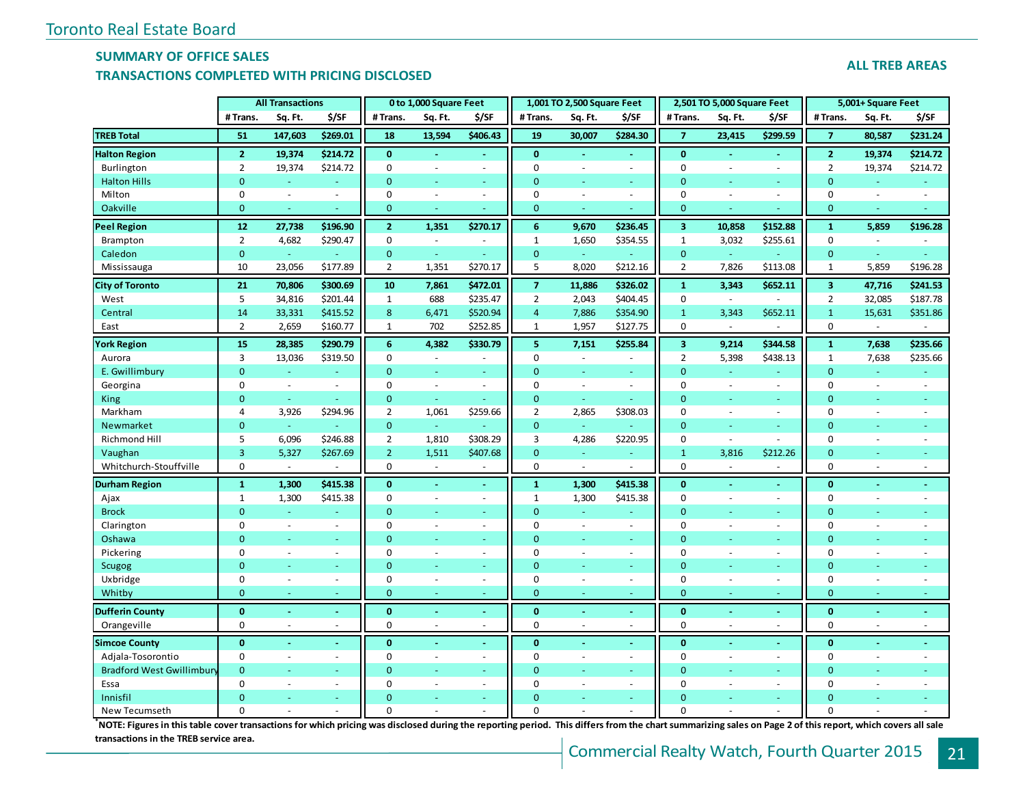### **SUMMARY OF OFFICE SALES**

## **TRANSACTIONS COMPLETED WITH PRICING DISCLOSED**

#### **ALL TREB AREAS**

|                                  | <b>All Transactions</b> |                |          | 0 to 1,000 Square Feet |                |                | 1,001 TO 2,500 Square Feet |                          |                     |                         | 2,501 TO 5,000 Square Feet |                          | 5,001+ Square Feet |                          |                          |
|----------------------------------|-------------------------|----------------|----------|------------------------|----------------|----------------|----------------------------|--------------------------|---------------------|-------------------------|----------------------------|--------------------------|--------------------|--------------------------|--------------------------|
|                                  | # Trans.                | Sq. Ft.        | \$/SF    | # Trans.               | Sq. Ft.        | \$/SF          | # Trans.                   | Sq. Ft.                  | \$/SF               | # Trans.                | Sq. Ft.                    | \$/SF                    | #Trans.            | Sq. Ft.                  | \$/SF                    |
| <b>TREB Total</b>                | 51                      | 147,603        | \$269.01 | 18                     | 13,594         | \$406.43       | 19                         | 30,007                   | \$284.30            | $\overline{7}$          | 23,415                     | \$299.59                 | $\overline{7}$     | 80,587                   | \$231.24                 |
| <b>Halton Region</b>             | $\overline{2}$          | 19,374         | \$214.72 | $\mathbf{0}$           | $\blacksquare$ | $\blacksquare$ | $\bf{0}$                   |                          | ÷.                  | $\bf{0}$                | $\sim$                     | $\blacksquare$           | $\overline{2}$     | 19,374                   | \$214.72                 |
| Burlington                       | $\overline{2}$          | 19,374         | \$214.72 | 0                      | ÷,             | $\sim$         | $\mathbf 0$                | $\sim$                   | $\bar{\phantom{a}}$ | 0                       | $\sim$                     | $\overline{\phantom{a}}$ | $\overline{2}$     | 19,374                   | \$214.72                 |
| <b>Halton Hills</b>              | $\mathbf{0}$            | ÷              | ÷        | $\mathbf{0}$           | ÷              | u,             | $\mathbf{0}$               |                          | Ξ                   | $\mathbf{0}$            |                            | ٠                        | $\mathbf{0}$       | ÷                        |                          |
| Milton                           | $\mathbf 0$             | $\sim$         | $\sim$   | $\boldsymbol{0}$       | $\bar{a}$      | $\omega$       | $\mathbf 0$                |                          | $\omega$            | $\mathbf 0$             |                            | $\overline{a}$           | 0                  | $\sim$                   | $\overline{\phantom{a}}$ |
| Oakville                         | $\mathbf{0}$            | ÷              |          | $\mathbf{0}$           | ÷              | u,             | $\mathbf{0}$               |                          | ÷                   | $\mathbf{0}$            |                            |                          | $\mathbf{0}$       | ÷.                       |                          |
| <b>Peel Region</b>               | 12                      | 27,738         | \$196.90 | 2 <sup>1</sup>         | 1,351          | \$270.17       | 6                          | 9,670                    | \$236.45            | $\overline{\mathbf{3}}$ | 10,858                     | \$152.88                 | $\mathbf{1}$       | 5,859                    | \$196.28                 |
| Brampton                         | $\overline{2}$          | 4,682          | \$290.47 | $\mathbf 0$            | $\omega$       | $\sim$         | $\mathbf{1}$               | 1,650                    | \$354.55            | $\mathbf{1}$            | 3,032                      | \$255.61                 | $\mathbf 0$        | $\sim$                   |                          |
| Caledon                          | $\mathbf{0}$            | ÷              |          | $\mathbf{0}$           | $\omega$       | $\omega$       | $\mathbf{0}$               |                          |                     | $\mathbf 0$             | $\omega$                   |                          | $\overline{0}$     | $\omega$                 | ÷                        |
| Mississauga                      | 10                      | 23,056         | \$177.89 | $\overline{2}$         | 1,351          | \$270.17       | 5                          | 8,020                    | \$212.16            | $\overline{2}$          | 7,826                      | \$113.08                 | $\mathbf{1}$       | 5,859                    | \$196.28                 |
| <b>City of Toronto</b>           | 21                      | 70,806         | \$300.69 | 10                     | 7,861          | \$472.01       | $\overline{7}$             | 11,886                   | \$326.02            | $\mathbf 1$             | 3,343                      | \$652.11                 | $\mathbf{3}$       | 47,716                   | \$241.53                 |
| West                             | 5                       | 34,816         | \$201.44 | $\mathbf{1}$           | 688            | \$235.47       | $\overline{2}$             | 2,043                    | \$404.45            | $\mathbf 0$             | $\blacksquare$             |                          | $\overline{2}$     | 32,085                   | \$187.78                 |
| Central                          | 14                      | 33,331         | \$415.52 | 8                      | 6,471          | \$520.94       | $\overline{4}$             | 7,886                    | \$354.90            | $\mathbf{1}$            | 3,343                      | \$652.11                 | $\mathbf{1}$       | 15,631                   | \$351.86                 |
| East                             | $\overline{2}$          | 2,659          | \$160.77 | $\mathbf{1}$           | 702            | \$252.85       | $\mathbf{1}$               | 1,957                    | \$127.75            | $\boldsymbol{0}$        |                            |                          | 0                  | $\overline{a}$           |                          |
| <b>York Region</b>               | 15                      | 28,385         | \$290.79 | 6                      | 4,382          | \$330.79       | $\overline{\mathbf{5}}$    | 7,151                    | \$255.84            | $\overline{\mathbf{3}}$ | 9,214                      | \$344.58                 | $\mathbf 1$        | 7,638                    | \$235.66                 |
| Aurora                           | $\overline{3}$          | 13,036         | \$319.50 | 0                      | $\sim$         |                | $\mathbf 0$                |                          | ÷,                  | $\overline{2}$          | 5,398                      | \$438.13                 | $\mathbf{1}$       | 7,638                    | \$235.66                 |
| E. Gwillimbury                   | $\mathbf{0}$            | $\omega$       | $\Box$   | $\mathbf{0}$           | $\omega$       | $\blacksquare$ | $\mathbf{0}$               |                          | ÷,                  | $\mathbf{0}$            | $\omega$                   | $\omega$                 | $\overline{0}$     | $\blacksquare$           |                          |
| Georgina                         | $\mathbf 0$             | $\sim$         | $\sim$   | 0                      | $\sim$         | $\sim$         | $\mathbf 0$                | $\sim$                   | $\omega$            | 0                       | $\sim$                     | ÷.                       | 0                  | ÷.                       | $\sim$                   |
| King                             | $\mathbf{0}$            | ÷              |          | $\mathbf{0}$           | ÷              |                | $\mathbf{0}$               |                          | ÷                   | $\mathbf{0}$            |                            |                          | $\overline{0}$     |                          |                          |
| Markham                          | $\overline{4}$          | 3,926          | \$294.96 | $\overline{2}$         | 1,061          | \$259.66       | $\overline{2}$             | 2,865                    | \$308.03            | $\boldsymbol{0}$        |                            | $\sim$                   | 0                  |                          |                          |
| Newmarket                        | $\mathbf{0}$            | $\omega$       |          | $\overline{0}$         | $\omega$       |                | $\mathbf 0$                | $\omega$                 |                     | $\mathbf{0}$            |                            | ٠                        | $\overline{0}$     |                          |                          |
| Richmond Hill                    | 5                       | 6,096          | \$246.88 | $\overline{2}$         | 1,810          | \$308.29       | $\overline{3}$             | 4,286                    | \$220.95            | $\mathbf 0$             | $\sim$                     | $\overline{a}$           | 0                  | ÷.                       | $\sim$                   |
| Vaughan                          | $\overline{3}$          | 5,327          | \$267.69 | $2^{\circ}$            | 1,511          | \$407.68       | $\mathbf{0}$               |                          |                     | $\mathbf{1}$            | 3,816                      | \$212.26                 | $\mathbf{0}$       |                          |                          |
| Whitchurch-Stouffville           | $\mathbf 0$             | $\omega$       | $\sim$   | $\mathbf 0$            | $\sim$         | ÷.             | $\mathbf 0$                | $\sim$                   | ÷.                  | $\mathbf 0$             |                            | ÷                        | $\mathbf 0$        | $\overline{a}$           | ÷                        |
| <b>Durham Region</b>             | $\mathbf{1}$            | 1,300          | \$415.38 | $\mathbf{0}$           | $\sim$         | ä,             | ${\bf 1}$                  | 1,300                    | \$415.38            | $\mathbf{0}$            |                            | $\blacksquare$           | $\mathbf{0}$       |                          |                          |
| Ajax                             | $1\,$                   | 1,300          | \$415.38 | $\mathbf 0$            | $\blacksquare$ | $\blacksquare$ | $\mathbf{1}$               | 1,300                    | \$415.38            | $\mathbf 0$             | $\sim$                     | $\overline{\phantom{a}}$ | 0                  | $\sim$                   |                          |
| <b>Brock</b>                     | $\mathbf{0}$            |                |          | $\mathbf{0}$           |                | ÷.             | $\mathbf{0}$               |                          | ä,                  | $\mathbf{0}$            |                            | ÷                        | $\mathbf{0}$       |                          |                          |
| Clarington                       | $\mathbf 0$             | $\blacksquare$ | $\sim$   | $\mathbf 0$            | ÷.             | $\blacksquare$ | $\mathbf 0$                | $\sim$                   | $\blacksquare$      | $\boldsymbol{0}$        |                            | $\sim$                   | $\mathbf 0$        | ÷.                       |                          |
| Oshawa                           | $\mathbf{0}$            | ÷              | ÷        | $\mathbf{0}$           | ٠              | $\equiv$       | $\mathbf{0}$               | ÷                        | u,                  | $\overline{0}$          |                            | ÷                        | $\overline{0}$     |                          |                          |
| Pickering                        | $\mathbf 0$             | ÷              | $\sim$   | $\mathbf 0$            | $\sim$         | $\sim$         | $\mathbf 0$                | $\sim$                   | $\blacksquare$      | $\boldsymbol{0}$        | $\sim$                     | $\sim$                   | 0                  | $\sim$                   |                          |
| <b>Scugog</b>                    | $\Omega$                |                |          | $\overline{0}$         |                | u,             | $\Omega$                   |                          | Ξ                   | $\Omega$                |                            |                          | $\overline{0}$     |                          |                          |
| Uxbridge                         | $\mathbf 0$             | $\bar{a}$      | $\sim$   | $\mathbf 0$            | $\omega$       | $\omega$       | $\mathbf 0$                | $\overline{\phantom{a}}$ | $\omega$            | $\mathbf 0$             | $\overline{\phantom{a}}$   | $\overline{\phantom{a}}$ | $\mathbf 0$        | $\overline{\phantom{a}}$ |                          |
| Whitby                           | $\mathbf{0}$            |                |          | $\overline{0}$         | ÷              | ÷.             | $\mathbf{0}$               |                          |                     | $\mathbf{0}$            |                            | ÷                        | $\mathbf{0}$       |                          |                          |
| <b>Dufferin County</b>           | $\mathbf{0}$            |                |          | $\bf{0}$               |                | ä,             | $\mathbf{0}$               |                          |                     | $\mathbf{0}$            |                            |                          | $\mathbf 0$        |                          |                          |
| Orangeville                      | 0                       | $\overline{a}$ | $\sim$   | 0                      | $\sim$         | $\sim$         | $\mathbf 0$                |                          | $\blacksquare$      | $\mathbf 0$             |                            | $\overline{\phantom{a}}$ | 0                  |                          | $\overline{\phantom{a}}$ |
| <b>Simcoe County</b>             | $\mathbf{0}$            | $\sim$         | $\omega$ | $\mathbf{0}$           |                | $\blacksquare$ | $\mathbf{0}$               |                          | ÷.                  | $\mathbf{0}$            |                            | $\blacksquare$           | $\mathbf{0}$       | ÷.                       | ÷,                       |
| Adjala-Tosorontio                | $\mathbf 0$             | $\blacksquare$ | $\sim$   | $\mathbf 0$            | $\sim$         | $\bar{a}$      | $\mathbf 0$                | $\sim$                   | $\blacksquare$      | $\mathbf 0$             | $\sim$                     | $\overline{\phantom{a}}$ | $\mathbf 0$        | $\overline{a}$           |                          |
| <b>Bradford West Gwillimbury</b> | $\mathbf{0}$            |                |          | $\mathbf{0}$           |                | ÷.             | $\mathbf{0}$               |                          |                     | $\mathbf{0}$            |                            |                          | $\overline{0}$     |                          |                          |
| Essa                             | $\mathbf 0$             | $\sim$         | $\sim$   | $\mathbf 0$            | $\omega$       | $\sim$         | $\mathbf 0$                |                          | $\sim$              | $\mathbf 0$             |                            | $\overline{\phantom{a}}$ | $\mathbf 0$        | ÷.                       |                          |
| Innisfil                         | $\mathbf{0}$            |                |          | $\mathbf{0}$           | ÷              | ÷.             | $\Omega$                   |                          | u,                  | $\mathbf{0}$            |                            | ÷.                       | $\overline{0}$     |                          |                          |
| New Tecumseth                    | $\mathbf 0$             | ÷              | ÷.       | $\mathbf 0$            |                | $\overline{a}$ | $\mathbf 0$                |                          | ÷                   | 0                       |                            | ÷                        | 0                  |                          |                          |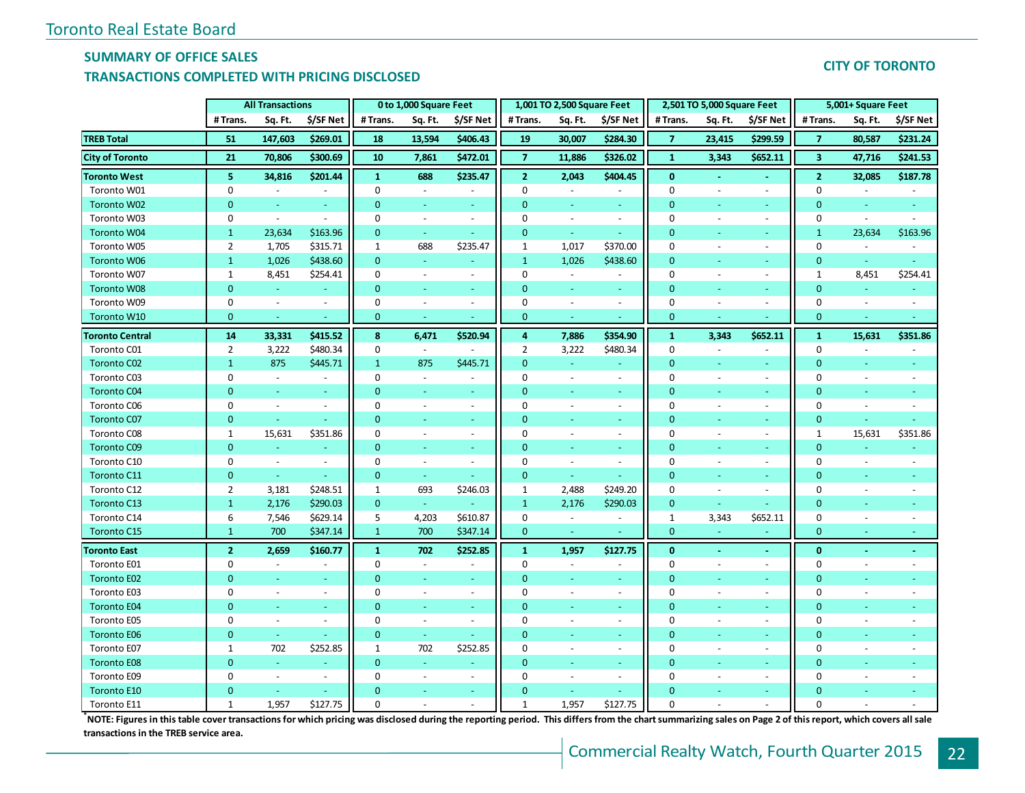## **SUMMARY OF OFFICE SALES**

#### **TRANSACTIONS COMPLETED WITH PRICING DISCLOSED**

## **CITY OF TORONTO**

|                        | <b>All Transactions</b> |                     | 0 to 1,000 Square Feet   |                |                          | 1,001 TO 2,500 Square Feet |                |                          | 2,501 TO 5,000 Square Feet |                |                          | 5,001+ Square Feet          |                  |                          |                          |
|------------------------|-------------------------|---------------------|--------------------------|----------------|--------------------------|----------------------------|----------------|--------------------------|----------------------------|----------------|--------------------------|-----------------------------|------------------|--------------------------|--------------------------|
|                        | #Trans.                 | Sq. Ft.             | \$/SF Net                | #Trans.        | Sq. Ft.                  | \$/SF Net                  | # Trans.       | Sq. Ft.                  | \$/SF Net                  | #Trans.        | Sq. Ft.                  | \$/SF Net                   | # Trans.         | Sq. Ft.                  | \$/SF Net                |
| <b>TREB Total</b>      | 51                      | 147,603             | \$269.01                 | 18             | 13,594                   | \$406.43                   | 19             | 30,007                   | \$284.30                   | $\overline{7}$ | 23,415                   | \$299.59                    | $\overline{7}$   | 80,587                   | \$231.24                 |
| <b>City of Toronto</b> | 21                      | 70,806              | \$300.69                 | 10             | 7,861                    | \$472.01                   | $\overline{7}$ | 11,886                   | \$326.02                   | $\mathbf{1}$   | 3,343                    | \$652.11                    | 3                | 47,716                   | \$241.53                 |
| <b>Toronto West</b>    | 5                       | 34,816              | \$201.44                 | $\mathbf{1}$   | 688                      | \$235.47                   | $\overline{2}$ | 2,043                    | \$404.45                   | $\mathbf{0}$   |                          |                             | $\overline{2}$   | 32,085                   | \$187.78                 |
| Toronto W01            | 0                       | $\sim$              | $\overline{\phantom{a}}$ | $\mathbf 0$    | $\blacksquare$           |                            | 0              | $\omega$                 | $\overline{\phantom{a}}$   | $\mathbf 0$    | $\overline{\phantom{a}}$ | $\overline{\phantom{a}}$    | 0                | $\omega$                 | $\sim$                   |
| Toronto W02            | $\overline{0}$          | $\omega$            | $\omega$                 | $\overline{0}$ | $\omega$                 | $\sim$                     | $\Omega$       | ÷.                       | $\omega$                   | $\mathbf{0}$   |                          | $\omega$                    | $\mathbf{0}$     | Ξ                        | $\sim$                   |
| Toronto W03            | 0                       | $\blacksquare$      | $\overline{\phantom{a}}$ | $\mathbf 0$    | $\blacksquare$           | $\blacksquare$             | $\Omega$       | $\blacksquare$           | $\blacksquare$             | $\mathbf 0$    |                          | $\sim$                      | $\boldsymbol{0}$ | $\blacksquare$           |                          |
| Toronto W04            | $\mathbf{1}$            | 23,634              | \$163.96                 | $\mathbf 0$    | $\blacksquare$           |                            | $\mathbf{0}$   | $\omega$                 | $\omega$                   | $\overline{0}$ |                          | $\omega$                    | $\mathbf{1}$     | 23,634                   | \$163.96                 |
| Toronto W05            | $\overline{2}$          | 1,705               | \$315.71                 | $\mathbf{1}$   | 688                      | \$235.47                   | $\mathbf{1}$   | 1,017                    | \$370.00                   | $\mathbf 0$    | ÷,                       | $\blacksquare$              | 0                | $\blacksquare$           |                          |
| <b>Toronto W06</b>     | $\mathbf{1}$            | 1,026               | \$438.60                 | $\mathbf{0}$   | $\blacksquare$           |                            | $\mathbf{1}$   | 1,026                    | \$438.60                   | $\mathbf 0$    |                          | $\omega$                    | $\mathbf{0}$     | $\omega$                 | $\omega$                 |
| Toronto W07            | $\mathbf{1}$            | 8,451               | \$254.41                 | 0              | $\blacksquare$           | $\sim$                     | $\mathbf 0$    | $\omega$                 | $\sim$                     | $\mathbf 0$    | $\overline{\phantom{a}}$ | $\sim$                      | $\mathbf{1}$     | 8,451                    | \$254.41                 |
| <b>Toronto W08</b>     | $\overline{0}$          | $\omega$            | $\omega$                 | $\overline{0}$ | $\pm$                    | $\overline{\phantom{a}}$   | $\mathbf{0}$   | $\omega$                 | $\omega$                   | $\overline{0}$ | $\blacksquare$           | $\omega_{\rm c}$            | $\mathbf{0}$     | $\omega$                 |                          |
| Toronto W09            | 0                       | $\sim$              | $\blacksquare$           | 0              | $\blacksquare$           | $\sim$                     | 0              | $\overline{\phantom{a}}$ | $\blacksquare$             | 0              |                          | $\sim$                      | 0                | $\blacksquare$           | $\sim$                   |
| Toronto W10            | $\overline{0}$          | $\omega$            |                          | $\mathbf{0}$   | $\sim$                   |                            | $\mathbf{0}$   | $\omega$                 |                            | $\overline{0}$ |                          |                             | $\mathbf{0}$     | $\blacksquare$           |                          |
| <b>Toronto Central</b> | 14                      | 33,331              | \$415.52                 | 8              | 6,471                    | \$520.94                   | 4              | 7,886                    | \$354.90                   | $\mathbf 1$    | 3,343                    | \$652.11                    | $\mathbf{1}$     | 15,631                   | \$351.86                 |
| Toronto C01            | $\overline{2}$          | 3,222               | \$480.34                 | 0              | $\overline{\phantom{a}}$ |                            | $\overline{2}$ | 3,222                    | \$480.34                   | $\mathbf 0$    |                          |                             | 0                |                          |                          |
| Toronto C02            | $\mathbf{1}$            | 875                 | \$445.71                 | $\mathbf{1}$   | 875                      | \$445.71                   | $\Omega$       | $\omega$                 | $\omega$                   | $\overline{0}$ |                          | Ξ                           | $\mathbf{0}$     |                          |                          |
| Toronto C03            | 0                       | $\sim$              | $\blacksquare$           | 0              | $\blacksquare$           | $\sim$                     | 0              | $\blacksquare$           | $\omega$                   | $\mathbf 0$    | ÷,                       | $\blacksquare$              | $\mathbf 0$      | $\overline{\phantom{a}}$ |                          |
| <b>Toronto C04</b>     | $\mathbf{0}$            | $\omega$            | $\omega$                 | $\mathbf 0$    | $\omega$                 | $\sim$                     | $\mathbf{0}$   | ÷.                       | $\sim$                     | $\mathbf{0}$   | $\blacksquare$           | $\sim$                      | $\mathbf{0}$     | $\omega$                 |                          |
| Toronto C06            | 0                       | $\sim$              | $\overline{\phantom{a}}$ | 0              | $\blacksquare$           | $\omega$                   | $\Omega$       | $\overline{\phantom{a}}$ | $\sim$                     | $\mathbf 0$    | ÷,                       | $\blacksquare$              | $\boldsymbol{0}$ | $\overline{\phantom{a}}$ | $\sim$                   |
| <b>Toronto C07</b>     | $\mathbf{0}$            | $\omega$            | $\blacksquare$           | $\mathbf{0}$   | $\blacksquare$           | $\overline{\phantom{a}}$   | $\mathbf{0}$   | $\blacksquare$           | $\sim$                     | $\mathbf{0}$   | $\overline{\phantom{a}}$ | $\sim$                      | $\pmb{0}$        | $\blacksquare$           |                          |
| Toronto C08            | $\mathbf{1}$            | 15,631              | \$351.86                 | $\mathbf 0$    | $\blacksquare$           | $\sim$                     | 0              | $\overline{\phantom{a}}$ | $\sim$                     | $\mathbf 0$    | ÷,                       | $\sim$                      | $\mathbf{1}$     | 15,631                   | \$351.86                 |
| <b>Toronto C09</b>     | $\overline{0}$          | u,                  |                          | $\mathbf{0}$   | $\omega$                 | $\sim$                     | $\mathbf{0}$   | ÷.                       | ÷.                         | $\overline{0}$ |                          | $\omega$                    | $\mathbf{0}$     |                          |                          |
| Toronto C10            | 0                       | $\blacksquare$      | $\bar{a}$                | 0              | $\blacksquare$           | $\sim$                     | $\Omega$       | $\overline{\phantom{a}}$ | $\blacksquare$             | $\mathbf 0$    | $\overline{\phantom{a}}$ | $\overline{\phantom{a}}$    | $\mathbf 0$      | $\blacksquare$           | $\overline{\phantom{a}}$ |
| Toronto C11            | $\overline{0}$          | $\omega$            |                          | $\mathbf{0}$   | $\omega$                 |                            | $\mathbf{0}$   | $\omega$                 |                            | $\mathbf{0}$   |                          | ÷.                          | $\mathbf{0}$     |                          |                          |
| Toronto C12            | $\overline{2}$          | 3,181               | \$248.51                 | $\mathbf{1}$   | 693                      | \$246.03                   | 1              | 2,488                    | \$249.20                   | $\mathbf 0$    |                          | $\overline{\phantom{a}}$    | $\mathbf 0$      | ÷,                       |                          |
| Toronto C13            | $\mathbf{1}$            | 2,176               | \$290.03                 | $\mathbf{0}$   | $\mathbb{L}$             |                            | $\mathbf{1}$   | 2,176                    | \$290.03                   | $\mathbf{0}$   |                          | $\omega$                    | $\mathbf{0}$     |                          |                          |
| Toronto C14            | 6                       | 7,546               | \$629.14                 | 5              | 4,203                    | \$610.87                   | 0              | $\sim$                   | $\blacksquare$             | $\mathbf{1}$   | 3,343                    | \$652.11                    | $\mathbf 0$      | $\overline{a}$           |                          |
| Toronto C15            | $\mathbf{1}$            | 700                 | \$347.14                 | $\mathbf{1}$   | 700                      | \$347.14                   | $\mathbf{0}$   | $\omega$                 |                            | $\overline{0}$ |                          |                             | $\mathbf{0}$     | Ξ                        |                          |
| <b>Toronto East</b>    | $\overline{2}$          | 2,659               | \$160.77                 | $\mathbf{1}$   | 702                      | \$252.85                   | $\mathbf{1}$   | 1,957                    | \$127.75                   | $\mathbf{0}$   | ۰                        | $\mathcal{L}_{\mathcal{A}}$ | $\mathbf{0}$     | $\omega$                 |                          |
| Toronto E01            | 0                       | $\sim$              | $\bar{a}$                | $\mathbf 0$    | $\sim$                   | $\overline{\phantom{a}}$   | 0              | $\omega$                 | $\sim$                     | $\mathbf 0$    | $\overline{\phantom{a}}$ | $\sim$                      | $\mathbf 0$      | $\overline{\phantom{a}}$ |                          |
| <b>Toronto E02</b>     | $\overline{0}$          |                     |                          | $\mathbf{0}$   | Ξ                        |                            | $\Omega$       |                          |                            | $\overline{0}$ |                          | $\omega$                    | $\overline{0}$   |                          |                          |
| Toronto E03            | 0                       | $\blacksquare$      | $\blacksquare$           | $\mathbf 0$    | $\blacksquare$           | $\blacksquare$             | $\Omega$       | $\overline{\phantom{a}}$ | $\blacksquare$             | $\mathbf{0}$   | $\overline{a}$           | $\sim$                      | $\mathbf 0$      |                          |                          |
| <b>Toronto E04</b>     | $\overline{0}$          | $\omega$            | $\omega$                 | $\mathbf{0}$   | $\blacksquare$           | $\sim$                     | $\mathbf{0}$   | ÷                        | ÷                          | $\mathbf{0}$   |                          | ÷                           | $\mathbf{0}$     |                          |                          |
| Toronto E05            | 0                       | $\sim$              | $\omega$                 | 0              | $\sim$                   | $\sim$                     | 0              | $\overline{a}$           | $\mathcal{L}$              | 0              |                          | $\mathcal{L}$               | $\mathbf 0$      |                          |                          |
| <b>Toronto E06</b>     | $\overline{0}$          | $\omega$            | $\omega$                 | $\overline{0}$ | $\omega$                 |                            | $\overline{0}$ | ÷.                       | $\sim$                     | $\overline{0}$ | $\blacksquare$           | $\omega$ .                  | $\mathbf{0}$     | $\omega$                 |                          |
| Toronto E07            | $\mathbf{1}$            | 702                 | \$252.85                 | $\mathbf{1}$   | 702                      | \$252.85                   | 0              | $\blacksquare$           | $\blacksquare$             | 0              | $\overline{\phantom{a}}$ | $\sim$                      | 0                | $\blacksquare$           |                          |
| <b>Toronto E08</b>     | $\overline{0}$          | $\omega$            |                          | $\mathbf{0}$   | $\sim$                   |                            | $\mathbf{0}$   | ÷.                       |                            | $\overline{0}$ |                          | $\omega$                    | $\mathbf{0}$     |                          |                          |
| Toronto E09            | 0                       | $\bar{\phantom{a}}$ | $\blacksquare$           | 0              | $\blacksquare$           | $\blacksquare$             | 0              | $\overline{\phantom{a}}$ | $\sim$                     | 0              | $\overline{a}$           | $\blacksquare$              | $\mathbf 0$      |                          |                          |
| <b>Toronto E10</b>     | $\overline{0}$          | $\omega$            | $\omega$                 | $\mathbf{0}$   | $\equiv$                 | $\sim$                     | $\mathbf{0}$   | u,                       |                            | $\mathbf{0}$   | ٠                        | $\sim$                      | $\mathbf 0$      |                          |                          |
| Toronto E11            | $\mathbf{1}$            | 1,957               | \$127.75                 | $\mathbf 0$    | $\overline{\phantom{a}}$ | $\sim$                     | 1              | 1,957                    | \$127.75                   | 0              | ÷,                       | $\overline{\phantom{a}}$    | $\mathbf 0$      |                          |                          |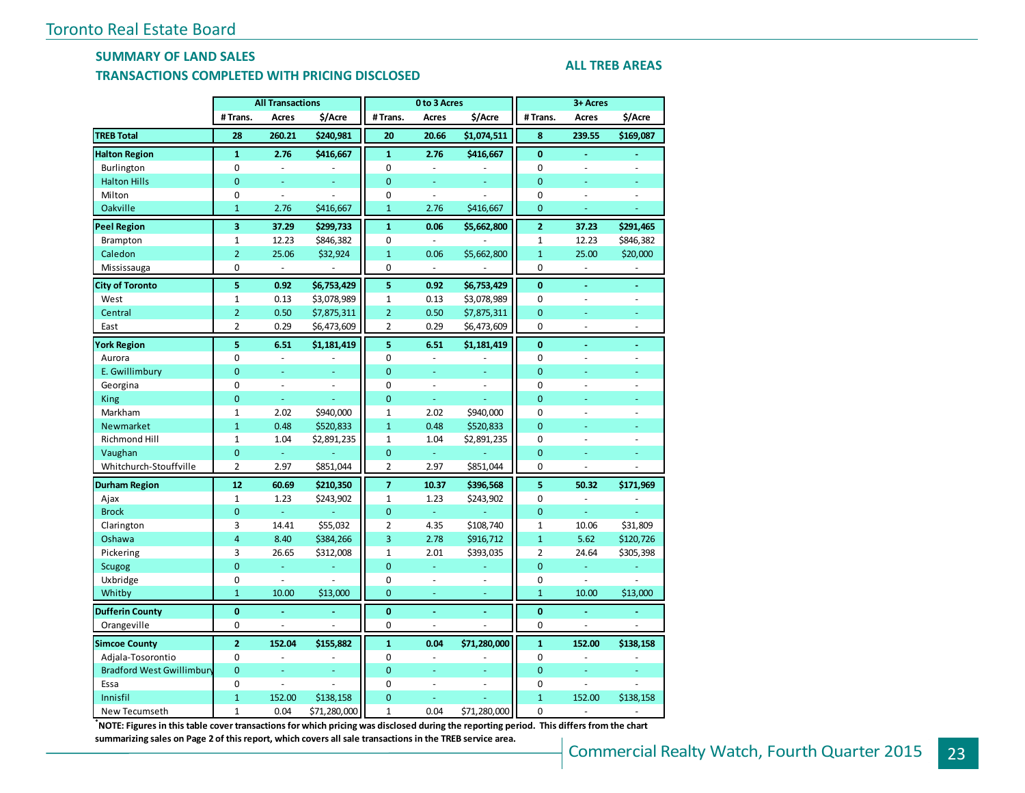### **SUMMARY OF LAND SALES**

#### **TRANSACTIONS COMPLETED WITH PRICING DISCLOSED**

#### **ALL TREB AREAS**

|                           |                         | <b>All Transactions</b><br>0 to 3 Acres |                |                | 3+ Acres       |              |                |                          |                |  |
|---------------------------|-------------------------|-----------------------------------------|----------------|----------------|----------------|--------------|----------------|--------------------------|----------------|--|
|                           | # Trans.                | Acres                                   | \$/Acre        | # Trans.       | <b>Acres</b>   | \$/Acre      | # Trans.       | Acres                    | \$/Acre        |  |
| <b>TREB Total</b>         | 28                      | 260.21                                  | \$240,981      | 20             | 20.66          | \$1,074,511  | 8              | 239.55                   | \$169,087      |  |
| <b>Halton Region</b>      | $\mathbf{1}$            | 2.76                                    | \$416,667      | $\mathbf{1}$   | 2.76           | \$416,667    | $\mathbf{0}$   | ä,                       |                |  |
| Burlington                | 0                       | L.                                      |                | 0              | ä,             |              | 0              | ÷,                       |                |  |
| <b>Halton Hills</b>       | $\Omega$                | Ξ                                       |                | $\overline{0}$ | ä,             |              | $\overline{0}$ |                          |                |  |
| Milton                    | 0                       | $\overline{\phantom{a}}$                |                | 0              | $\frac{1}{2}$  |              | $\mathbf 0$    | ÷,                       | ÷,             |  |
| Oakville                  | $\mathbf{1}$            | 2.76                                    | \$416,667      | $\mathbf{1}$   | 2.76           | \$416,667    | $\mathbf{0}$   |                          |                |  |
| <b>Peel Region</b>        | $\overline{\mathbf{3}}$ | 37.29                                   | \$299,733      | $\mathbf{1}$   | 0.06           | \$5,662,800  | $\overline{2}$ | 37.23                    | \$291,465      |  |
| Brampton                  | $\mathbf 1$             | 12.23                                   | \$846,382      | 0              | $\sim$         |              | $\mathbf 1$    | 12.23                    | \$846,382      |  |
| Caledon                   | $\overline{2}$          | 25.06                                   | \$32,924       | $\mathbf{1}$   | 0.06           | \$5,662,800  | $\mathbf{1}$   | 25.00                    | \$20,000       |  |
| Mississauga               | 0                       | ä,                                      |                | 0              | ÷,             |              | 0              | ÷.                       | ÷,             |  |
| <b>City of Toronto</b>    | 5                       | 0.92                                    | \$6,753,429    | 5              | 0.92           | \$6,753,429  | $\mathbf{0}$   | ä,                       | ٠              |  |
| West                      | $\mathbf 1$             | 0.13                                    | \$3,078,989    | $\mathbf 1$    | 0.13           | \$3,078,989  | $\mathbf 0$    | ÷,                       | ÷,             |  |
| Central                   | $\overline{2}$          | 0.50                                    | \$7,875,311    | $\overline{2}$ | 0.50           | \$7,875,311  | $\overline{0}$ | ä,                       | L.             |  |
| East                      | $\overline{2}$          | 0.29                                    | \$6,473,609    | 2              | 0.29           | \$6,473,609  | 0              | $\bar{\phantom{a}}$      | ÷,             |  |
| <b>York Region</b>        | 5                       | 6.51                                    | \$1,181,419    | 5              | 6.51           | \$1,181,419  | $\mathbf{0}$   | ä,                       |                |  |
| Aurora                    | 0                       | $\Box$                                  |                | 0              | $\blacksquare$ |              | 0              | $\overline{\phantom{a}}$ | ÷,             |  |
| E. Gwillimbury            | $\Omega$                | L.                                      |                | $\Omega$       | L,             |              | $\overline{0}$ |                          |                |  |
| Georgina                  | 0                       | $\overline{\phantom{a}}$                | ÷,             | 0              | $\frac{1}{2}$  | ÷,           | $\mathbf 0$    | L,                       | $\overline{a}$ |  |
| King                      | $\mathbf 0$             | ä,                                      |                | $\overline{0}$ | ä,             |              | $\overline{0}$ |                          |                |  |
| Markham                   | $\mathbf{1}$            | 2.02                                    | \$940,000      | $\mathbf{1}$   | 2.02           | \$940,000    | $\Omega$       | ä,                       | ÷.             |  |
| Newmarket                 | $\mathbf{1}$            | 0.48                                    | \$520,833      | $\mathbf{1}$   | 0.48           | \$520,833    | $\overline{0}$ |                          |                |  |
| Richmond Hill             | $\mathbf 1$             | 1.04                                    | \$2,891,235    | $\mathbf 1$    | 1.04           | \$2,891,235  | 0              | J.                       | ä,             |  |
| Vaughan                   | $\mathbf 0$             | ä,                                      |                | $\mathbf 0$    | ä,             |              | $\mathbf 0$    | L.                       |                |  |
| Whitchurch-Stouffville    | $\overline{2}$          | 2.97                                    | \$851,044      | $\overline{2}$ | 2.97           | \$851,044    | $\Omega$       | ÷,                       | ä,             |  |
| <b>Durham Region</b>      | 12                      | 60.69                                   | \$210,350      | $\overline{7}$ | 10.37          | \$396,568    | 5              | 50.32                    | \$171,969      |  |
| Ajax                      | $\mathbf 1$             | 1.23                                    | \$243,902      | $\mathbf 1$    | 1.23           | \$243,902    | $\mathbf 0$    | $\overline{a}$           |                |  |
| <b>Brock</b>              | $\overline{0}$          | Ξ                                       |                | $\overline{0}$ | ÷,             |              | $\overline{0}$ | Ξ                        |                |  |
| Clarington                | 3                       | 14.41                                   | \$55,032       | $\overline{2}$ | 4.35           | \$108,740    | $\mathbf 1$    | 10.06                    | \$31,809       |  |
| Oshawa                    | $\overline{4}$          | 8.40                                    | \$384,266      | $\overline{3}$ | 2.78           | \$916,712    | $\mathbf{1}$   | 5.62                     | \$120,726      |  |
| Pickering                 | 3                       | 26.65                                   | \$312,008      | $\mathbf 1$    | 2.01           | \$393,035    | $\overline{2}$ | 24.64                    | \$305,398      |  |
| <b>Scugog</b>             | $\overline{0}$          | Ξ                                       |                | $\overline{0}$ | Ξ              |              | $\mathbf{0}$   | Ξ                        | ÷,             |  |
| Uxbridge                  | 0                       | ÷,                                      | Ξ              | 0              | ä,             | ä,           | $\mathbf 0$    | $\bar{\phantom{a}}$      | υ,             |  |
| Whitby                    | $\mathbf{1}$            | 10.00                                   | \$13,000       | $\overline{0}$ | ä,             | ä,           | $\mathbf{1}$   | 10.00                    | \$13,000       |  |
| <b>Dufferin County</b>    | $\mathbf{0}$            | L.                                      | ä,             | $\bf{0}$       | L              | L,           | $\bf{0}$       |                          |                |  |
| Orangeville               | 0                       | ÷,                                      | $\overline{a}$ | 0              | $\frac{1}{2}$  | L.           | 0              | ÷,                       | $\overline{a}$ |  |
| <b>Simcoe County</b>      | $\overline{2}$          | 152.04                                  | \$155,882      | $\mathbf{1}$   | 0.04           | \$71,280,000 | $\mathbf{1}$   | 152.00                   | \$138,158      |  |
| Adjala-Tosorontio         | 0                       | ÷,                                      |                | 0              | ä,             |              | $\mathbf 0$    | ä,                       |                |  |
| Bradford West Gwillimbury | $\overline{0}$          | L.                                      | ÷,             | $\overline{0}$ | L.             | Ξ            | $\mathbf 0$    | ä,                       | L.             |  |
| Essa                      | 0                       | L.                                      |                | 0              | L.             | L.           | $\mathbf 0$    | L.                       |                |  |
| Innisfil                  | $\mathbf{1}$            | 152.00                                  | \$138,158      | $\overline{0}$ | ä,             |              | $\mathbf{1}$   | 152.00                   | \$138,158      |  |
| New Tecumseth             | $\mathbf 1$             | 0.04                                    | \$71,280,000   | $\mathbf{1}$   | 0.04           | \$71,280,000 | $\mathbf 0$    | $\overline{\phantom{a}}$ | ä,             |  |

**\*NOTE: Figures in this table cover transactions for which pricing was disclosed during the reporting period. This differs from the chart** 

**summarizing sales on Page 2 of this report, which covers all sale transactions in the TREB service area.**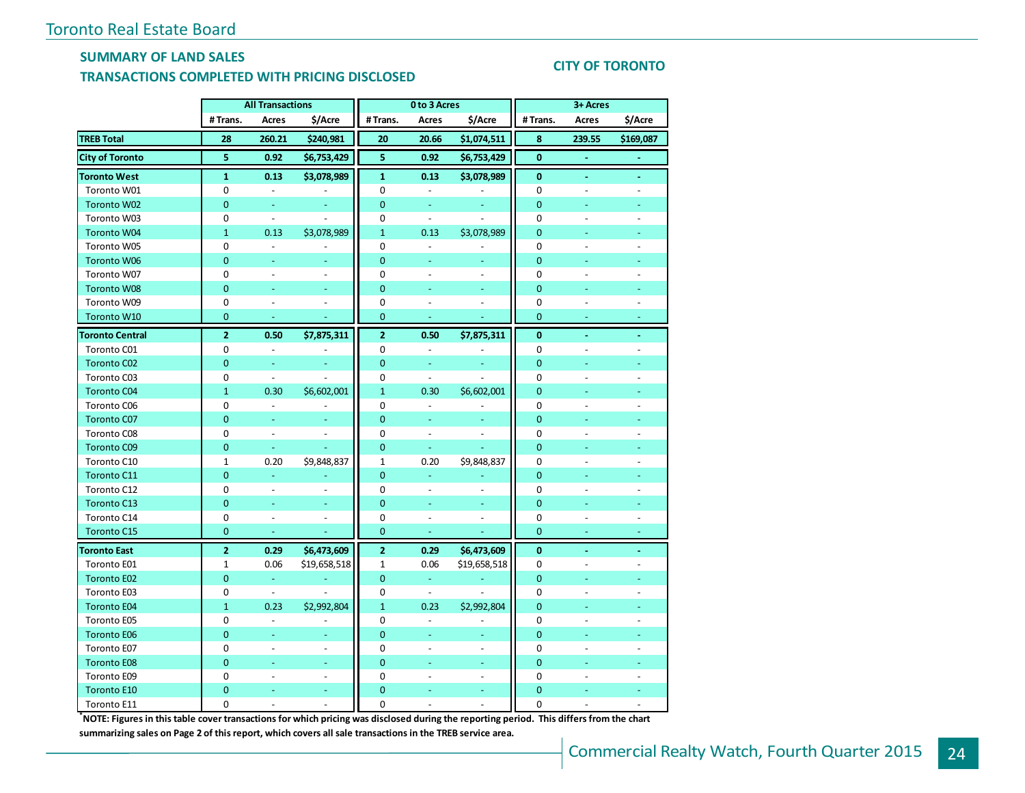## **SUMMARY OF LAND SALES**

#### **TRANSACTIONS COMPLETED WITH PRICING DISCLOSED**

### **CITY OF TORONTO**

|                        | <b>All Transactions</b> |                          |                          | 0 to 3 Acres   |                          | 3+ Acres                 |                |                          |                          |  |
|------------------------|-------------------------|--------------------------|--------------------------|----------------|--------------------------|--------------------------|----------------|--------------------------|--------------------------|--|
|                        | # Trans.                | Acres                    | \$/Acre                  | #Trans.        | Acres                    | \$/Acre                  | #Trans.        | Acres                    | \$/Acre                  |  |
| <b>TREB Total</b>      | 28                      | 260.21                   | \$240,981                | 20             | 20.66                    | \$1,074,511              | 8              | 239.55                   | \$169,087                |  |
| <b>City of Toronto</b> | 5                       | 0.92                     | \$6,753,429              | 5              | 0.92                     | \$6,753,429              | $\mathbf{0}$   |                          |                          |  |
| <b>Toronto West</b>    | $\mathbf{1}$            | 0.13                     | \$3,078,989              | $\mathbf{1}$   | 0.13                     | \$3,078,989              | $\mathbf{0}$   | ÷                        | ä,                       |  |
| Toronto W01            | 0                       | $\blacksquare$           | $\overline{a}$           | 0              | $\blacksquare$           | $\blacksquare$           | $\mathbf 0$    | $\overline{a}$           | ÷,                       |  |
| Toronto W02            | $\overline{0}$          | Ξ                        |                          | $\mathbf 0$    | Ξ                        |                          | $\mathbf{0}$   | ä,                       |                          |  |
| Toronto W03            | 0                       | $\overline{\phantom{a}}$ | $\overline{a}$           | 0              | $\Box$                   | $\overline{a}$           | $\mathbf 0$    | $\overline{a}$           | $\overline{a}$           |  |
| Toronto W04            | $\mathbf{1}$            | 0.13                     | \$3,078,989              | $\mathbf{1}$   | 0.13                     | \$3,078,989              | $\mathbf{0}$   |                          |                          |  |
| Toronto W05            | 0                       | $\Box$                   |                          | 0              | $\blacksquare$           |                          | $\mathbf 0$    | $\overline{a}$           | $\overline{\phantom{a}}$ |  |
| Toronto W06            | $\mathbf 0$             | ÷,                       |                          | $\overline{0}$ | ä,                       |                          | $\mathbf{0}$   |                          |                          |  |
| Toronto W07            | 0                       | $\overline{\phantom{a}}$ | $\overline{\phantom{a}}$ | $\Omega$       | $\blacksquare$           | $\overline{\phantom{a}}$ | $\mathbf 0$    | $\overline{\phantom{a}}$ | $\overline{\phantom{a}}$ |  |
| Toronto W08            | $\mathbf 0$             | L.                       |                          | $\overline{0}$ |                          |                          | $\mathbf{0}$   |                          |                          |  |
| Toronto W09            | 0                       | ÷,                       |                          | 0              |                          |                          | $\mathbf 0$    |                          |                          |  |
| Toronto W10            | $\mathbf 0$             | $\Box$                   | L.                       | $\mathbf 0$    | $\omega$                 | L                        | $\mathbf{0}$   | $\omega$                 | Ξ                        |  |
| <b>Toronto Central</b> | $\overline{2}$          | 0.50                     | \$7,875,311              | $\overline{2}$ | 0.50                     | \$7,875,311              | $\bf{0}$       | $\blacksquare$           | ä,                       |  |
| Toronto C01            | 0                       | $\blacksquare$           |                          | 0              | $\Box$                   |                          | $\mathbf 0$    | $\overline{a}$           | $\overline{a}$           |  |
| Toronto C02            | $\mathbf 0$             | ÷.                       | Ξ                        | $\mathbf 0$    | u,                       | Ξ                        | $\mathbf{0}$   |                          |                          |  |
| Toronto C03            | 0                       | $\overline{\phantom{a}}$ |                          | 0              | $\blacksquare$           |                          | $\mathbf 0$    |                          | $\overline{a}$           |  |
| <b>Toronto C04</b>     | $\mathbf{1}$            | 0.30                     | \$6,602,001              | $\mathbf{1}$   | 0.30                     | \$6,602,001              | $\mathbf{0}$   |                          |                          |  |
| Toronto C06            | 0                       | $\Box$                   |                          | 0              | $\overline{\phantom{a}}$ |                          | $\mathbf 0$    | $\overline{\phantom{a}}$ | $\overline{a}$           |  |
| Toronto C07            | $\mathbf{0}$            | ÷                        |                          | $\mathbf{0}$   | ÷                        | Ξ                        | $\overline{0}$ |                          |                          |  |
| Toronto C08            | 0                       | $\ddot{\phantom{a}}$     |                          | 0              | $\overline{a}$           |                          | $\mathbf 0$    |                          |                          |  |
| <b>Toronto C09</b>     | $\overline{0}$          | $\omega$                 | $\omega$                 | $\overline{0}$ | $\omega$                 | Ξ                        | $\mathbf{0}$   | ÷                        |                          |  |
| Toronto C10            | 1                       | 0.20                     | \$9,848,837              | $\mathbf{1}$   | 0.20                     | \$9,848,837              | 0              |                          |                          |  |
| Toronto C11            | $\overline{0}$          | $\omega$                 |                          | $\mathbf{0}$   | ä,                       |                          | $\mathbf{0}$   | ÷                        | ÷                        |  |
| Toronto C12            | 0                       | $\overline{\phantom{a}}$ | ä,                       | 0              | $\overline{\phantom{a}}$ | $\overline{a}$           | 0              | $\overline{a}$           | ÷,                       |  |
| <b>Toronto C13</b>     | $\overline{0}$          | $\blacksquare$           | u,                       | $\overline{0}$ | Ξ                        | Ξ                        | $\mathbf{0}$   | ÷,                       | Ξ                        |  |
| Toronto C14            | 0                       | $\overline{\phantom{a}}$ | $\overline{a}$           | 0              | $\overline{a}$           | $\overline{\phantom{a}}$ | 0              | $\overline{\phantom{a}}$ | $\overline{a}$           |  |
| <b>Toronto C15</b>     | $\mathbf 0$             | ÷                        |                          | $\overline{0}$ | Ξ                        | L                        | $\overline{0}$ | ÷                        | Ξ                        |  |
| <b>Toronto East</b>    | $\overline{2}$          | 0.29                     | \$6,473,609              | $\overline{2}$ | 0.29                     | \$6,473,609              | $\bf{0}$       |                          |                          |  |
| Toronto E01            | $\mathbf{1}$            | 0.06                     | \$19,658,518             | $\mathbf{1}$   | 0.06                     | \$19,658,518             | 0              |                          |                          |  |
| Toronto E02            | $\mathbf 0$             | $\omega$                 |                          | $\overline{0}$ | ÷,                       |                          | $\mathbf{0}$   | ÷,                       |                          |  |
| Toronto E03            | 0                       | $\blacksquare$           |                          | 0              | $\overline{\phantom{a}}$ |                          | 0              | $\overline{a}$           |                          |  |
| <b>Toronto E04</b>     | $\mathbf{1}$            | 0.23                     | \$2,992,804              | $\mathbf{1}$   | 0.23                     | \$2,992,804              | $\mathbf{0}$   |                          |                          |  |
| Toronto E05            | 0                       | $\Box$                   | ä,                       | 0              | $\equiv$                 | ÷,                       | $\mathbf 0$    | $\overline{\phantom{a}}$ | ÷,                       |  |
| <b>Toronto E06</b>     | $\mathbf 0$             | ÷,                       | Ξ                        | $\mathbf 0$    | $\Box$                   | $\blacksquare$           | $\mathbf{0}$   | ÷                        | Ξ                        |  |
| Toronto E07            | 0                       | $\overline{\phantom{a}}$ | ٠                        | 0              | $\overline{a}$           | $\overline{\phantom{a}}$ | $\mathbf 0$    | $\overline{\phantom{a}}$ | $\overline{a}$           |  |
| <b>Toronto E08</b>     | $\mathbf 0$             | ÷                        | Ξ                        | $\mathbf{0}$   | Ξ                        | Ξ                        | $\mathbf{0}$   | ÷,                       |                          |  |
| Toronto E09            | 0                       | $\overline{\phantom{a}}$ | $\overline{\phantom{a}}$ | 0              | $\overline{a}$           | $\frac{1}{2}$            | $\mathbf 0$    | $\overline{a}$           | L,                       |  |
| <b>Toronto E10</b>     | $\boldsymbol{0}$        |                          | ٠                        | $\mathbf{0}$   |                          | Ξ                        | $\mathbf{0}$   |                          |                          |  |
| Toronto E11            | 0                       | ÷,                       | ÷,                       | $\Omega$       | $\overline{a}$           | $\frac{1}{2}$            | $\mathbf{0}$   | L,                       | $\overline{a}$           |  |